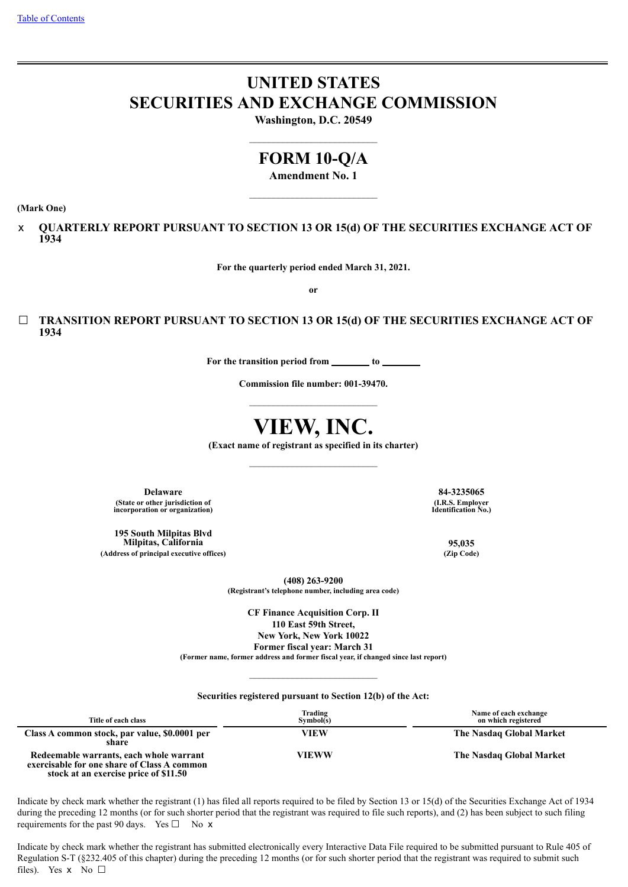# **UNITED STATES SECURITIES AND EXCHANGE COMMISSION**

**Washington, D.C. 20549**

# **FORM 10-Q/A**

**Amendment No. 1**

**(Mark One)**

x **QUARTERLY REPORT PURSUANT TO SECTION 13 OR 15(d) OF THE SECURITIES EXCHANGE ACT OF 1934**

**For the quarterly period ended March 31, 2021.**

**or**

☐ **TRANSITION REPORT PURSUANT TO SECTION 13 OR 15(d) OF THE SECURITIES EXCHANGE ACT OF 1934**

**For the transition period from to**

**Commission file number: 001-39470.**

# **VIEW, INC.**

**(Exact name of registrant as specified in its charter)** \_\_\_\_\_\_\_\_\_\_\_\_\_\_\_\_\_\_\_\_\_\_\_\_\_\_\_

**(State or other jurisdiction of incorporation or organization)**

**195 South Milpitas Blvd Milpitas, California 95,035 (Address of principal executive offices) (Zip Code)**

**Delaware 84-3235065 (I.R.S. Employer Identification No.)**

**(408) 263-9200 (Registrant's telephone number, including area code)**

**CF Finance Acquisition Corp. II 110 East 59th Street, New York, New York 10022 Former fiscal year: March 31 (Former name, former address and former fiscal year, if changed since last report)**

**Securities registered pursuant to Section 12(b) of the Act:**

| Title of each class                                                                                                             | Trading<br>Sumbol(s) | Name of each exchange<br>on which registered |
|---------------------------------------------------------------------------------------------------------------------------------|----------------------|----------------------------------------------|
| Class A common stock, par value, \$0.0001 per<br>share                                                                          | VIEW                 | The Nasdaq Global Market                     |
| Redeemable warrants, each whole warrant<br>exercisable for one share of Class A common<br>stock at an exercise price of \$11.50 | VIEWW                | The Nasdaq Global Market                     |

Indicate by check mark whether the registrant (1) has filed all reports required to be filed by Section 13 or 15(d) of the Securities Exchange Act of 1934 during the preceding 12 months (or for such shorter period that the registrant was required to file such reports), and (2) has been subject to such filing requirements for the past 90 days. Yes  $\Box$  No x

Indicate by check mark whether the registrant has submitted electronically every Interactive Data File required to be submitted pursuant to Rule 405 of Regulation S-T (§232.405 of this chapter) during the preceding 12 months (or for such shorter period that the registrant was required to submit such files). Yes  $x \in N_0 \square$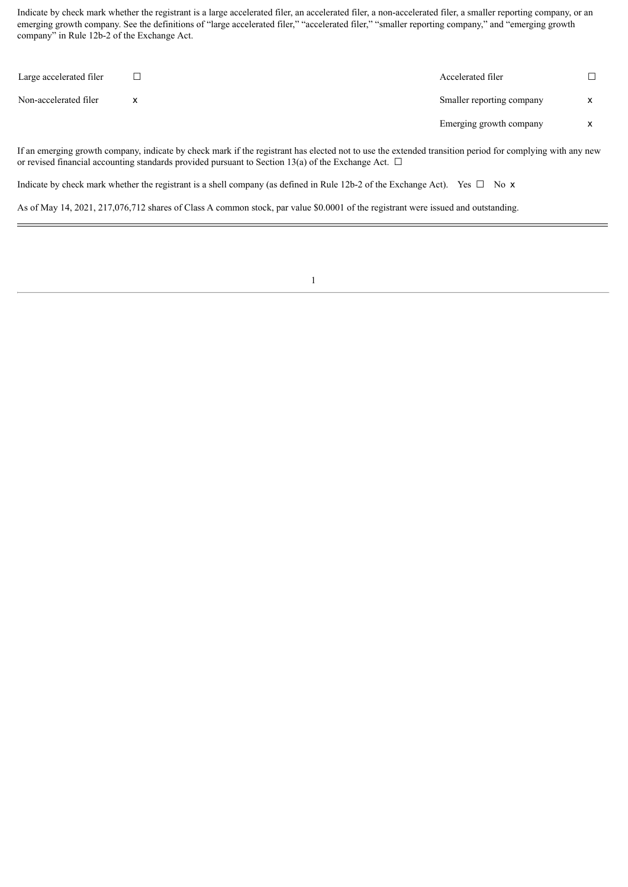Indicate by check mark whether the registrant is a large accelerated filer, an accelerated filer, a non-accelerated filer, a smaller reporting company, or an emerging growth company. See the definitions of "large accelerated filer," "accelerated filer," "smaller reporting company," and "emerging growth company" in Rule 12b-2 of the Exchange Act.

| Large accelerated filer | ப | Accelerated filer         |   |
|-------------------------|---|---------------------------|---|
| Non-accelerated filer   | x | Smaller reporting company | X |
|                         |   | Emerging growth company   | х |

If an emerging growth company, indicate by check mark if the registrant has elected not to use the extended transition period for complying with any new or revised financial accounting standards provided pursuant to Section 13(a) of the Exchange Act.  $\Box$ 

Indicate by check mark whether the registrant is a shell company (as defined in Rule 12b-2 of the Exchange Act). Yes  $\Box$  No x

As of May 14, 2021, 217,076,712 shares of Class A common stock, par value \$0.0001 of the registrant were issued and outstanding.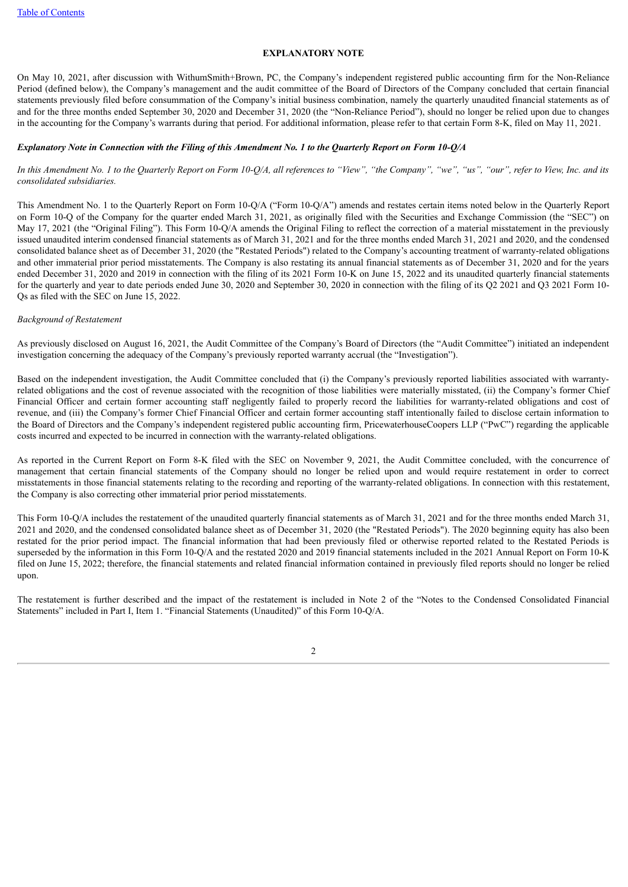# **EXPLANATORY NOTE**

On May 10, 2021, after discussion with WithumSmith+Brown, PC, the Company's independent registered public accounting firm for the Non-Reliance Period (defined below), the Company's management and the audit committee of the Board of Directors of the Company concluded that certain financial statements previously filed before consummation of the Company's initial business combination, namely the quarterly unaudited financial statements as of and for the three months ended September 30, 2020 and December 31, 2020 (the "Non-Reliance Period"), should no longer be relied upon due to changes in the accounting for the Company's warrants during that period. For additional information, please refer to that certain Form 8-K, filed on May 11, 2021.

# Explanatory Note in Connection with the Filing of this Amendment No. 1 to the Quarterly Report on Form 10-O/A

# In this Amendment No. 1 to the Quarterly Report on Form 10-Q/A, all references to "View", "the Company", "we", "us", "our", refer to View, Inc. and its *consolidated subsidiaries.*

This Amendment No. 1 to the Quarterly Report on Form 10-Q/A ("Form 10-Q/A") amends and restates certain items noted below in the Quarterly Report on Form 10-Q of the Company for the quarter ended March 31, 2021, as originally filed with the Securities and Exchange Commission (the "SEC") on May 17, 2021 (the "Original Filing"). This Form 10-Q/A amends the Original Filing to reflect the correction of a material misstatement in the previously issued unaudited interim condensed financial statements as of March 31, 2021 and for the three months ended March 31, 2021 and 2020, and the condensed consolidated balance sheet as of December 31, 2020 (the "Restated Periods") related to the Company's accounting treatment of warranty-related obligations and other immaterial prior period misstatements. The Company is also restating its annual financial statements as of December 31, 2020 and for the years ended December 31, 2020 and 2019 in connection with the filing of its 2021 Form 10-K on June 15, 2022 and its unaudited quarterly financial statements for the quarterly and year to date periods ended June 30, 2020 and September 30, 2020 in connection with the filing of its Q2 2021 and Q3 2021 Form 10-Qs as filed with the SEC on June 15, 2022.

# *Background of Restatement*

As previously disclosed on August 16, 2021, the Audit Committee of the Company's Board of Directors (the "Audit Committee") initiated an independent investigation concerning the adequacy of the Company's previously reported warranty accrual (the "Investigation").

Based on the independent investigation, the Audit Committee concluded that (i) the Company's previously reported liabilities associated with warrantyrelated obligations and the cost of revenue associated with the recognition of those liabilities were materially misstated, (ii) the Company's former Chief Financial Officer and certain former accounting staff negligently failed to properly record the liabilities for warranty-related obligations and cost of revenue, and (iii) the Company's former Chief Financial Officer and certain former accounting staff intentionally failed to disclose certain information to the Board of Directors and the Company's independent registered public accounting firm, PricewaterhouseCoopers LLP ("PwC") regarding the applicable costs incurred and expected to be incurred in connection with the warranty-related obligations.

As reported in the Current Report on Form 8-K filed with the SEC on November 9, 2021, the Audit Committee concluded, with the concurrence of management that certain financial statements of the Company should no longer be relied upon and would require restatement in order to correct misstatements in those financial statements relating to the recording and reporting of the warranty-related obligations. In connection with this restatement, the Company is also correcting other immaterial prior period misstatements.

This Form 10-Q/A includes the restatement of the unaudited quarterly financial statements as of March 31, 2021 and for the three months ended March 31, 2021 and 2020, and the condensed consolidated balance sheet as of December 31, 2020 (the "Restated Periods"). The 2020 beginning equity has also been restated for the prior period impact. The financial information that had been previously filed or otherwise reported related to the Restated Periods is superseded by the information in this Form 10-Q/A and the restated 2020 and 2019 financial statements included in the 2021 Annual Report on Form 10-K filed on June 15, 2022; therefore, the financial statements and related financial information contained in previously filed reports should no longer be relied upon.

The restatement is further described and the impact of the restatement is included in Note 2 of the "Notes to the Condensed Consolidated Financial Statements" included in Part I, Item 1. "Financial Statements (Unaudited)" of this Form 10-Q/A.

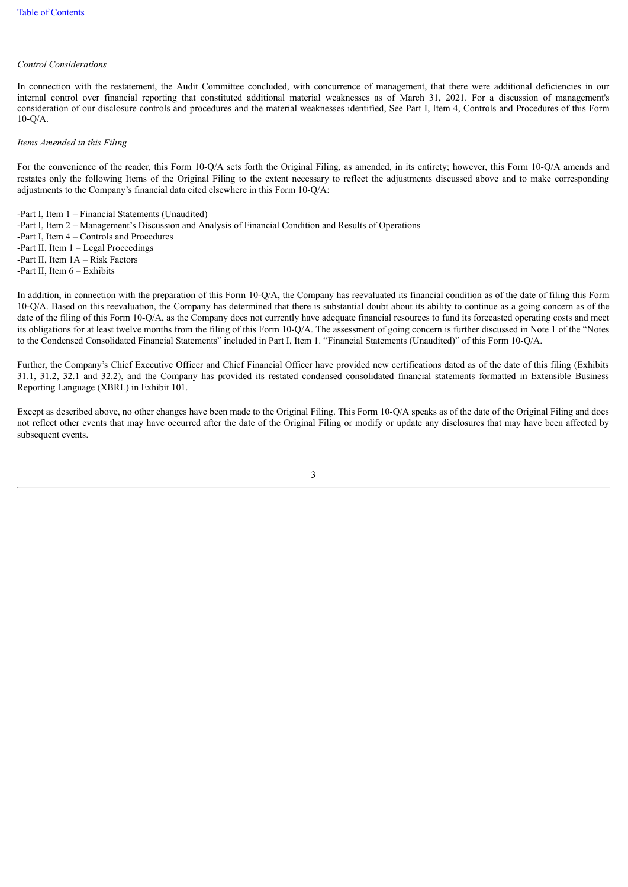# *Control Considerations*

In connection with the restatement, the Audit Committee concluded, with concurrence of management, that there were additional deficiencies in our internal control over financial reporting that constituted additional material weaknesses as of March 31, 2021. For a discussion of management's consideration of our disclosure controls and procedures and the material weaknesses identified, See Part I, Item 4, Controls and Procedures of this Form 10-Q/A.

#### *Items Amended in this Filing*

For the convenience of the reader, this Form 10-Q/A sets forth the Original Filing, as amended, in its entirety; however, this Form 10-Q/A amends and restates only the following Items of the Original Filing to the extent necessary to reflect the adjustments discussed above and to make corresponding adjustments to the Company's financial data cited elsewhere in this Form 10-Q/A:

-Part I, Item 1 – Financial Statements (Unaudited)

- -Part I, Item 2 Management's Discussion and Analysis of Financial Condition and Results of Operations
- -Part I, Item 4 Controls and Procedures
- -Part II, Item 1 Legal Proceedings
- -Part II, Item 1A Risk Factors
- -Part II, Item 6 Exhibits

In addition, in connection with the preparation of this Form 10-Q/A, the Company has reevaluated its financial condition as of the date of filing this Form 10-Q/A. Based on this reevaluation, the Company has determined that there is substantial doubt about its ability to continue as a going concern as of the date of the filing of this Form 10-Q/A, as the Company does not currently have adequate financial resources to fund its forecasted operating costs and meet its obligations for at least twelve months from the filing of this Form 10-Q/A. The assessment of going concern is further discussed in Note 1 of the "Notes to the Condensed Consolidated Financial Statements" included in Part I, Item 1. "Financial Statements (Unaudited)" of this Form 10-Q/A.

Further, the Company's Chief Executive Officer and Chief Financial Officer have provided new certifications dated as of the date of this filing (Exhibits 31.1, 31.2, 32.1 and 32.2), and the Company has provided its restated condensed consolidated financial statements formatted in Extensible Business Reporting Language (XBRL) in Exhibit 101.

<span id="page-3-0"></span>Except as described above, no other changes have been made to the Original Filing. This Form 10-Q/A speaks as of the date of the Original Filing and does not reflect other events that may have occurred after the date of the Original Filing or modify or update any disclosures that may have been affected by subsequent events.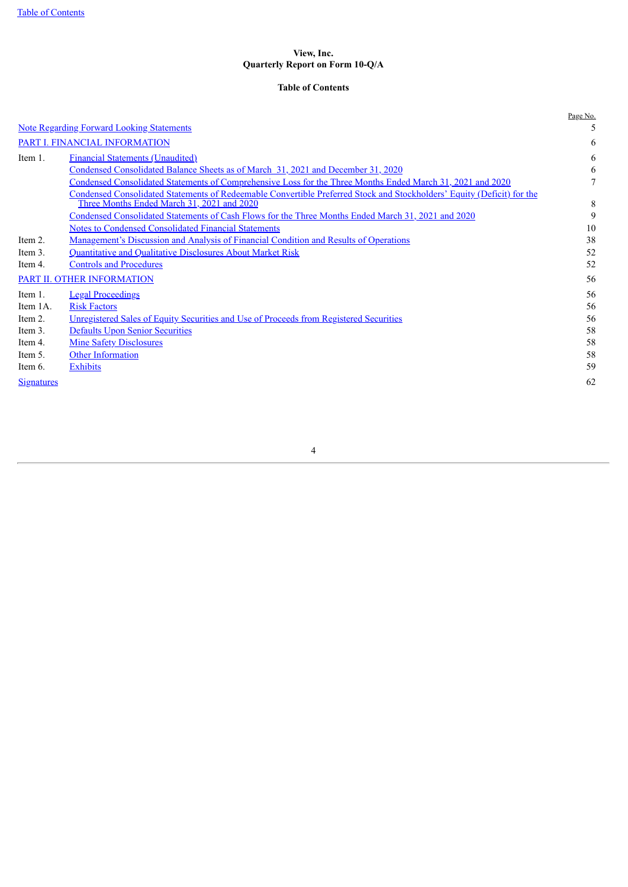# **View, Inc. Quarterly Report on Form 10-Q/A**

# **Table of Contents**

<span id="page-4-0"></span>

|                   |                                                                                                                                                                      | Page No. |
|-------------------|----------------------------------------------------------------------------------------------------------------------------------------------------------------------|----------|
|                   | <b>Note Regarding Forward Looking Statements</b>                                                                                                                     | 5        |
|                   | PART I. FINANCIAL INFORMATION                                                                                                                                        | 6        |
| Item 1.           | <b>Financial Statements (Unaudited)</b>                                                                                                                              | 6        |
|                   | Condensed Consolidated Balance Sheets as of March 31, 2021 and December 31, 2020                                                                                     | 6        |
|                   | Condensed Consolidated Statements of Comprehensive Loss for the Three Months Ended March 31, 2021 and 2020                                                           |          |
|                   | Condensed Consolidated Statements of Redeemable Convertible Preferred Stock and Stockholders' Equity (Deficit) for the<br>Three Months Ended March 31, 2021 and 2020 | 8        |
|                   | Condensed Consolidated Statements of Cash Flows for the Three Months Ended March 31, 2021 and 2020                                                                   | 9        |
|                   | <b>Notes to Condensed Consolidated Financial Statements</b>                                                                                                          | 10       |
| Item 2.           | <u>Management's Discussion and Analysis of Financial Condition and Results of Operations</u>                                                                         | 38       |
| Item 3.           | <b>Quantitative and Qualitative Disclosures About Market Risk</b>                                                                                                    | 52       |
| Item 4.           | <b>Controls and Procedures</b>                                                                                                                                       | 52       |
|                   | PART II. OTHER INFORMATION                                                                                                                                           | 56       |
| Item 1.           | <b>Legal Proceedings</b>                                                                                                                                             | 56       |
| Item 1A.          | <b>Risk Factors</b>                                                                                                                                                  | 56       |
| Item 2.           | <u>Unregistered Sales of Equity Securities and Use of Proceeds from Registered Securities</u>                                                                        | 56       |
| Item 3.           | <b>Defaults Upon Senior Securities</b>                                                                                                                               | 58       |
| Item 4.           | <b>Mine Safety Disclosures</b>                                                                                                                                       | 58       |
| Item 5.           | Other Information                                                                                                                                                    | 58       |
| Item 6.           | <b>Exhibits</b>                                                                                                                                                      | 59       |
| <b>Signatures</b> |                                                                                                                                                                      | 62       |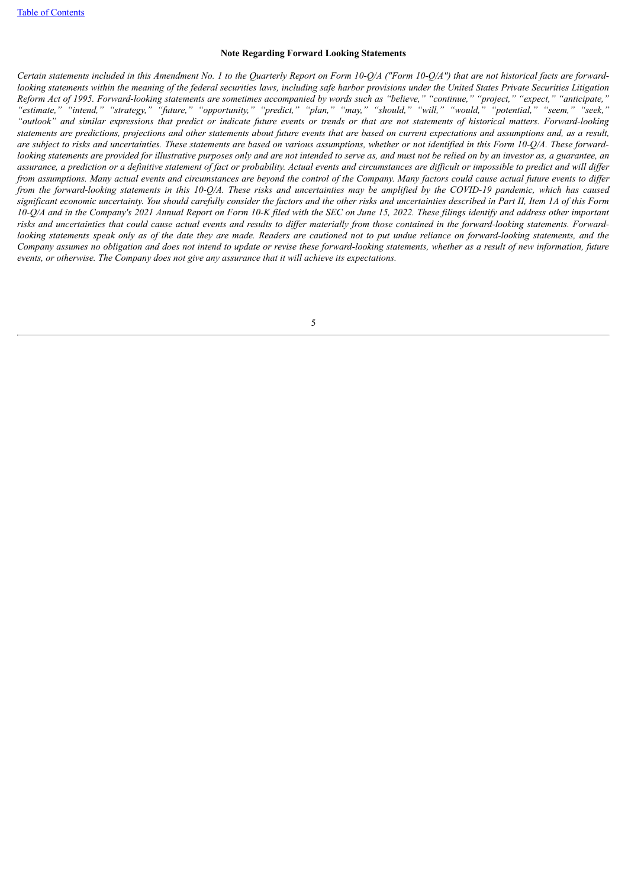## **Note Regarding Forward Looking Statements**

<span id="page-5-0"></span>Certain statements included in this Amendment No. 1 to the Quarterly Report on Form 10-Q/A ("Form 10-Q/A") that are not historical facts are forwardlooking statements within the meaning of the federal securities laws, including safe harbor provisions under the United States Private Securities Litigation Reform Act of 1995. Forward-looking statements are sometimes accompanied by words such as "believe," "continue," "project," "expect," "anticipate," "estimate," "intend," "strategy," "future," "opportunity," "predict," "plan," "may," "should," "will," "would," "potential," "seem," "seek," "outlook" and similar expressions that predict or indicate future events or trends or that are not statements of historical matters. Forward-looking statements are predictions, projections and other statements about future events that are based on current expectations and assumptions and, as a result, are subject to risks and uncertainties. These statements are based on various assumptions, whether or not identified in this Form 10-Q/A. These forwardlooking statements are provided for illustrative purposes only and are not intended to serve as, and must not be relied on by an investor as, a guarantee, an assurance, a prediction or a definitive statement of fact or probability. Actual events and circumstances are difficult or impossible to predict and will differ from assumptions. Many actual events and circumstances are beyond the control of the Company. Many factors could cause actual future events to differ from the forward-looking statements in this 10-O/A. These risks and uncertainties may be amplified by the COVID-19 pandemic, which has caused significant economic uncertainty. You should carefully consider the factors and the other risks and uncertainties described in Part II, Item 1A of this Form 10-Q/A and in the Company's 2021 Annual Report on Form 10-K filed with the SEC on June 15, 2022. These filings identify and address other important risks and uncertainties that could cause actual events and results to differ materially from those contained in the forward-looking statements. Forwardlooking statements speak only as of the date they are made. Readers are cautioned not to put undue reliance on forward-looking statements, and the Company assumes no obligation and does not intend to update or revise these forward-looking statements, whether as a result of new information, future *events, or otherwise. The Company does not give any assurance that it will achieve its expectations.*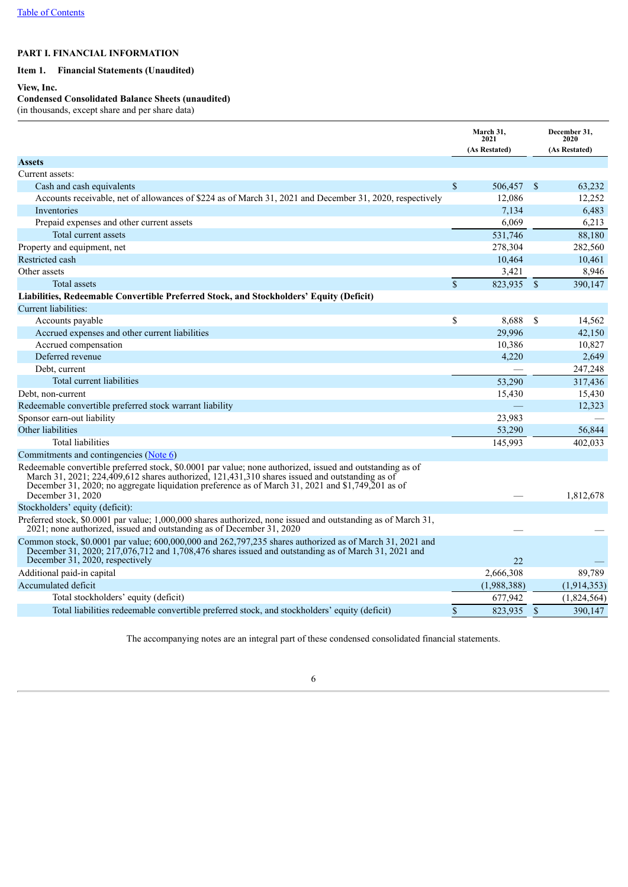# **PART I. FINANCIAL INFORMATION**

# <span id="page-6-0"></span>**Item 1. Financial Statements (Unaudited)**

# <span id="page-6-1"></span>**View, Inc.**

# **Condensed Consolidated Balance Sheets (unaudited)**

(in thousands, except share and per share data)

|                                                                                                                                                                                                                                                                                                                                             |              | March 31,<br>2021<br>(As Restated) |              | December 31,<br>2020<br>(As Restated) |
|---------------------------------------------------------------------------------------------------------------------------------------------------------------------------------------------------------------------------------------------------------------------------------------------------------------------------------------------|--------------|------------------------------------|--------------|---------------------------------------|
| <b>Assets</b>                                                                                                                                                                                                                                                                                                                               |              |                                    |              |                                       |
| Current assets:                                                                                                                                                                                                                                                                                                                             |              |                                    |              |                                       |
| Cash and cash equivalents                                                                                                                                                                                                                                                                                                                   | $\mathbb{S}$ | 506,457                            | <sup>S</sup> | 63,232                                |
| Accounts receivable, net of allowances of \$224 as of March 31, 2021 and December 31, 2020, respectively                                                                                                                                                                                                                                    |              | 12,086                             |              | 12,252                                |
| Inventories                                                                                                                                                                                                                                                                                                                                 |              | 7,134                              |              | 6,483                                 |
| Prepaid expenses and other current assets                                                                                                                                                                                                                                                                                                   |              | 6,069                              |              | 6,213                                 |
| Total current assets                                                                                                                                                                                                                                                                                                                        |              | 531,746                            |              | 88,180                                |
| Property and equipment, net                                                                                                                                                                                                                                                                                                                 |              | 278,304                            |              | 282,560                               |
| Restricted cash                                                                                                                                                                                                                                                                                                                             |              | 10,464                             |              | 10,461                                |
| Other assets                                                                                                                                                                                                                                                                                                                                |              | 3,421                              |              | 8,946                                 |
| Total assets                                                                                                                                                                                                                                                                                                                                | \$           | 823,935 \$                         |              | 390,147                               |
| Liabilities, Redeemable Convertible Preferred Stock, and Stockholders' Equity (Deficit)                                                                                                                                                                                                                                                     |              |                                    |              |                                       |
| Current liabilities:                                                                                                                                                                                                                                                                                                                        |              |                                    |              |                                       |
| Accounts payable                                                                                                                                                                                                                                                                                                                            | \$           | 8,688                              | -S           | 14,562                                |
| Accrued expenses and other current liabilities                                                                                                                                                                                                                                                                                              |              | 29.996                             |              | 42,150                                |
| Accrued compensation                                                                                                                                                                                                                                                                                                                        |              | 10,386                             |              | 10,827                                |
| Deferred revenue                                                                                                                                                                                                                                                                                                                            |              | 4,220                              |              | 2,649                                 |
| Debt, current                                                                                                                                                                                                                                                                                                                               |              |                                    |              | 247,248                               |
| Total current liabilities                                                                                                                                                                                                                                                                                                                   |              | 53.290                             |              | 317,436                               |
| Debt, non-current                                                                                                                                                                                                                                                                                                                           |              | 15,430                             |              | 15,430                                |
| Redeemable convertible preferred stock warrant liability                                                                                                                                                                                                                                                                                    |              |                                    |              | 12,323                                |
| Sponsor earn-out liability                                                                                                                                                                                                                                                                                                                  |              | 23,983                             |              |                                       |
| Other liabilities                                                                                                                                                                                                                                                                                                                           |              | 53,290                             |              | 56,844                                |
| <b>Total liabilities</b>                                                                                                                                                                                                                                                                                                                    |              | 145,993                            |              | 402,033                               |
| Commitments and contingencies (Note 6)                                                                                                                                                                                                                                                                                                      |              |                                    |              |                                       |
| Redeemable convertible preferred stock, \$0.0001 par value; none authorized, issued and outstanding as of<br>March 31, 2021; 224, $409,612$ shares authorized, 121, $431,310$ shares issued and outstanding as of<br>December 31, 2020; no aggregate liquidation preference as of March 31, 2021 and \$1,749,201 as of<br>December 31, 2020 |              |                                    |              | 1,812,678                             |
| Stockholders' equity (deficit):                                                                                                                                                                                                                                                                                                             |              |                                    |              |                                       |
| Preferred stock, \$0.0001 par value; 1,000,000 shares authorized, none issued and outstanding as of March 31,<br>2021; none authorized, issued and outstanding as of December 31, 2020                                                                                                                                                      |              |                                    |              |                                       |
| Common stock, \$0.0001 par value; 600,000,000 and 262,797,235 shares authorized as of March 31, 2021 and<br>December 31, 2020; $217,076,712$ and $1,708,476$ shares issued and outstanding as of March 31, 2021 and<br>December 31, 2020, respectively                                                                                      |              | 22                                 |              |                                       |
| Additional paid-in capital                                                                                                                                                                                                                                                                                                                  |              | 2,666,308                          |              | 89,789                                |
| Accumulated deficit                                                                                                                                                                                                                                                                                                                         |              | (1,988,388)                        |              | (1,914,353)                           |
| Total stockholders' equity (deficit)                                                                                                                                                                                                                                                                                                        |              | 677,942                            |              | (1,824,564)                           |
| Total liabilities redeemable convertible preferred stock, and stockholders' equity (deficit)                                                                                                                                                                                                                                                | \$           | 823,935 \$                         |              | 390,147                               |

<span id="page-6-2"></span>The accompanying notes are an integral part of these condensed consolidated financial statements.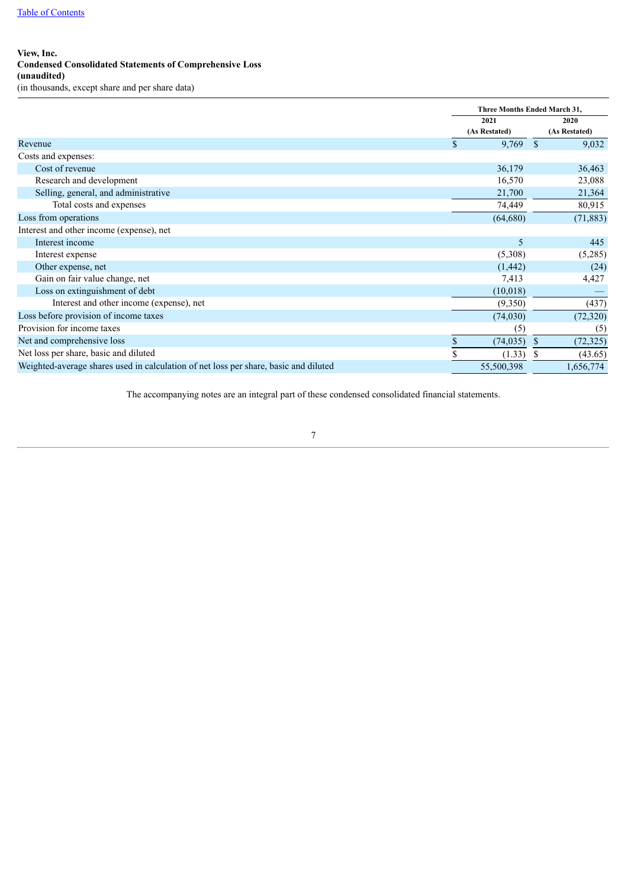# **View, Inc. Condensed Consolidated Statements of Comprehensive Loss (unaudited)** (in thousands, except share and per share data)

|                                                                                      |              | <b>Three Months Ended March 31.</b> |          |               |
|--------------------------------------------------------------------------------------|--------------|-------------------------------------|----------|---------------|
|                                                                                      |              | 2021                                |          | 2020          |
|                                                                                      |              | (As Restated)                       |          | (As Restated) |
| Revenue                                                                              | $\mathbb{S}$ | 9,769                               | <b>S</b> | 9,032         |
| Costs and expenses:                                                                  |              |                                     |          |               |
| Cost of revenue                                                                      |              | 36,179                              |          | 36,463        |
| Research and development                                                             |              | 16,570                              |          | 23,088        |
| Selling, general, and administrative                                                 |              | 21,700                              |          | 21,364        |
| Total costs and expenses                                                             |              | 74,449                              |          | 80,915        |
| Loss from operations                                                                 |              | (64,680)                            |          | (71, 883)     |
| Interest and other income (expense), net                                             |              |                                     |          |               |
| Interest income                                                                      |              | 5                                   |          | 445           |
| Interest expense                                                                     |              | (5,308)                             |          | (5,285)       |
| Other expense, net                                                                   |              | (1, 442)                            |          | (24)          |
| Gain on fair value change, net                                                       |              | 7,413                               |          | 4,427         |
| Loss on extinguishment of debt                                                       |              | (10,018)                            |          |               |
| Interest and other income (expense), net                                             |              | (9,350)                             |          | (437)         |
| Loss before provision of income taxes                                                |              | (74,030)                            |          | (72, 320)     |
| Provision for income taxes                                                           |              | (5)                                 |          | (5)           |
| Net and comprehensive loss                                                           | \$           | (74, 035)                           | -S       | (72, 325)     |
| Net loss per share, basic and diluted                                                |              | (1.33)                              | -S       | (43.65)       |
| Weighted-average shares used in calculation of net loss per share, basic and diluted |              | 55,500,398                          |          | 1,656,774     |

<span id="page-7-0"></span>The accompanying notes are an integral part of these condensed consolidated financial statements.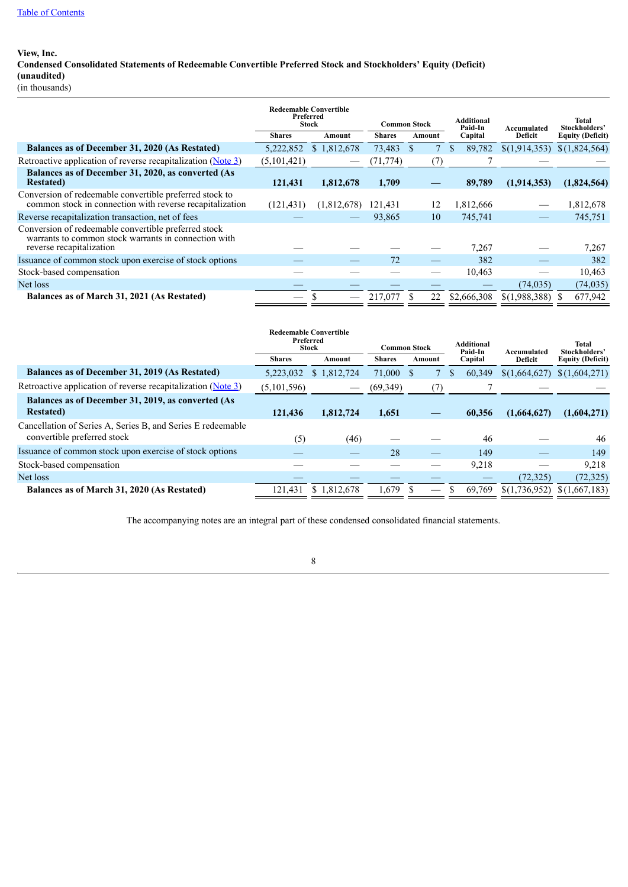# **View, Inc.**

# **Condensed Consolidated Statements of Redeemable Convertible Preferred Stock and Stockholders' Equity (Deficit) (unaudited)**

(in thousands)

|                                                                                                                                          | <b>Redeemable Convertible</b><br>Preferred<br><b>Stock</b> |             |               | <b>Common Stock</b> | <b>Additional</b><br>Paid-In | Accumulated   | Total<br>Stockholders'  |  |
|------------------------------------------------------------------------------------------------------------------------------------------|------------------------------------------------------------|-------------|---------------|---------------------|------------------------------|---------------|-------------------------|--|
|                                                                                                                                          | <b>Shares</b>                                              | Amount      | <b>Shares</b> | Amount              | Capital                      | Deficit       | <b>Equity (Deficit)</b> |  |
| Balances as of December 31, 2020 (As Restated)                                                                                           | 5,222,852                                                  | \$1,812,678 | 73,483        |                     | 89,782<br><sup>S</sup>       | \$(1,914,353) | \$(1,824,564)           |  |
| Retroactive application of reverse recapitalization (Note 3)                                                                             | (5,101,421)                                                |             | (71, 774)     | (7)                 |                              |               |                         |  |
| Balances as of December 31, 2020, as converted (As<br><b>Restated</b> )                                                                  | 121,431                                                    | 1,812,678   | 1,709         |                     | 89,789                       | (1,914,353)   | (1,824,564)             |  |
| Conversion of redeemable convertible preferred stock to<br>common stock in connection with reverse recapitalization                      | (121, 431)                                                 | (1,812,678) | 121,431       | 12                  | 1,812,666                    |               | 1,812,678               |  |
| Reverse recapitalization transaction, net of fees                                                                                        |                                                            |             | 93,865        | 10                  | 745,741                      |               | 745,751                 |  |
| Conversion of redeemable convertible preferred stock<br>warrants to common stock warrants in connection with<br>reverse recapitalization |                                                            |             |               |                     | 7,267                        |               | 7,267                   |  |
| Issuance of common stock upon exercise of stock options                                                                                  |                                                            |             | 72            |                     | 382                          |               | 382                     |  |
| Stock-based compensation                                                                                                                 |                                                            |             |               |                     | 10,463                       |               | 10,463                  |  |
| Net loss                                                                                                                                 |                                                            |             |               |                     |                              | (74, 035)     | (74, 035)               |  |
| Balances as of March 31, 2021 (As Restated)                                                                                              |                                                            |             | 217,077       | 22                  | \$2,666,308                  | \$(1,988,388) | 677,942                 |  |

|                                                                                            | Preferred     | <b>Redeemable Convertible</b><br><b>Stock</b> |               | <b>Common Stock</b> | Additional<br>Paid-In | Accumulated   | Total<br>Stockholders'  |  |
|--------------------------------------------------------------------------------------------|---------------|-----------------------------------------------|---------------|---------------------|-----------------------|---------------|-------------------------|--|
|                                                                                            | <b>Shares</b> | Amount                                        | <b>Shares</b> | Amount              | Capital               | Deficit       | <b>Equity (Deficit)</b> |  |
| Balances as of December 31, 2019 (As Restated)                                             | 5.223.032     | \$1,812,724                                   | 71,000 \$     |                     | 60,349<br>S           | \$(1,664,627) | \$(1,604,271)           |  |
| Retroactive application of reverse recapitalization $(Note 3)$                             | (5,101,596)   |                                               | (69,349)      | (7)                 |                       |               |                         |  |
| Balances as of December 31, 2019, as converted (As<br><b>Restated</b> )                    | 121,436       | 1,812,724                                     | 1,651         |                     | 60.356                | (1,664,627)   | (1,604,271)             |  |
| Cancellation of Series A, Series B, and Series E redeemable<br>convertible preferred stock | (5)           | (46)                                          |               |                     | 46                    |               | 46                      |  |
| Issuance of common stock upon exercise of stock options                                    |               |                                               | 28            |                     | 149                   |               | 149                     |  |
| Stock-based compensation                                                                   |               |                                               |               |                     | 9.218                 |               | 9,218                   |  |
| Net loss                                                                                   |               |                                               |               |                     |                       | (72, 325)     | (72, 325)               |  |
| Balances as of March 31, 2020 (As Restated)                                                | 121,431       | \$1,812,678                                   | 1,679         |                     | 69,769                | \$(1,736,952) | \$(1,667,183)           |  |

<span id="page-8-0"></span>The accompanying notes are an integral part of these condensed consolidated financial statements.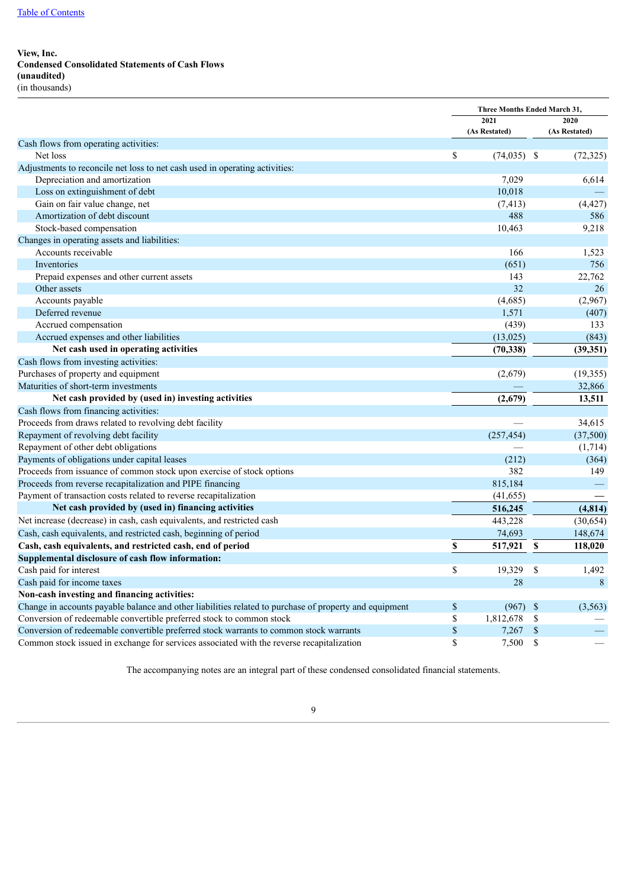# **View, Inc. Condensed Consolidated Statements of Cash Flows (unaudited)** (in thousands)

|                                                                                                        | Three Months Ended March 31, |                       |               |                       |
|--------------------------------------------------------------------------------------------------------|------------------------------|-----------------------|---------------|-----------------------|
|                                                                                                        |                              | 2021<br>(As Restated) |               | 2020<br>(As Restated) |
| Cash flows from operating activities:                                                                  |                              |                       |               |                       |
| Net loss                                                                                               | \$                           | $(74, 035)$ \$        |               | (72, 325)             |
| Adjustments to reconcile net loss to net cash used in operating activities:                            |                              |                       |               |                       |
| Depreciation and amortization                                                                          |                              | 7,029                 |               | 6,614                 |
| Loss on extinguishment of debt                                                                         |                              | 10,018                |               |                       |
| Gain on fair value change, net                                                                         |                              | (7, 413)              |               | (4, 427)              |
| Amortization of debt discount                                                                          |                              | 488                   |               | 586                   |
| Stock-based compensation                                                                               |                              | 10,463                |               | 9,218                 |
| Changes in operating assets and liabilities:                                                           |                              |                       |               |                       |
| Accounts receivable                                                                                    |                              | 166                   |               | 1,523                 |
| Inventories                                                                                            |                              | (651)                 |               | 756                   |
| Prepaid expenses and other current assets                                                              |                              | 143                   |               | 22,762                |
| Other assets                                                                                           |                              | 32                    |               | 26                    |
| Accounts payable                                                                                       |                              | (4,685)               |               | (2,967)               |
| Deferred revenue                                                                                       |                              | 1,571                 |               | (407)                 |
| Accrued compensation                                                                                   |                              | (439)                 |               | 133                   |
| Accrued expenses and other liabilities                                                                 |                              | (13,025)              |               | (843)                 |
| Net cash used in operating activities                                                                  |                              |                       |               |                       |
|                                                                                                        |                              | (70, 338)             |               | (39, 351)             |
| Cash flows from investing activities:<br>Purchases of property and equipment                           |                              |                       |               | (19, 355)             |
|                                                                                                        |                              | (2,679)               |               |                       |
| Maturities of short-term investments                                                                   |                              |                       |               | 32,866                |
| Net cash provided by (used in) investing activities                                                    |                              | (2,679)               |               | 13,511                |
| Cash flows from financing activities:                                                                  |                              |                       |               |                       |
| Proceeds from draws related to revolving debt facility                                                 |                              |                       |               | 34,615                |
| Repayment of revolving debt facility                                                                   |                              | (257, 454)            |               | (37,500)              |
| Repayment of other debt obligations                                                                    |                              |                       |               | (1,714)               |
| Payments of obligations under capital leases                                                           |                              | (212)                 |               | (364)                 |
| Proceeds from issuance of common stock upon exercise of stock options                                  |                              | 382                   |               | 149                   |
| Proceeds from reverse recapitalization and PIPE financing                                              |                              | 815,184               |               |                       |
| Payment of transaction costs related to reverse recapitalization                                       |                              | (41, 655)             |               |                       |
| Net cash provided by (used in) financing activities                                                    |                              | 516,245               |               | (4, 814)              |
| Net increase (decrease) in cash, cash equivalents, and restricted cash                                 |                              | 443,228               |               | (30, 654)             |
| Cash, cash equivalents, and restricted cash, beginning of period                                       |                              | 74,693                |               | 148,674               |
| Cash, cash equivalents, and restricted cash, end of period                                             | \$                           | 517,921               | \$            | 118,020               |
| Supplemental disclosure of cash flow information:                                                      |                              |                       |               |                       |
| Cash paid for interest                                                                                 | \$                           | 19,329                | <sup>\$</sup> | 1,492                 |
| Cash paid for income taxes                                                                             |                              | 28                    |               | $\,$ 8 $\,$           |
| Non-cash investing and financing activities:                                                           |                              |                       |               |                       |
| Change in accounts payable balance and other liabilities related to purchase of property and equipment | \$                           | (967)                 | -S            | (3, 563)              |
| Conversion of redeemable convertible preferred stock to common stock                                   | \$                           | 1,812,678             | \$            |                       |
| Conversion of redeemable convertible preferred stock warrants to common stock warrants                 | \$                           | 7,267                 | $\mathcal{S}$ |                       |
| Common stock issued in exchange for services associated with the reverse recapitalization              | \$                           | 7,500                 | <sup>\$</sup> |                       |

<span id="page-9-0"></span>The accompanying notes are an integral part of these condensed consolidated financial statements.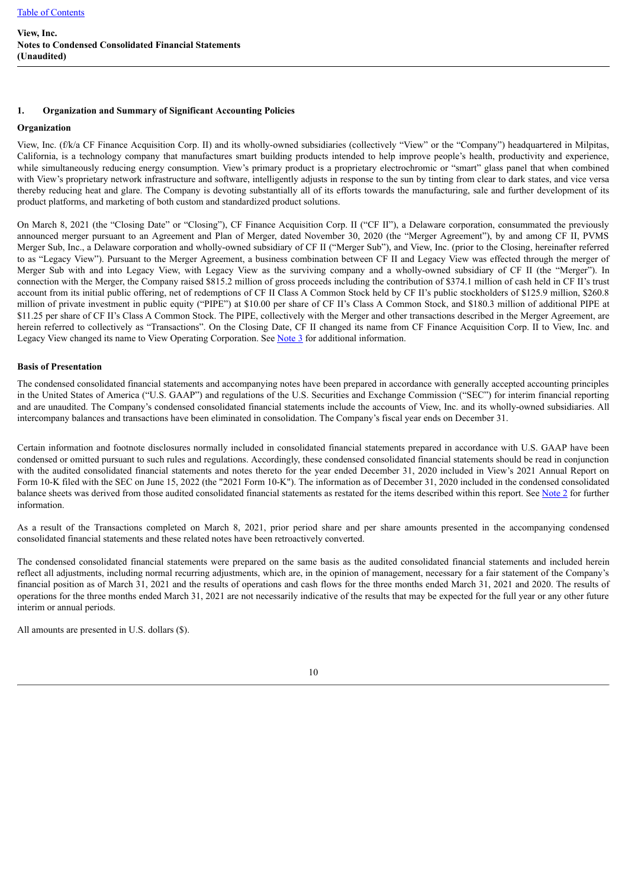# **1. Organization and Summary of Significant Accounting Policies**

#### **Organization**

View, Inc. (f/k/a CF Finance Acquisition Corp. II) and its wholly-owned subsidiaries (collectively "View" or the "Company") headquartered in Milpitas, California, is a technology company that manufactures smart building products intended to help improve people's health, productivity and experience, while simultaneously reducing energy consumption. View's primary product is a proprietary electrochromic or "smart" glass panel that when combined with View's proprietary network infrastructure and software, intelligently adjusts in response to the sun by tinting from clear to dark states, and vice versa thereby reducing heat and glare. The Company is devoting substantially all of its efforts towards the manufacturing, sale and further development of its product platforms, and marketing of both custom and standardized product solutions.

On March 8, 2021 (the "Closing Date" or "Closing"), CF Finance Acquisition Corp. II ("CF II"), a Delaware corporation, consummated the previously announced merger pursuant to an Agreement and Plan of Merger, dated November 30, 2020 (the "Merger Agreement"), by and among CF II, PVMS Merger Sub, Inc., a Delaware corporation and wholly-owned subsidiary of CF II ("Merger Sub"), and View, Inc. (prior to the Closing, hereinafter referred to as "Legacy View"). Pursuant to the Merger Agreement, a business combination between CF II and Legacy View was effected through the merger of Merger Sub with and into Legacy View, with Legacy View as the surviving company and a wholly-owned subsidiary of CF II (the "Merger"). In connection with the Merger, the Company raised \$815.2 million of gross proceeds including the contribution of \$374.1 million of cash held in CF II's trust account from its initial public offering, net of redemptions of CF II Class A Common Stock held by CF II's public stockholders of \$125.9 million, \$260.8 million of private investment in public equity ("PIPE") at \$10.00 per share of CF II's Class A Common Stock, and \$180.3 million of additional PIPE at \$11.25 per share of CF II's Class A Common Stock. The PIPE, collectively with the Merger and other transactions described in the Merger Agreement, are herein referred to collectively as "Transactions". On the Closing Date, CF II changed its name from CF Finance Acquisition Corp. II to View, Inc. and Legacy View changed its name to View Operating Corporation. See [Note](#page-24-0) 3 for additional information.

# **Basis of Presentation**

The condensed consolidated financial statements and accompanying notes have been prepared in accordance with generally accepted accounting principles in the United States of America ("U.S. GAAP") and regulations of the U.S. Securities and Exchange Commission ("SEC") for interim financial reporting and are unaudited. The Company's condensed consolidated financial statements include the accounts of View, Inc. and its wholly-owned subsidiaries. All intercompany balances and transactions have been eliminated in consolidation. The Company's fiscal year ends on December 31.

Certain information and footnote disclosures normally included in consolidated financial statements prepared in accordance with U.S. GAAP have been condensed or omitted pursuant to such rules and regulations. Accordingly, these condensed consolidated financial statements should be read in conjunction with the audited consolidated financial statements and notes thereto for the year ended December 31, 2020 included in View's 2021 Annual Report on Form 10-K filed with the SEC on June 15, 2022 (the "2021 Form 10-K"). The information as of December 31, 2020 included in the condensed consolidated balance sheets was derived from those audited consolidated financial statements as restated for the items described within this report. See [Note](#page-19-0) 2 for further information.

As a result of the Transactions completed on March 8, 2021, prior period share and per share amounts presented in the accompanying condensed consolidated financial statements and these related notes have been retroactively converted.

The condensed consolidated financial statements were prepared on the same basis as the audited consolidated financial statements and included herein reflect all adjustments, including normal recurring adjustments, which are, in the opinion of management, necessary for a fair statement of the Company's financial position as of March 31, 2021 and the results of operations and cash flows for the three months ended March 31, 2021 and 2020. The results of operations for the three months ended March 31, 2021 are not necessarily indicative of the results that may be expected for the full year or any other future interim or annual periods.

All amounts are presented in U.S. dollars (\$).

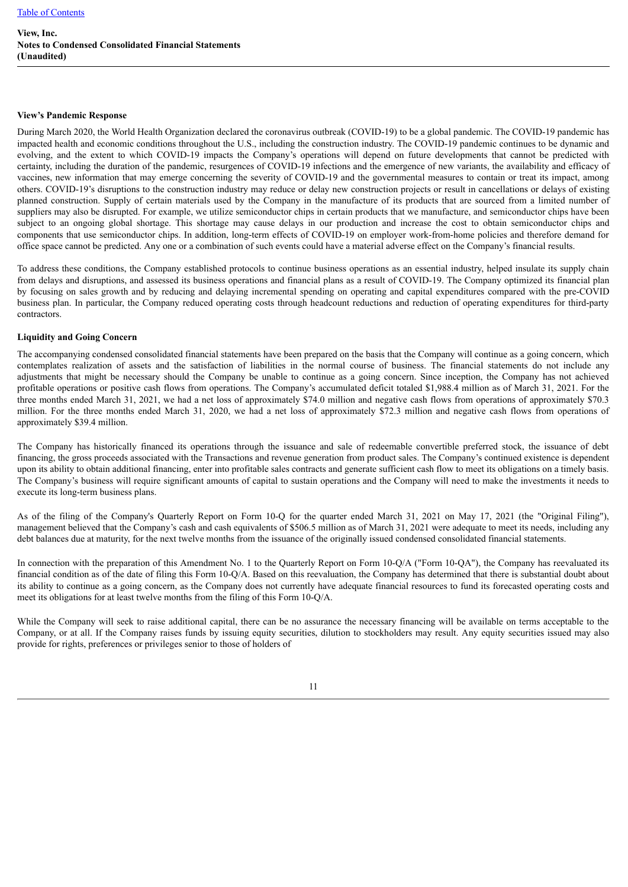#### **View's Pandemic Response**

During March 2020, the World Health Organization declared the coronavirus outbreak (COVID-19) to be a global pandemic. The COVID-19 pandemic has impacted health and economic conditions throughout the U.S., including the construction industry. The COVID-19 pandemic continues to be dynamic and evolving, and the extent to which COVID-19 impacts the Company's operations will depend on future developments that cannot be predicted with certainty, including the duration of the pandemic, resurgences of COVID-19 infections and the emergence of new variants, the availability and efficacy of vaccines, new information that may emerge concerning the severity of COVID-19 and the governmental measures to contain or treat its impact, among others. COVID-19's disruptions to the construction industry may reduce or delay new construction projects or result in cancellations or delays of existing planned construction. Supply of certain materials used by the Company in the manufacture of its products that are sourced from a limited number of suppliers may also be disrupted. For example, we utilize semiconductor chips in certain products that we manufacture, and semiconductor chips have been subject to an ongoing global shortage. This shortage may cause delays in our production and increase the cost to obtain semiconductor chips and components that use semiconductor chips. In addition, long-term effects of COVID-19 on employer work-from-home policies and therefore demand for office space cannot be predicted. Any one or a combination of such events could have a material adverse effect on the Company's financial results.

To address these conditions, the Company established protocols to continue business operations as an essential industry, helped insulate its supply chain from delays and disruptions, and assessed its business operations and financial plans as a result of COVID-19. The Company optimized its financial plan by focusing on sales growth and by reducing and delaying incremental spending on operating and capital expenditures compared with the pre-COVID business plan. In particular, the Company reduced operating costs through headcount reductions and reduction of operating expenditures for third-party contractors.

# **Liquidity and Going Concern**

The accompanying condensed consolidated financial statements have been prepared on the basis that the Company will continue as a going concern, which contemplates realization of assets and the satisfaction of liabilities in the normal course of business. The financial statements do not include any adjustments that might be necessary should the Company be unable to continue as a going concern. Since inception, the Company has not achieved profitable operations or positive cash flows from operations. The Company's accumulated deficit totaled \$1,988.4 million as of March 31, 2021. For the three months ended March 31, 2021, we had a net loss of approximately \$74.0 million and negative cash flows from operations of approximately \$70.3 million. For the three months ended March 31, 2020, we had a net loss of approximately \$72.3 million and negative cash flows from operations of approximately \$39.4 million.

The Company has historically financed its operations through the issuance and sale of redeemable convertible preferred stock, the issuance of debt financing, the gross proceeds associated with the Transactions and revenue generation from product sales. The Company's continued existence is dependent upon its ability to obtain additional financing, enter into profitable sales contracts and generate sufficient cash flow to meet its obligations on a timely basis. The Company's business will require significant amounts of capital to sustain operations and the Company will need to make the investments it needs to execute its long-term business plans.

As of the filing of the Company's Quarterly Report on Form 10-Q for the quarter ended March 31, 2021 on May 17, 2021 (the "Original Filing"), management believed that the Company's cash and cash equivalents of \$506.5 million as of March 31, 2021 were adequate to meet its needs, including any debt balances due at maturity, for the next twelve months from the issuance of the originally issued condensed consolidated financial statements.

In connection with the preparation of this Amendment No. 1 to the Quarterly Report on Form 10-Q/A ("Form 10-QA"), the Company has reevaluated its financial condition as of the date of filing this Form 10-Q/A. Based on this reevaluation, the Company has determined that there is substantial doubt about its ability to continue as a going concern, as the Company does not currently have adequate financial resources to fund its forecasted operating costs and meet its obligations for at least twelve months from the filing of this Form 10-Q/A.

While the Company will seek to raise additional capital, there can be no assurance the necessary financing will be available on terms acceptable to the Company, or at all. If the Company raises funds by issuing equity securities, dilution to stockholders may result. Any equity securities issued may also provide for rights, preferences or privileges senior to those of holders of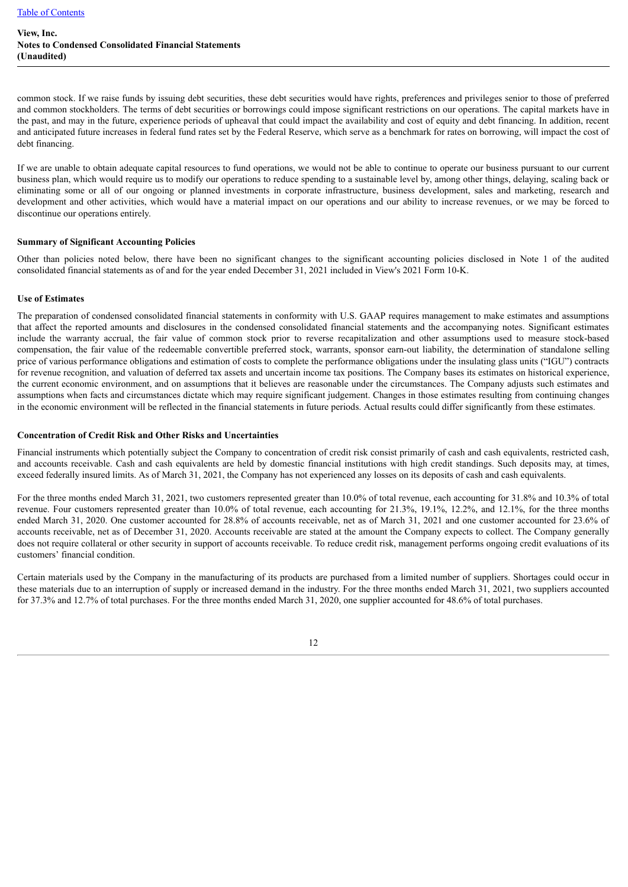common stock. If we raise funds by issuing debt securities, these debt securities would have rights, preferences and privileges senior to those of preferred and common stockholders. The terms of debt securities or borrowings could impose significant restrictions on our operations. The capital markets have in the past, and may in the future, experience periods of upheaval that could impact the availability and cost of equity and debt financing. In addition, recent and anticipated future increases in federal fund rates set by the Federal Reserve, which serve as a benchmark for rates on borrowing, will impact the cost of debt financing.

If we are unable to obtain adequate capital resources to fund operations, we would not be able to continue to operate our business pursuant to our current business plan, which would require us to modify our operations to reduce spending to a sustainable level by, among other things, delaying, scaling back or eliminating some or all of our ongoing or planned investments in corporate infrastructure, business development, sales and marketing, research and development and other activities, which would have a material impact on our operations and our ability to increase revenues, or we may be forced to discontinue our operations entirely.

#### **Summary of Significant Accounting Policies**

Other than policies noted below, there have been no significant changes to the significant accounting policies disclosed in Note 1 of the audited consolidated financial statements as of and for the year ended December 31, 2021 included in View's 2021 Form 10-K.

#### **Use of Estimates**

The preparation of condensed consolidated financial statements in conformity with U.S. GAAP requires management to make estimates and assumptions that affect the reported amounts and disclosures in the condensed consolidated financial statements and the accompanying notes. Significant estimates include the warranty accrual, the fair value of common stock prior to reverse recapitalization and other assumptions used to measure stock-based compensation, the fair value of the redeemable convertible preferred stock, warrants, sponsor earn-out liability, the determination of standalone selling price of various performance obligations and estimation of costs to complete the performance obligations under the insulating glass units ("IGU") contracts for revenue recognition, and valuation of deferred tax assets and uncertain income tax positions. The Company bases its estimates on historical experience, the current economic environment, and on assumptions that it believes are reasonable under the circumstances. The Company adjusts such estimates and assumptions when facts and circumstances dictate which may require significant judgement. Changes in those estimates resulting from continuing changes in the economic environment will be reflected in the financial statements in future periods. Actual results could differ significantly from these estimates.

#### **Concentration of Credit Risk and Other Risks and Uncertainties**

Financial instruments which potentially subject the Company to concentration of credit risk consist primarily of cash and cash equivalents, restricted cash, and accounts receivable. Cash and cash equivalents are held by domestic financial institutions with high credit standings. Such deposits may, at times, exceed federally insured limits. As of March 31, 2021, the Company has not experienced any losses on its deposits of cash and cash equivalents.

For the three months ended March 31, 2021, two customers represented greater than 10.0% of total revenue, each accounting for 31.8% and 10.3% of total revenue. Four customers represented greater than 10.0% of total revenue, each accounting for 21.3%, 19.1%, 12.2%, and 12.1%, for the three months ended March 31, 2020. One customer accounted for 28.8% of accounts receivable, net as of March 31, 2021 and one customer accounted for 23.6% of accounts receivable, net as of December 31, 2020. Accounts receivable are stated at the amount the Company expects to collect. The Company generally does not require collateral or other security in support of accounts receivable. To reduce credit risk, management performs ongoing credit evaluations of its customers' financial condition.

Certain materials used by the Company in the manufacturing of its products are purchased from a limited number of suppliers. Shortages could occur in these materials due to an interruption of supply or increased demand in the industry. For the three months ended March 31, 2021, two suppliers accounted for 37.3% and 12.7% of total purchases. For the three months ended March 31, 2020, one supplier accounted for 48.6% of total purchases.

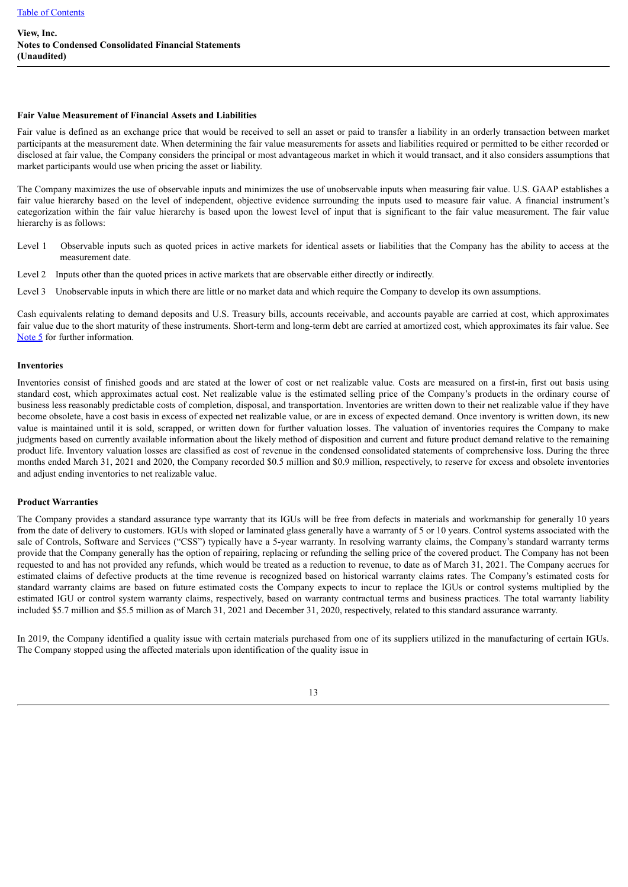#### **Fair Value Measurement of Financial Assets and Liabilities**

Fair value is defined as an exchange price that would be received to sell an asset or paid to transfer a liability in an orderly transaction between market participants at the measurement date. When determining the fair value measurements for assets and liabilities required or permitted to be either recorded or disclosed at fair value, the Company considers the principal or most advantageous market in which it would transact, and it also considers assumptions that market participants would use when pricing the asset or liability.

The Company maximizes the use of observable inputs and minimizes the use of unobservable inputs when measuring fair value. U.S. GAAP establishes a fair value hierarchy based on the level of independent, objective evidence surrounding the inputs used to measure fair value. A financial instrument's categorization within the fair value hierarchy is based upon the lowest level of input that is significant to the fair value measurement. The fair value hierarchy is as follows:

- Level 1 Observable inputs such as quoted prices in active markets for identical assets or liabilities that the Company has the ability to access at the measurement date.
- Level 2 Inputs other than the quoted prices in active markets that are observable either directly or indirectly.
- Level 3 Unobservable inputs in which there are little or no market data and which require the Company to develop its own assumptions.

Cash equivalents relating to demand deposits and U.S. Treasury bills, accounts receivable, and accounts payable are carried at cost, which approximates fair value due to the short maturity of these instruments. Short-term and long-term debt are carried at amortized cost, which approximates its fair value. See [Note](#page-26-0) 5 for further information.

#### **Inventories**

Inventories consist of finished goods and are stated at the lower of cost or net realizable value. Costs are measured on a first-in, first out basis using standard cost, which approximates actual cost. Net realizable value is the estimated selling price of the Company's products in the ordinary course of business less reasonably predictable costs of completion, disposal, and transportation. Inventories are written down to their net realizable value if they have become obsolete, have a cost basis in excess of expected net realizable value, or are in excess of expected demand. Once inventory is written down, its new value is maintained until it is sold, scrapped, or written down for further valuation losses. The valuation of inventories requires the Company to make judgments based on currently available information about the likely method of disposition and current and future product demand relative to the remaining product life. Inventory valuation losses are classified as cost of revenue in the condensed consolidated statements of comprehensive loss. During the three months ended March 31, 2021 and 2020, the Company recorded \$0.5 million and \$0.9 million, respectively, to reserve for excess and obsolete inventories and adjust ending inventories to net realizable value.

#### **Product Warranties**

The Company provides a standard assurance type warranty that its IGUs will be free from defects in materials and workmanship for generally 10 years from the date of delivery to customers. IGUs with sloped or laminated glass generally have a warranty of 5 or 10 years. Control systems associated with the sale of Controls, Software and Services ("CSS") typically have a 5-year warranty. In resolving warranty claims, the Company's standard warranty terms provide that the Company generally has the option of repairing, replacing or refunding the selling price of the covered product. The Company has not been requested to and has not provided any refunds, which would be treated as a reduction to revenue, to date as of March 31, 2021. The Company accrues for estimated claims of defective products at the time revenue is recognized based on historical warranty claims rates. The Company's estimated costs for standard warranty claims are based on future estimated costs the Company expects to incur to replace the IGUs or control systems multiplied by the estimated IGU or control system warranty claims, respectively, based on warranty contractual terms and business practices. The total warranty liability included \$5.7 million and \$5.5 million as of March 31, 2021 and December 31, 2020, respectively, related to this standard assurance warranty.

In 2019, the Company identified a quality issue with certain materials purchased from one of its suppliers utilized in the manufacturing of certain IGUs. The Company stopped using the affected materials upon identification of the quality issue in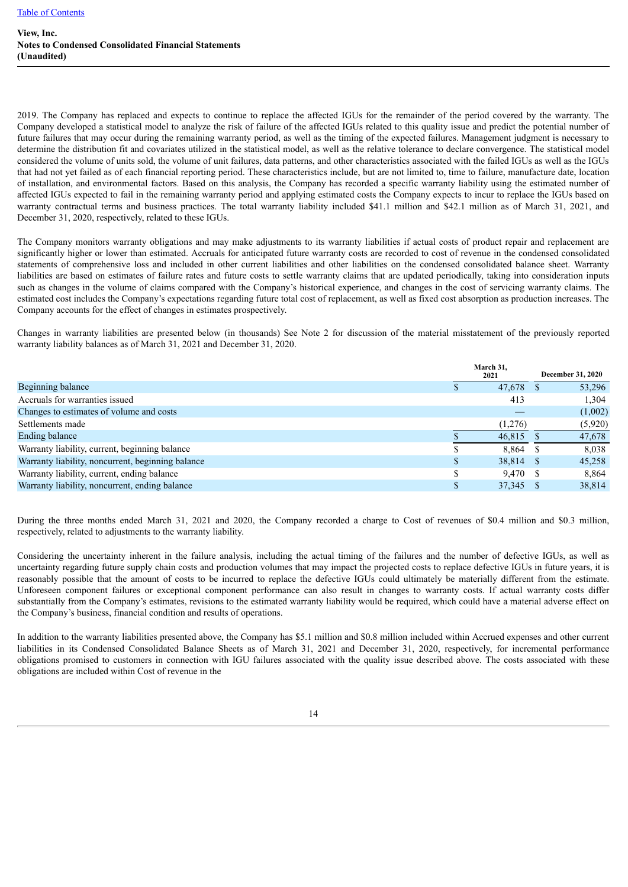2019. The Company has replaced and expects to continue to replace the affected IGUs for the remainder of the period covered by the warranty. The Company developed a statistical model to analyze the risk of failure of the affected IGUs related to this quality issue and predict the potential number of future failures that may occur during the remaining warranty period, as well as the timing of the expected failures. Management judgment is necessary to determine the distribution fit and covariates utilized in the statistical model, as well as the relative tolerance to declare convergence. The statistical model considered the volume of units sold, the volume of unit failures, data patterns, and other characteristics associated with the failed IGUs as well as the IGUs that had not yet failed as of each financial reporting period. These characteristics include, but are not limited to, time to failure, manufacture date, location of installation, and environmental factors. Based on this analysis, the Company has recorded a specific warranty liability using the estimated number of affected IGUs expected to fail in the remaining warranty period and applying estimated costs the Company expects to incur to replace the IGUs based on warranty contractual terms and business practices. The total warranty liability included \$41.1 million and \$42.1 million as of March 31, 2021, and December 31, 2020, respectively, related to these IGUs.

The Company monitors warranty obligations and may make adjustments to its warranty liabilities if actual costs of product repair and replacement are significantly higher or lower than estimated. Accruals for anticipated future warranty costs are recorded to cost of revenue in the condensed consolidated statements of comprehensive loss and included in other current liabilities and other liabilities on the condensed consolidated balance sheet. Warranty liabilities are based on estimates of failure rates and future costs to settle warranty claims that are updated periodically, taking into consideration inputs such as changes in the volume of claims compared with the Company's historical experience, and changes in the cost of servicing warranty claims. The estimated cost includes the Company's expectations regarding future total cost of replacement, as well as fixed cost absorption as production increases. The Company accounts for the effect of changes in estimates prospectively.

Changes in warranty liabilities are presented below (in thousands) See Note 2 for discussion of the material misstatement of the previously reported warranty liability balances as of March 31, 2021 and December 31, 2020.

|                                                   | March 31,<br>2021 | <b>December 31, 2020</b> |
|---------------------------------------------------|-------------------|--------------------------|
| Beginning balance                                 | 47,678            | 53,296                   |
| Accruals for warranties issued                    | 413               | 1.304                    |
| Changes to estimates of volume and costs          |                   | (1,002)                  |
| Settlements made                                  | (1,276)           | (5,920)                  |
| Ending balance                                    | 46.815            | 47,678                   |
| Warranty liability, current, beginning balance    | 8.864             | 8,038                    |
| Warranty liability, noncurrent, beginning balance | 38,814 \$         | 45,258                   |
| Warranty liability, current, ending balance       | 9.470             | 8.864                    |
| Warranty liability, noncurrent, ending balance    | 37,345            | 38,814                   |

During the three months ended March 31, 2021 and 2020, the Company recorded a charge to Cost of revenues of \$0.4 million and \$0.3 million, respectively, related to adjustments to the warranty liability.

Considering the uncertainty inherent in the failure analysis, including the actual timing of the failures and the number of defective IGUs, as well as uncertainty regarding future supply chain costs and production volumes that may impact the projected costs to replace defective IGUs in future years, it is reasonably possible that the amount of costs to be incurred to replace the defective IGUs could ultimately be materially different from the estimate. Unforeseen component failures or exceptional component performance can also result in changes to warranty costs. If actual warranty costs differ substantially from the Company's estimates, revisions to the estimated warranty liability would be required, which could have a material adverse effect on the Company's business, financial condition and results of operations.

In addition to the warranty liabilities presented above, the Company has \$5.1 million and \$0.8 million included within Accrued expenses and other current liabilities in its Condensed Consolidated Balance Sheets as of March 31, 2021 and December 31, 2020, respectively, for incremental performance obligations promised to customers in connection with IGU failures associated with the quality issue described above. The costs associated with these obligations are included within Cost of revenue in the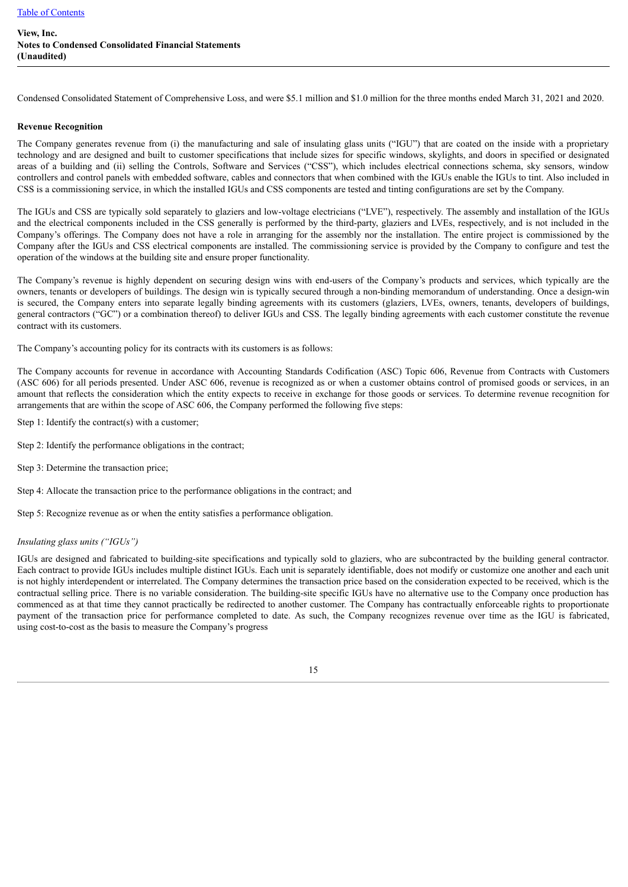Condensed Consolidated Statement of Comprehensive Loss, and were \$5.1 million and \$1.0 million for the three months ended March 31, 2021 and 2020.

#### **Revenue Recognition**

The Company generates revenue from (i) the manufacturing and sale of insulating glass units ("IGU") that are coated on the inside with a proprietary technology and are designed and built to customer specifications that include sizes for specific windows, skylights, and doors in specified or designated areas of a building and (ii) selling the Controls, Software and Services ("CSS"), which includes electrical connections schema, sky sensors, window controllers and control panels with embedded software, cables and connectors that when combined with the IGUs enable the IGUs to tint. Also included in CSS is a commissioning service, in which the installed IGUs and CSS components are tested and tinting configurations are set by the Company.

The IGUs and CSS are typically sold separately to glaziers and low-voltage electricians ("LVE"), respectively. The assembly and installation of the IGUs and the electrical components included in the CSS generally is performed by the third-party, glaziers and LVEs, respectively, and is not included in the Company's offerings. The Company does not have a role in arranging for the assembly nor the installation. The entire project is commissioned by the Company after the IGUs and CSS electrical components are installed. The commissioning service is provided by the Company to configure and test the operation of the windows at the building site and ensure proper functionality.

The Company's revenue is highly dependent on securing design wins with end-users of the Company's products and services, which typically are the owners, tenants or developers of buildings. The design win is typically secured through a non-binding memorandum of understanding. Once a design-win is secured, the Company enters into separate legally binding agreements with its customers (glaziers, LVEs, owners, tenants, developers of buildings, general contractors ("GC") or a combination thereof) to deliver IGUs and CSS. The legally binding agreements with each customer constitute the revenue contract with its customers.

The Company's accounting policy for its contracts with its customers is as follows:

The Company accounts for revenue in accordance with Accounting Standards Codification (ASC) Topic 606, Revenue from Contracts with Customers (ASC 606) for all periods presented. Under ASC 606, revenue is recognized as or when a customer obtains control of promised goods or services, in an amount that reflects the consideration which the entity expects to receive in exchange for those goods or services. To determine revenue recognition for arrangements that are within the scope of ASC 606, the Company performed the following five steps:

Step 1: Identify the contract(s) with a customer;

Step 2: Identify the performance obligations in the contract;

Step 3: Determine the transaction price;

Step 4: Allocate the transaction price to the performance obligations in the contract; and

Step 5: Recognize revenue as or when the entity satisfies a performance obligation.

# *Insulating glass units ("IGUs")*

IGUs are designed and fabricated to building-site specifications and typically sold to glaziers, who are subcontracted by the building general contractor. Each contract to provide IGUs includes multiple distinct IGUs. Each unit is separately identifiable, does not modify or customize one another and each unit is not highly interdependent or interrelated. The Company determines the transaction price based on the consideration expected to be received, which is the contractual selling price. There is no variable consideration. The building-site specific IGUs have no alternative use to the Company once production has commenced as at that time they cannot practically be redirected to another customer. The Company has contractually enforceable rights to proportionate payment of the transaction price for performance completed to date. As such, the Company recognizes revenue over time as the IGU is fabricated, using cost-to-cost as the basis to measure the Company's progress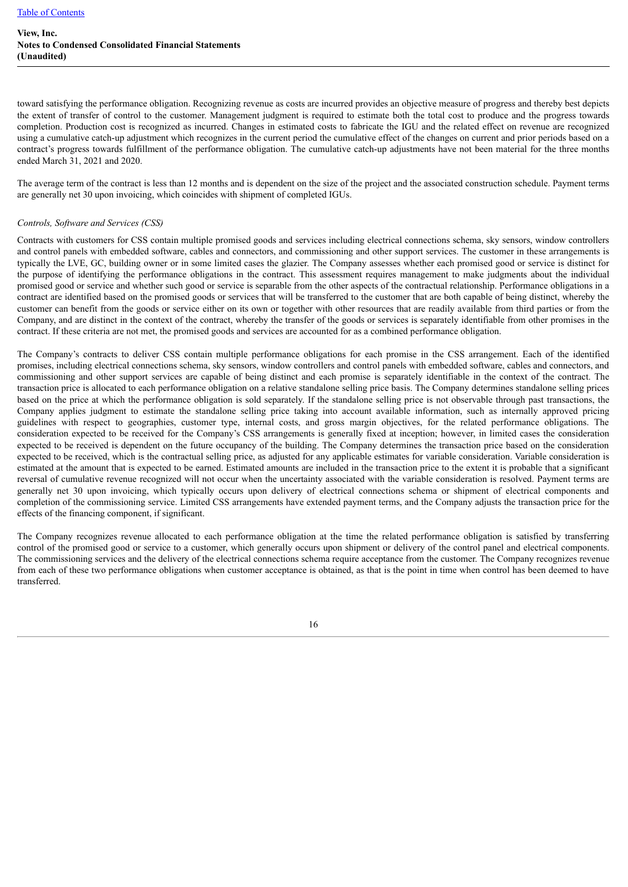toward satisfying the performance obligation. Recognizing revenue as costs are incurred provides an objective measure of progress and thereby best depicts the extent of transfer of control to the customer. Management judgment is required to estimate both the total cost to produce and the progress towards completion. Production cost is recognized as incurred. Changes in estimated costs to fabricate the IGU and the related effect on revenue are recognized using a cumulative catch-up adjustment which recognizes in the current period the cumulative effect of the changes on current and prior periods based on a contract's progress towards fulfillment of the performance obligation. The cumulative catch-up adjustments have not been material for the three months ended March 31, 2021 and 2020.

The average term of the contract is less than 12 months and is dependent on the size of the project and the associated construction schedule. Payment terms are generally net 30 upon invoicing, which coincides with shipment of completed IGUs.

# *Controls, Software and Services (CSS)*

Contracts with customers for CSS contain multiple promised goods and services including electrical connections schema, sky sensors, window controllers and control panels with embedded software, cables and connectors, and commissioning and other support services. The customer in these arrangements is typically the LVE, GC, building owner or in some limited cases the glazier. The Company assesses whether each promised good or service is distinct for the purpose of identifying the performance obligations in the contract. This assessment requires management to make judgments about the individual promised good or service and whether such good or service is separable from the other aspects of the contractual relationship. Performance obligations in a contract are identified based on the promised goods or services that will be transferred to the customer that are both capable of being distinct, whereby the customer can benefit from the goods or service either on its own or together with other resources that are readily available from third parties or from the Company, and are distinct in the context of the contract, whereby the transfer of the goods or services is separately identifiable from other promises in the contract. If these criteria are not met, the promised goods and services are accounted for as a combined performance obligation.

The Company's contracts to deliver CSS contain multiple performance obligations for each promise in the CSS arrangement. Each of the identified promises, including electrical connections schema, sky sensors, window controllers and control panels with embedded software, cables and connectors, and commissioning and other support services are capable of being distinct and each promise is separately identifiable in the context of the contract. The transaction price is allocated to each performance obligation on a relative standalone selling price basis. The Company determines standalone selling prices based on the price at which the performance obligation is sold separately. If the standalone selling price is not observable through past transactions, the Company applies judgment to estimate the standalone selling price taking into account available information, such as internally approved pricing guidelines with respect to geographies, customer type, internal costs, and gross margin objectives, for the related performance obligations. The consideration expected to be received for the Company's CSS arrangements is generally fixed at inception; however, in limited cases the consideration expected to be received is dependent on the future occupancy of the building. The Company determines the transaction price based on the consideration expected to be received, which is the contractual selling price, as adjusted for any applicable estimates for variable consideration. Variable consideration is estimated at the amount that is expected to be earned. Estimated amounts are included in the transaction price to the extent it is probable that a significant reversal of cumulative revenue recognized will not occur when the uncertainty associated with the variable consideration is resolved. Payment terms are generally net 30 upon invoicing, which typically occurs upon delivery of electrical connections schema or shipment of electrical components and completion of the commissioning service. Limited CSS arrangements have extended payment terms, and the Company adjusts the transaction price for the effects of the financing component, if significant.

The Company recognizes revenue allocated to each performance obligation at the time the related performance obligation is satisfied by transferring control of the promised good or service to a customer, which generally occurs upon shipment or delivery of the control panel and electrical components. The commissioning services and the delivery of the electrical connections schema require acceptance from the customer. The Company recognizes revenue from each of these two performance obligations when customer acceptance is obtained, as that is the point in time when control has been deemed to have transferred.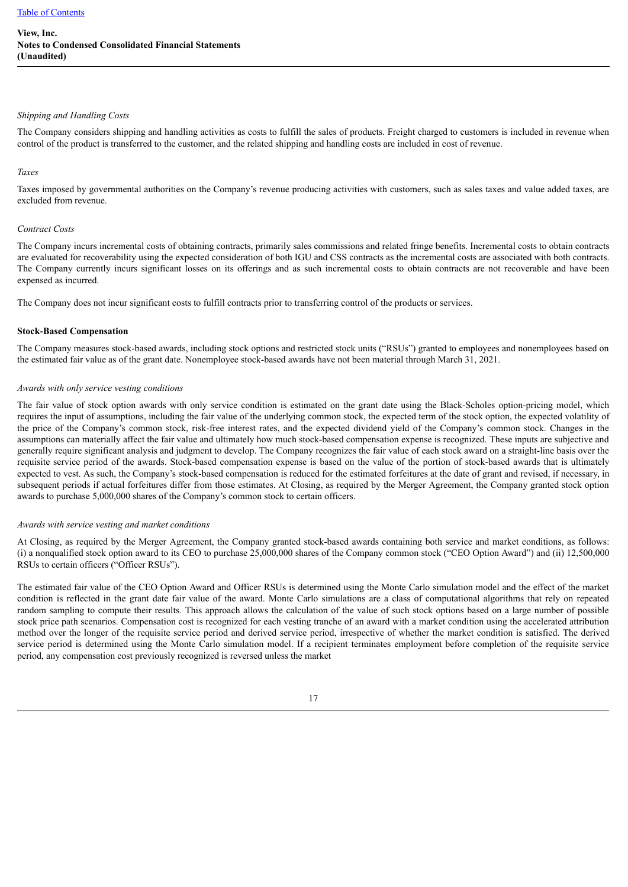#### *Shipping and Handling Costs*

The Company considers shipping and handling activities as costs to fulfill the sales of products. Freight charged to customers is included in revenue when control of the product is transferred to the customer, and the related shipping and handling costs are included in cost of revenue.

#### *Taxes*

Taxes imposed by governmental authorities on the Company's revenue producing activities with customers, such as sales taxes and value added taxes, are excluded from revenue.

# *Contract Costs*

The Company incurs incremental costs of obtaining contracts, primarily sales commissions and related fringe benefits. Incremental costs to obtain contracts are evaluated for recoverability using the expected consideration of both IGU and CSS contracts as the incremental costs are associated with both contracts. The Company currently incurs significant losses on its offerings and as such incremental costs to obtain contracts are not recoverable and have been expensed as incurred.

The Company does not incur significant costs to fulfill contracts prior to transferring control of the products or services.

#### **Stock-Based Compensation**

The Company measures stock-based awards, including stock options and restricted stock units ("RSUs") granted to employees and nonemployees based on the estimated fair value as of the grant date. Nonemployee stock-based awards have not been material through March 31, 2021.

#### *Awards with only service vesting conditions*

The fair value of stock option awards with only service condition is estimated on the grant date using the Black-Scholes option-pricing model, which requires the input of assumptions, including the fair value of the underlying common stock, the expected term of the stock option, the expected volatility of the price of the Company's common stock, risk-free interest rates, and the expected dividend yield of the Company's common stock. Changes in the assumptions can materially affect the fair value and ultimately how much stock-based compensation expense is recognized. These inputs are subjective and generally require significant analysis and judgment to develop. The Company recognizes the fair value of each stock award on a straight-line basis over the requisite service period of the awards. Stock-based compensation expense is based on the value of the portion of stock-based awards that is ultimately expected to vest. As such, the Company's stock-based compensation is reduced for the estimated forfeitures at the date of grant and revised, if necessary, in subsequent periods if actual forfeitures differ from those estimates. At Closing, as required by the Merger Agreement, the Company granted stock option awards to purchase 5,000,000 shares of the Company's common stock to certain officers.

#### *Awards with service vesting and market conditions*

At Closing, as required by the Merger Agreement, the Company granted stock-based awards containing both service and market conditions, as follows: (i) a nonqualified stock option award to its CEO to purchase 25,000,000 shares of the Company common stock ("CEO Option Award") and (ii) 12,500,000 RSUs to certain officers ("Officer RSUs").

The estimated fair value of the CEO Option Award and Officer RSUs is determined using the Monte Carlo simulation model and the effect of the market condition is reflected in the grant date fair value of the award. Monte Carlo simulations are a class of computational algorithms that rely on repeated random sampling to compute their results. This approach allows the calculation of the value of such stock options based on a large number of possible stock price path scenarios. Compensation cost is recognized for each vesting tranche of an award with a market condition using the accelerated attribution method over the longer of the requisite service period and derived service period, irrespective of whether the market condition is satisfied. The derived service period is determined using the Monte Carlo simulation model. If a recipient terminates employment before completion of the requisite service period, any compensation cost previously recognized is reversed unless the market

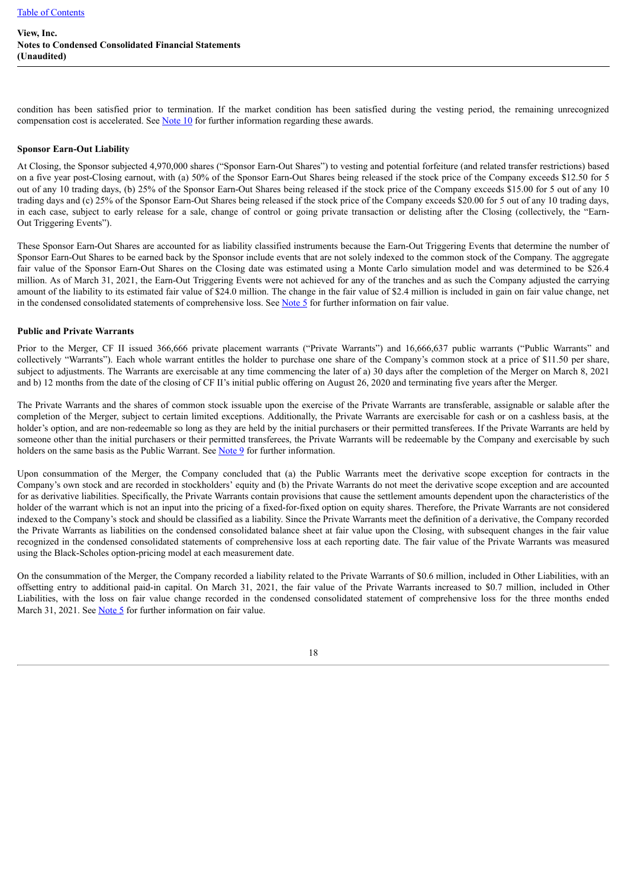condition has been satisfied prior to termination. If the market condition has been satisfied during the vesting period, the remaining unrecognized compensation cost is accelerated. See [Note](#page-33-0) 10 for further information regarding these awards.

# **Sponsor Earn-Out Liability**

At Closing, the Sponsor subjected 4,970,000 shares ("Sponsor Earn-Out Shares") to vesting and potential forfeiture (and related transfer restrictions) based on a five year post-Closing earnout, with (a) 50% of the Sponsor Earn-Out Shares being released if the stock price of the Company exceeds \$12.50 for 5 out of any 10 trading days, (b) 25% of the Sponsor Earn-Out Shares being released if the stock price of the Company exceeds \$15.00 for 5 out of any 10 trading days and (c) 25% of the Sponsor Earn-Out Shares being released if the stock price of the Company exceeds \$20.00 for 5 out of any 10 trading days, in each case, subject to early release for a sale, change of control or going private transaction or delisting after the Closing (collectively, the "Earn-Out Triggering Events").

These Sponsor Earn-Out Shares are accounted for as liability classified instruments because the Earn-Out Triggering Events that determine the number of Sponsor Earn-Out Shares to be earned back by the Sponsor include events that are not solely indexed to the common stock of the Company. The aggregate fair value of the Sponsor Earn-Out Shares on the Closing date was estimated using a Monte Carlo simulation model and was determined to be \$26.4 million. As of March 31, 2021, the Earn-Out Triggering Events were not achieved for any of the tranches and as such the Company adjusted the carrying amount of the liability to its estimated fair value of \$24.0 million. The change in the fair value of \$2.4 million is included in gain on fair value change, net in the condensed consolidated statements of comprehensive loss. See [Note](#page-26-0) 5 for further information on fair value.

#### **Public and Private Warrants**

Prior to the Merger, CF II issued 366,666 private placement warrants ("Private Warrants") and 16,666,637 public warrants ("Public Warrants" and collectively "Warrants"). Each whole warrant entitles the holder to purchase one share of the Company's common stock at a price of \$11.50 per share, subject to adjustments. The Warrants are exercisable at any time commencing the later of a) 30 days after the completion of the Merger on March 8, 2021 and b) 12 months from the date of the closing of CF II's initial public offering on August 26, 2020 and terminating five years after the Merger.

The Private Warrants and the shares of common stock issuable upon the exercise of the Private Warrants are transferable, assignable or salable after the completion of the Merger, subject to certain limited exceptions. Additionally, the Private Warrants are exercisable for cash or on a cashless basis, at the holder's option, and are non-redeemable so long as they are held by the initial purchasers or their permitted transferees. If the Private Warrants are held by someone other than the initial purchasers or their permitted transferees, the Private Warrants will be redeemable by the Company and exercisable by such holders on the same basis as the Public Warrant. See [Note](#page-31-0) 9 for further information.

Upon consummation of the Merger, the Company concluded that (a) the Public Warrants meet the derivative scope exception for contracts in the Company's own stock and are recorded in stockholders' equity and (b) the Private Warrants do not meet the derivative scope exception and are accounted for as derivative liabilities. Specifically, the Private Warrants contain provisions that cause the settlement amounts dependent upon the characteristics of the holder of the warrant which is not an input into the pricing of a fixed-for-fixed option on equity shares. Therefore, the Private Warrants are not considered indexed to the Company's stock and should be classified as a liability. Since the Private Warrants meet the definition of a derivative, the Company recorded the Private Warrants as liabilities on the condensed consolidated balance sheet at fair value upon the Closing, with subsequent changes in the fair value recognized in the condensed consolidated statements of comprehensive loss at each reporting date. The fair value of the Private Warrants was measured using the Black-Scholes option-pricing model at each measurement date.

On the consummation of the Merger, the Company recorded a liability related to the Private Warrants of \$0.6 million, included in Other Liabilities, with an offsetting entry to additional paid-in capital. On March 31, 2021, the fair value of the Private Warrants increased to \$0.7 million, included in Other Liabilities, with the loss on fair value change recorded in the condensed consolidated statement of comprehensive loss for the three months ended March 31, 2021. See [Note](#page-26-0) 5 for further information on fair value.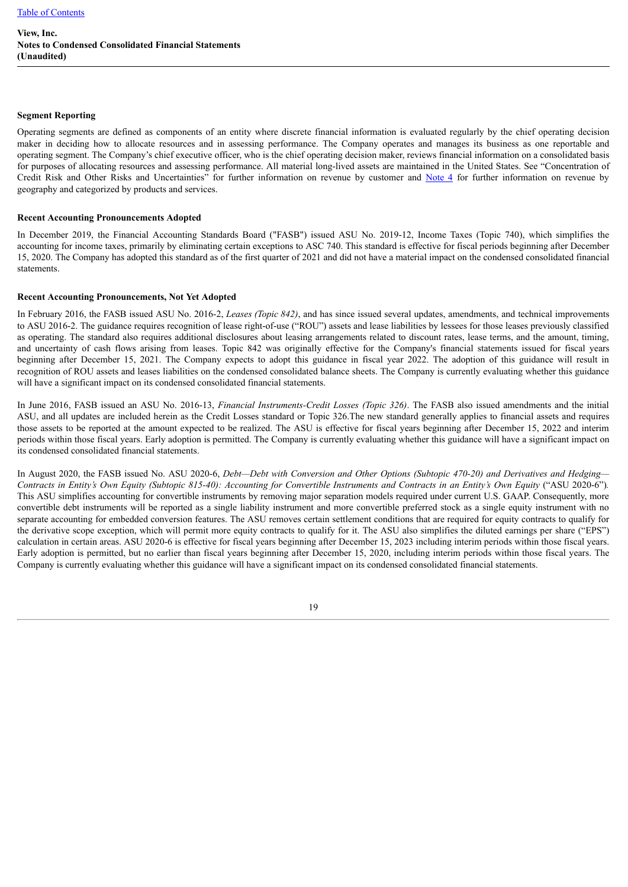#### **Segment Reporting**

Operating segments are defined as components of an entity where discrete financial information is evaluated regularly by the chief operating decision maker in deciding how to allocate resources and in assessing performance. The Company operates and manages its business as one reportable and operating segment. The Company's chief executive officer, who is the chief operating decision maker, reviews financial information on a consolidated basis for purposes of allocating resources and assessing performance. All material long-lived assets are maintained in the United States. See "Concentration of Credit Risk and Other Risks and Uncertainties" for further information on revenue by customer and [Note](#page-25-0) 4 for further information on revenue by geography and categorized by products and services.

#### **Recent Accounting Pronouncements Adopted**

In December 2019, the Financial Accounting Standards Board ("FASB") issued ASU No. 2019-12, Income Taxes (Topic 740), which simplifies the accounting for income taxes, primarily by eliminating certain exceptions to ASC 740. This standard is effective for fiscal periods beginning after December 15, 2020. The Company has adopted this standard as of the first quarter of 2021 and did not have a material impact on the condensed consolidated financial statements.

#### **Recent Accounting Pronouncements, Not Yet Adopted**

In February 2016, the FASB issued ASU No. 2016-2, *Leases (Topic 842)*, and has since issued several updates, amendments, and technical improvements to ASU 2016-2. The guidance requires recognition of lease right-of-use ("ROU") assets and lease liabilities by lessees for those leases previously classified as operating. The standard also requires additional disclosures about leasing arrangements related to discount rates, lease terms, and the amount, timing, and uncertainty of cash flows arising from leases. Topic 842 was originally effective for the Company's financial statements issued for fiscal years beginning after December 15, 2021. The Company expects to adopt this guidance in fiscal year 2022. The adoption of this guidance will result in recognition of ROU assets and leases liabilities on the condensed consolidated balance sheets. The Company is currently evaluating whether this guidance will have a significant impact on its condensed consolidated financial statements.

In June 2016, FASB issued an ASU No. 2016-13, *Financial Instruments-Credit Losses (Topic 326)*. The FASB also issued amendments and the initial ASU, and all updates are included herein as the Credit Losses standard or Topic 326.The new standard generally applies to financial assets and requires those assets to be reported at the amount expected to be realized. The ASU is effective for fiscal years beginning after December 15, 2022 and interim periods within those fiscal years. Early adoption is permitted. The Company is currently evaluating whether this guidance will have a significant impact on its condensed consolidated financial statements.

<span id="page-19-0"></span>In August 2020, the FASB issued No. ASU 2020-6, *Debt—Debt with Conversion and Other Options (Subtopic 470-20) and Derivatives and Hedging—* Contracts in Entity's Own Equity (Subtopic 815-40): Accounting for Convertible Instruments and Contracts in an Entity's Own Equity ("ASU 2020-6"). This ASU simplifies accounting for convertible instruments by removing major separation models required under current U.S. GAAP. Consequently, more convertible debt instruments will be reported as a single liability instrument and more convertible preferred stock as a single equity instrument with no separate accounting for embedded conversion features. The ASU removes certain settlement conditions that are required for equity contracts to qualify for the derivative scope exception, which will permit more equity contracts to qualify for it. The ASU also simplifies the diluted earnings per share ("EPS") calculation in certain areas. ASU 2020-6 is effective for fiscal years beginning after December 15, 2023 including interim periods within those fiscal years. Early adoption is permitted, but no earlier than fiscal years beginning after December 15, 2020, including interim periods within those fiscal years. The Company is currently evaluating whether this guidance will have a significant impact on its condensed consolidated financial statements.

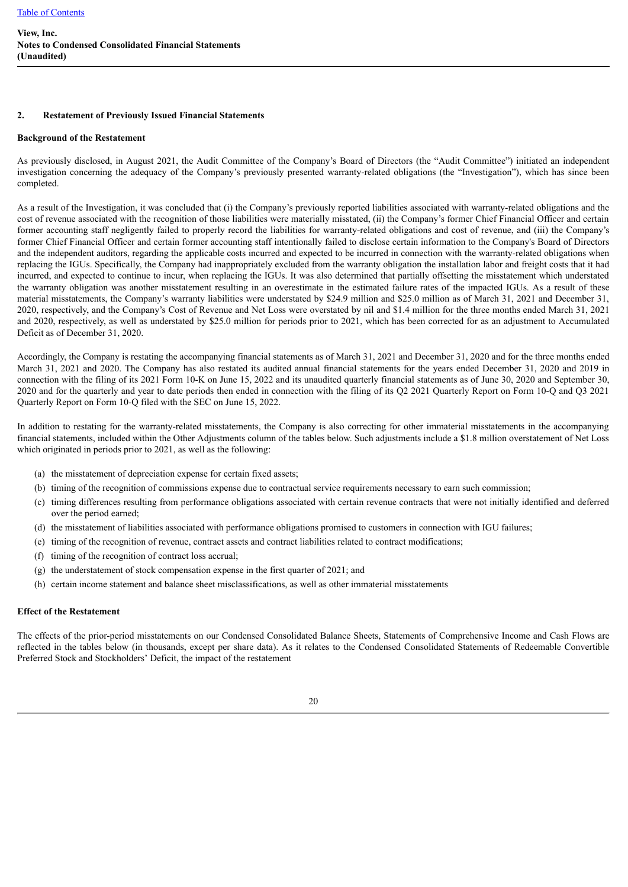# **2. Restatement of Previously Issued Financial Statements**

#### **Background of the Restatement**

As previously disclosed, in August 2021, the Audit Committee of the Company's Board of Directors (the "Audit Committee") initiated an independent investigation concerning the adequacy of the Company's previously presented warranty-related obligations (the "Investigation"), which has since been completed.

As a result of the Investigation, it was concluded that (i) the Company's previously reported liabilities associated with warranty-related obligations and the cost of revenue associated with the recognition of those liabilities were materially misstated, (ii) the Company's former Chief Financial Officer and certain former accounting staff negligently failed to properly record the liabilities for warranty-related obligations and cost of revenue, and (iii) the Company's former Chief Financial Officer and certain former accounting staff intentionally failed to disclose certain information to the Company's Board of Directors and the independent auditors, regarding the applicable costs incurred and expected to be incurred in connection with the warranty-related obligations when replacing the IGUs. Specifically, the Company had inappropriately excluded from the warranty obligation the installation labor and freight costs that it had incurred, and expected to continue to incur, when replacing the IGUs. It was also determined that partially offsetting the misstatement which understated the warranty obligation was another misstatement resulting in an overestimate in the estimated failure rates of the impacted IGUs. As a result of these material misstatements, the Company's warranty liabilities were understated by \$24.9 million and \$25.0 million as of March 31, 2021 and December 31, 2020, respectively, and the Company's Cost of Revenue and Net Loss were overstated by nil and \$1.4 million for the three months ended March 31, 2021 and 2020, respectively, as well as understated by \$25.0 million for periods prior to 2021, which has been corrected for as an adjustment to Accumulated Deficit as of December 31, 2020.

Accordingly, the Company is restating the accompanying financial statements as of March 31, 2021 and December 31, 2020 and for the three months ended March 31, 2021 and 2020. The Company has also restated its audited annual financial statements for the years ended December 31, 2020 and 2019 in connection with the filing of its 2021 Form 10-K on June 15, 2022 and its unaudited quarterly financial statements as of June 30, 2020 and September 30, 2020 and for the quarterly and year to date periods then ended in connection with the filing of its Q2 2021 Quarterly Report on Form 10-Q and Q3 2021 Quarterly Report on Form 10-Q filed with the SEC on June 15, 2022.

In addition to restating for the warranty-related misstatements, the Company is also correcting for other immaterial misstatements in the accompanying financial statements, included within the Other Adjustments column of the tables below. Such adjustments include a \$1.8 million overstatement of Net Loss which originated in periods prior to 2021, as well as the following:

- (a) the misstatement of depreciation expense for certain fixed assets;
- (b) timing of the recognition of commissions expense due to contractual service requirements necessary to earn such commission;
- (c) timing differences resulting from performance obligations associated with certain revenue contracts that were not initially identified and deferred over the period earned;
- (d) the misstatement of liabilities associated with performance obligations promised to customers in connection with IGU failures;
- (e) timing of the recognition of revenue, contract assets and contract liabilities related to contract modifications;
- (f) timing of the recognition of contract loss accrual;
- (g) the understatement of stock compensation expense in the first quarter of 2021; and
- (h) certain income statement and balance sheet misclassifications, as well as other immaterial misstatements

#### **Effect of the Restatement**

The effects of the prior-period misstatements on our Condensed Consolidated Balance Sheets, Statements of Comprehensive Income and Cash Flows are reflected in the tables below (in thousands, except per share data). As it relates to the Condensed Consolidated Statements of Redeemable Convertible Preferred Stock and Stockholders' Deficit, the impact of the restatement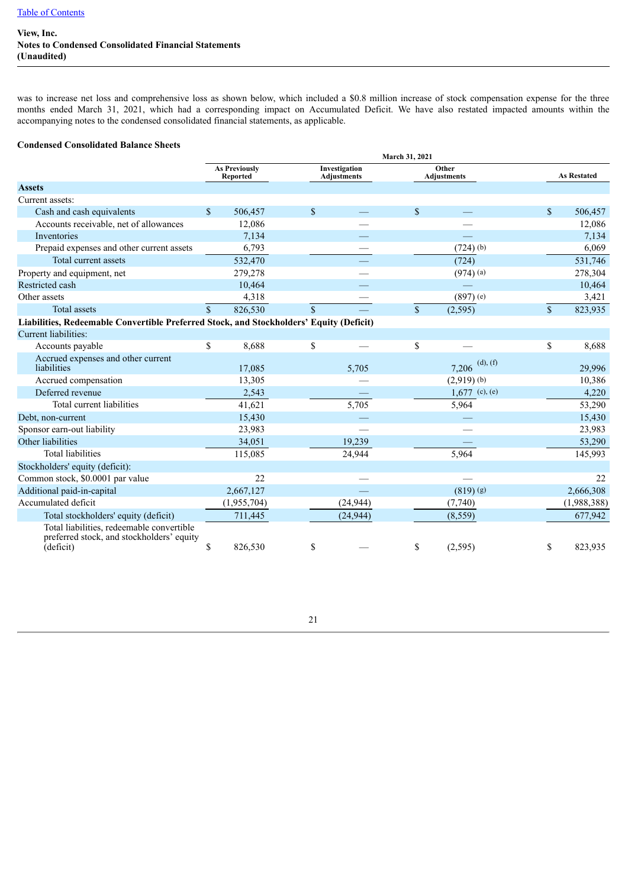was to increase net loss and comprehensive loss as shown below, which included a \$0.8 million increase of stock compensation expense for the three months ended March 31, 2021, which had a corresponding impact on Accumulated Deficit. We have also restated impacted amounts within the accompanying notes to the condensed consolidated financial statements, as applicable.

# **Condensed Consolidated Balance Sheets**

|                                                                                                     |              |                                         |              |                                     | March 31, 2021 |                             |               |                    |  |
|-----------------------------------------------------------------------------------------------------|--------------|-----------------------------------------|--------------|-------------------------------------|----------------|-----------------------------|---------------|--------------------|--|
|                                                                                                     |              | <b>As Previously</b><br><b>Reported</b> |              | Investigation<br><b>Adjustments</b> |                | Other<br><b>Adjustments</b> |               | <b>As Restated</b> |  |
| <b>Assets</b>                                                                                       |              |                                         |              |                                     |                |                             |               |                    |  |
| Current assets:                                                                                     |              |                                         |              |                                     |                |                             |               |                    |  |
| Cash and cash equivalents                                                                           | $\mathbb{S}$ | 506,457                                 | $\mathbb{S}$ |                                     | $\mathbf S$    |                             | $\mathcal{S}$ | 506,457            |  |
| Accounts receivable, net of allowances                                                              |              | 12,086                                  |              |                                     |                |                             |               | 12,086             |  |
| Inventories                                                                                         |              | 7,134                                   |              |                                     |                |                             |               | 7,134              |  |
| Prepaid expenses and other current assets                                                           |              | 6,793                                   |              |                                     |                | $(724)$ (b)                 |               | 6,069              |  |
| Total current assets                                                                                |              | 532,470                                 |              |                                     |                | (724)                       |               | 531,746            |  |
| Property and equipment, net                                                                         |              | 279,278                                 |              |                                     |                | $(974)$ (a)                 |               | 278,304            |  |
| Restricted cash                                                                                     |              | 10,464                                  |              |                                     |                |                             |               | 10,464             |  |
| Other assets                                                                                        |              | 4,318                                   |              |                                     |                | $(897)$ (e)                 |               | 3,421              |  |
| <b>Total assets</b>                                                                                 | $\mathbb{S}$ | 826,530                                 | $\mathbb{S}$ |                                     | \$             | (2,595)                     | $\mathcal{S}$ | 823,935            |  |
| Liabilities, Redeemable Convertible Preferred Stock, and Stockholders' Equity (Deficit)             |              |                                         |              |                                     |                |                             |               |                    |  |
| Current liabilities:                                                                                |              |                                         |              |                                     |                |                             |               |                    |  |
| Accounts payable                                                                                    | \$           | 8,688                                   | \$           |                                     | \$             |                             | \$            | 8,688              |  |
| Accrued expenses and other current<br>liabilities                                                   |              | 17,085                                  |              | 5,705                               |                | $(d)$ , $(f)$<br>7,206      |               | 29,996             |  |
| Accrued compensation                                                                                |              | 13,305                                  |              |                                     |                | $(2,919)$ (b)               |               | 10,386             |  |
| Deferred revenue                                                                                    |              | 2,543                                   |              |                                     |                | $1,677$ (c), (e)            |               | 4,220              |  |
| Total current liabilities                                                                           |              | 41,621                                  |              | 5,705                               |                | 5,964                       |               | 53,290             |  |
| Debt, non-current                                                                                   |              | 15,430                                  |              |                                     |                |                             |               | 15,430             |  |
| Sponsor earn-out liability                                                                          |              | 23,983                                  |              |                                     |                |                             |               | 23,983             |  |
| Other liabilities                                                                                   |              | 34,051                                  |              | 19,239                              |                |                             |               | 53,290             |  |
| <b>Total liabilities</b>                                                                            |              | 115,085                                 |              | 24,944                              |                | 5,964                       |               | 145,993            |  |
| Stockholders' equity (deficit):                                                                     |              |                                         |              |                                     |                |                             |               |                    |  |
| Common stock, \$0.0001 par value                                                                    |              | 22                                      |              |                                     |                |                             |               | 22                 |  |
| Additional paid-in-capital                                                                          |              | 2,667,127                               |              |                                     |                | $(819)$ $(g)$               |               | 2,666,308          |  |
| Accumulated deficit                                                                                 |              | (1,955,704)                             |              | (24, 944)                           |                | (7,740)                     |               | (1,988,388)        |  |
| Total stockholders' equity (deficit)                                                                |              | 711,445                                 |              | (24, 944)                           |                | (8,559)                     |               | 677,942            |  |
| Total liabilities, redeemable convertible<br>preferred stock, and stockholders' equity<br>(deficit) | \$           | 826.530                                 | \$           |                                     | \$             | (2,595)                     | \$            | 823.935            |  |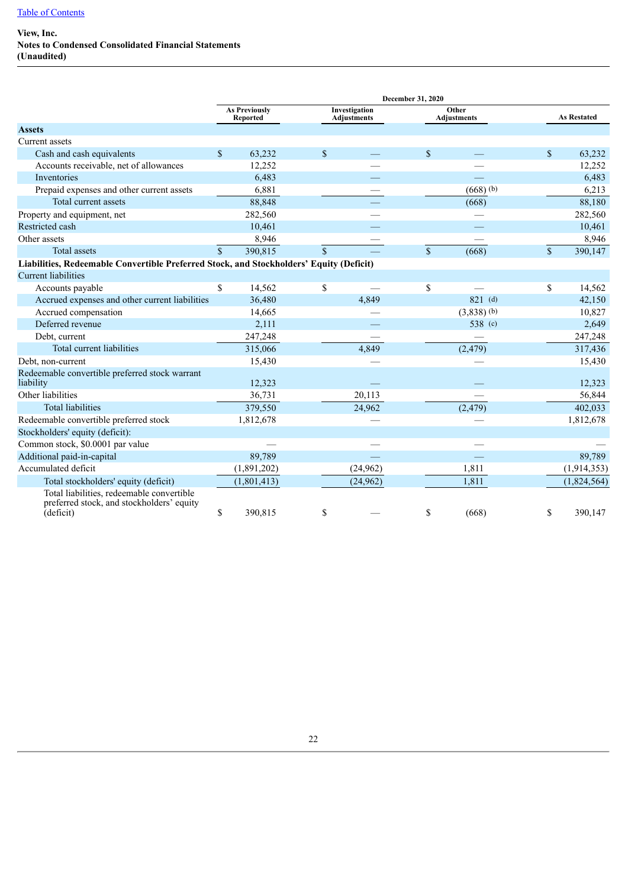|                                                                                                     | December 31, 2020  |                                  |               |                                     |              |                             |              |                    |  |  |  |
|-----------------------------------------------------------------------------------------------------|--------------------|----------------------------------|---------------|-------------------------------------|--------------|-----------------------------|--------------|--------------------|--|--|--|
|                                                                                                     |                    | <b>As Previously</b><br>Reported |               | Investigation<br><b>Adjustments</b> |              | Other<br><b>Adjustments</b> |              | <b>As Restated</b> |  |  |  |
| <b>Assets</b>                                                                                       |                    |                                  |               |                                     |              |                             |              |                    |  |  |  |
| Current assets                                                                                      |                    |                                  |               |                                     |              |                             |              |                    |  |  |  |
| Cash and cash equivalents                                                                           | $\mathbb{S}$       | 63,232                           | \$            |                                     | $\mathbb{S}$ |                             | \$           | 63,232             |  |  |  |
| Accounts receivable, net of allowances                                                              |                    | 12,252                           |               |                                     |              |                             |              | 12,252             |  |  |  |
| Inventories                                                                                         |                    | 6,483                            |               |                                     |              |                             |              | 6,483              |  |  |  |
| Prepaid expenses and other current assets                                                           |                    | 6,881                            |               |                                     |              | $(668)$ $(b)$               |              | 6,213              |  |  |  |
| Total current assets                                                                                |                    | 88,848                           |               |                                     |              | (668)                       |              | 88,180             |  |  |  |
| Property and equipment, net                                                                         |                    | 282,560                          |               |                                     |              |                             |              | 282,560            |  |  |  |
| Restricted cash                                                                                     |                    | 10,461                           |               |                                     |              |                             |              | 10,461             |  |  |  |
| Other assets                                                                                        |                    | 8,946                            |               |                                     |              |                             |              | 8,946              |  |  |  |
| <b>Total assets</b>                                                                                 | $\mathbf{\hat{s}}$ | 390,815                          | $\mathcal{S}$ |                                     | $\mathbb{S}$ | (668)                       | $\mathbb{S}$ | 390,147            |  |  |  |
| Liabilities, Redeemable Convertible Preferred Stock, and Stockholders' Equity (Deficit)             |                    |                                  |               |                                     |              |                             |              |                    |  |  |  |
| <b>Current liabilities</b>                                                                          |                    |                                  |               |                                     |              |                             |              |                    |  |  |  |
| Accounts payable                                                                                    | \$                 | 14,562                           | \$            |                                     | \$           |                             | \$           | 14,562             |  |  |  |
| Accrued expenses and other current liabilities                                                      |                    | 36,480                           |               | 4,849                               |              | 821 (d)                     |              | 42,150             |  |  |  |
| Accrued compensation                                                                                |                    | 14,665                           |               |                                     |              | $(3,838)$ (b)               |              | 10,827             |  |  |  |
| Deferred revenue                                                                                    |                    | 2,111                            |               |                                     |              | 538 (c)                     |              | 2,649              |  |  |  |
| Debt. current                                                                                       |                    | 247,248                          |               |                                     |              |                             |              | 247,248            |  |  |  |
| Total current liabilities                                                                           |                    | 315,066                          |               | 4,849                               |              | (2, 479)                    |              | 317,436            |  |  |  |
| Debt, non-current                                                                                   |                    | 15,430                           |               |                                     |              |                             |              | 15,430             |  |  |  |
| Redeemable convertible preferred stock warrant<br>liability                                         |                    | 12,323                           |               |                                     |              |                             |              | 12,323             |  |  |  |
| Other liabilities                                                                                   |                    | 36,731                           |               | 20,113                              |              |                             |              | 56,844             |  |  |  |
| <b>Total liabilities</b>                                                                            |                    | 379,550                          |               | 24,962                              |              | (2, 479)                    |              | 402,033            |  |  |  |
| Redeemable convertible preferred stock                                                              |                    | 1,812,678                        |               |                                     |              |                             |              | 1,812,678          |  |  |  |
| Stockholders' equity (deficit):                                                                     |                    |                                  |               |                                     |              |                             |              |                    |  |  |  |
| Common stock, \$0.0001 par value                                                                    |                    |                                  |               |                                     |              |                             |              |                    |  |  |  |
| Additional paid-in-capital                                                                          |                    | 89,789                           |               |                                     |              |                             |              | 89,789             |  |  |  |
| Accumulated deficit                                                                                 |                    | (1,891,202)                      |               | (24,962)                            |              | 1,811                       |              | (1,914,353)        |  |  |  |
| Total stockholders' equity (deficit)                                                                |                    | (1,801,413)                      |               | (24,962)                            |              | 1,811                       |              | (1,824,564)        |  |  |  |
| Total liabilities, redeemable convertible<br>preferred stock, and stockholders' equity<br>(deficit) | \$                 | 390,815                          | \$            |                                     | \$           | (668)                       | \$           | 390,147            |  |  |  |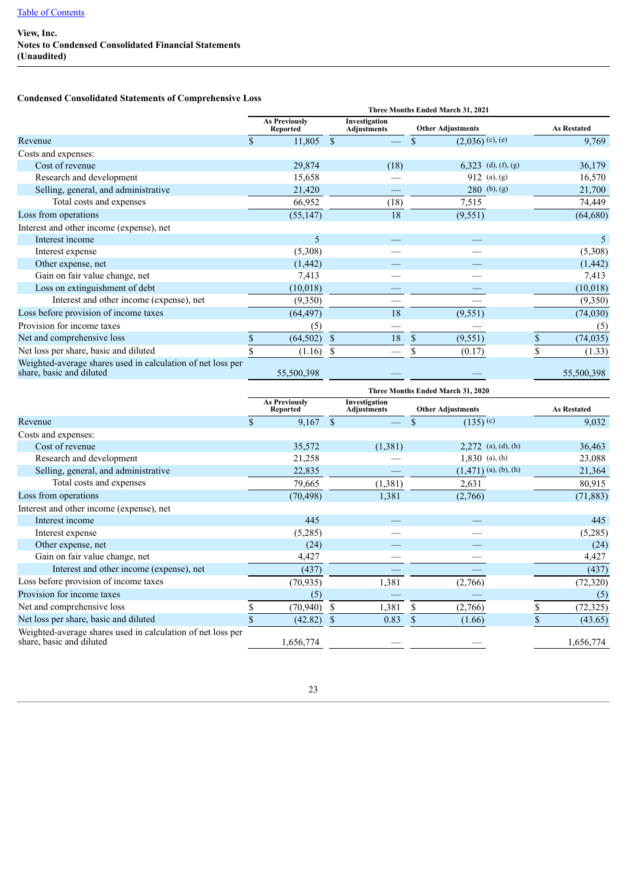# **Condensed Consolidated Statements of Comprehensive Loss**

|                                                                                         | Three Months Ended March 31, 2021 |                                  |              |                                     |               |                          |   |                    |  |  |
|-----------------------------------------------------------------------------------------|-----------------------------------|----------------------------------|--------------|-------------------------------------|---------------|--------------------------|---|--------------------|--|--|
|                                                                                         |                                   | <b>As Previously</b><br>Reported |              | Investigation<br><b>Adjustments</b> |               | <b>Other Adjustments</b> |   | <b>As Restated</b> |  |  |
| Revenue                                                                                 | S                                 | 11,805                           | $\mathbf{s}$ |                                     |               | $(2,036)$ (c), (e)       |   | 9,769              |  |  |
| Costs and expenses:                                                                     |                                   |                                  |              |                                     |               |                          |   |                    |  |  |
| Cost of revenue                                                                         |                                   | 29,874                           |              | (18)                                |               | $6,323$ (d), (f), (g)    |   | 36,179             |  |  |
| Research and development                                                                |                                   | 15,658                           |              |                                     |               | $912$ (a), (g)           |   | 16,570             |  |  |
| Selling, general, and administrative                                                    |                                   | 21,420                           |              |                                     |               | $280$ (b), (g)           |   | 21,700             |  |  |
| Total costs and expenses                                                                |                                   | 66,952                           |              | (18)                                |               | 7,515                    |   | 74,449             |  |  |
| Loss from operations                                                                    |                                   | (55, 147)                        |              | 18                                  |               | (9,551)                  |   | (64, 680)          |  |  |
| Interest and other income (expense), net                                                |                                   |                                  |              |                                     |               |                          |   |                    |  |  |
| Interest income                                                                         |                                   | 5                                |              |                                     |               |                          |   | 5                  |  |  |
| Interest expense                                                                        |                                   | (5,308)                          |              |                                     |               |                          |   | (5,308)            |  |  |
| Other expense, net                                                                      |                                   | (1, 442)                         |              |                                     |               |                          |   | (1, 442)           |  |  |
| Gain on fair value change, net                                                          |                                   | 7,413                            |              |                                     |               |                          |   | 7,413              |  |  |
| Loss on extinguishment of debt                                                          |                                   | (10,018)                         |              |                                     |               |                          |   | (10, 018)          |  |  |
| Interest and other income (expense), net                                                |                                   | (9,350)                          |              |                                     |               |                          |   | (9,350)            |  |  |
| Loss before provision of income taxes                                                   |                                   | (64, 497)                        |              | 18                                  |               | (9, 551)                 |   | (74,030)           |  |  |
| Provision for income taxes                                                              |                                   | (5)                              |              |                                     |               |                          |   | (5)                |  |  |
| Net and comprehensive loss                                                              |                                   | (64, 502)                        | $\mathbf S$  | 18                                  | <sup>\$</sup> | (9, 551)                 |   | (74, 035)          |  |  |
| Net loss per share, basic and diluted                                                   |                                   | $(1.16)$ \$                      |              |                                     | \$            | (0.17)                   | S | (1.33)             |  |  |
| Weighted-average shares used in calculation of net loss per<br>share, basic and diluted |                                   | 55,500,398                       |              |                                     |               |                          |   | 55,500,398         |  |  |

|                                                                                         | Three Months Ended March 31, 2020 |                                     |                          |                    |  |  |  |
|-----------------------------------------------------------------------------------------|-----------------------------------|-------------------------------------|--------------------------|--------------------|--|--|--|
|                                                                                         | <b>As Previously</b><br>Reported  | Investigation<br><b>Adjustments</b> | <b>Other Adjustments</b> | <b>As Restated</b> |  |  |  |
| Revenue                                                                                 | \$<br>9,167                       | $\mathcal{S}$                       | $(135)$ (c)              | 9,032              |  |  |  |
| Costs and expenses:                                                                     |                                   |                                     |                          |                    |  |  |  |
| Cost of revenue                                                                         | 35,572                            | (1,381)                             | $2,272$ (a), (d), (h)    | 36,463             |  |  |  |
| Research and development                                                                | 21,258                            |                                     | $1,830$ (a), (h)         | 23,088             |  |  |  |
| Selling, general, and administrative                                                    | 22,835                            |                                     | $(1,471)$ (a), (b), (h)  | 21,364             |  |  |  |
| Total costs and expenses                                                                | 79,665                            | (1,381)                             | 2,631                    | 80,915             |  |  |  |
| Loss from operations                                                                    | (70, 498)                         | 1,381                               | (2,766)                  | (71, 883)          |  |  |  |
| Interest and other income (expense), net                                                |                                   |                                     |                          |                    |  |  |  |
| Interest income                                                                         | 445                               |                                     |                          | 445                |  |  |  |
| Interest expense                                                                        | (5,285)                           |                                     |                          | (5,285)            |  |  |  |
| Other expense, net                                                                      | (24)                              |                                     |                          | (24)               |  |  |  |
| Gain on fair value change, net                                                          | 4,427                             |                                     |                          | 4,427              |  |  |  |
| Interest and other income (expense), net                                                | (437)                             |                                     |                          | (437)              |  |  |  |
| Loss before provision of income taxes                                                   | (70, 935)                         | 1,381                               | (2,766)                  | (72, 320)          |  |  |  |
| Provision for income taxes                                                              | (5)                               |                                     |                          | (5)                |  |  |  |
| Net and comprehensive loss                                                              | (70, 940)                         | 1,381<br><sup>\$</sup>              | \$<br>(2,766)            | (72, 325)          |  |  |  |
| Net loss per share, basic and diluted                                                   | (42.82)                           | 0.83<br><sup>S</sup>                | <sup>\$</sup><br>(1.66)  | (43.65)            |  |  |  |
| Weighted-average shares used in calculation of net loss per<br>share, basic and diluted | 1,656,774                         |                                     |                          | 1,656,774          |  |  |  |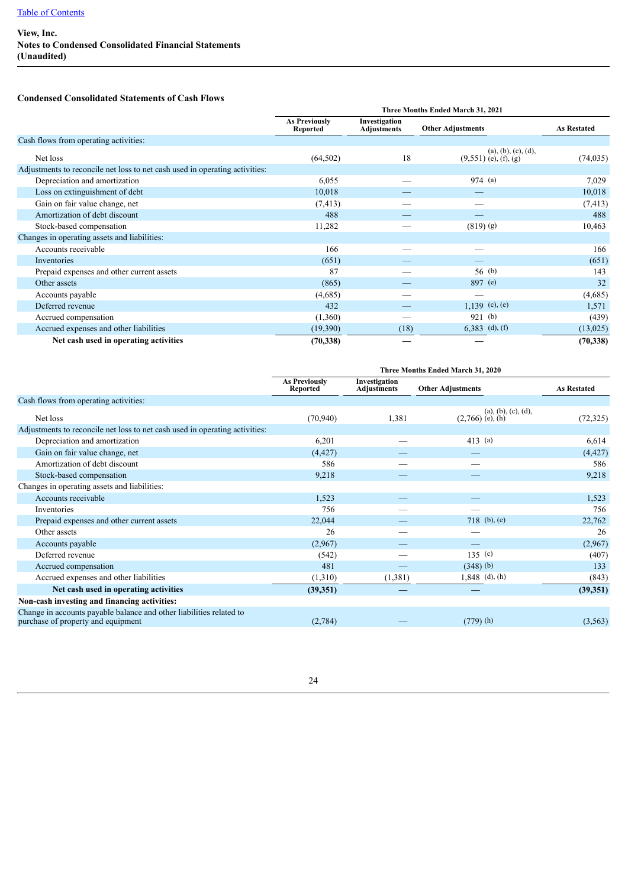# **Condensed Consolidated Statements of Cash Flows**

|                                                                             | Three Months Ended March 31, 2021 |                                     |                                                |                    |  |  |
|-----------------------------------------------------------------------------|-----------------------------------|-------------------------------------|------------------------------------------------|--------------------|--|--|
|                                                                             | <b>As Previously</b><br>Reported  | Investigation<br><b>Adjustments</b> | <b>Other Adjustments</b>                       | <b>As Restated</b> |  |  |
| Cash flows from operating activities:                                       |                                   |                                     |                                                |                    |  |  |
| Net loss                                                                    | (64, 502)                         | 18                                  | (a), (b), (c), (d),<br>$(9,551)$ (e), (f), (g) | (74, 035)          |  |  |
| Adjustments to reconcile net loss to net cash used in operating activities: |                                   |                                     |                                                |                    |  |  |
| Depreciation and amortization                                               | 6,055                             |                                     | $974$ (a)                                      | 7,029              |  |  |
| Loss on extinguishment of debt                                              | 10,018                            |                                     |                                                | 10,018             |  |  |
| Gain on fair value change, net                                              | (7, 413)                          |                                     |                                                | (7, 413)           |  |  |
| Amortization of debt discount                                               | 488                               |                                     |                                                | 488                |  |  |
| Stock-based compensation                                                    | 11,282                            |                                     | $(819)$ $(g)$                                  | 10,463             |  |  |
| Changes in operating assets and liabilities:                                |                                   |                                     |                                                |                    |  |  |
| Accounts receivable                                                         | 166                               |                                     |                                                | 166                |  |  |
| Inventories                                                                 | (651)                             |                                     |                                                | (651)              |  |  |
| Prepaid expenses and other current assets                                   | 87                                |                                     | 56 (b)                                         | 143                |  |  |
| Other assets                                                                | (865)                             |                                     | $897$ (e)                                      | 32                 |  |  |
| Accounts payable                                                            | (4,685)                           |                                     |                                                | (4,685)            |  |  |
| Deferred revenue                                                            | 432                               |                                     | $1,139$ (c), (e)                               | 1,571              |  |  |
| Accrued compensation                                                        | (1,360)                           |                                     | 921(b)                                         | (439)              |  |  |
| Accrued expenses and other liabilities                                      | (19,390)                          | (18)                                | $6,383$ (d), (f)                               | (13,025)           |  |  |
| Net cash used in operating activities                                       | (70, 338)                         |                                     |                                                | (70, 338)          |  |  |

<span id="page-24-0"></span>

|                                                                                                           | Three Months Ended March 31, 2020 |                                     |                               |                    |  |  |  |
|-----------------------------------------------------------------------------------------------------------|-----------------------------------|-------------------------------------|-------------------------------|--------------------|--|--|--|
|                                                                                                           | <b>As Previously</b><br>Reported  | Investigation<br><b>Adjustments</b> | <b>Other Adjustments</b>      | <b>As Restated</b> |  |  |  |
| Cash flows from operating activities:                                                                     |                                   |                                     |                               |                    |  |  |  |
| Net loss                                                                                                  | (70, 940)                         | 1,381                               | $(2,766)$ (e), (b), (c), (d), | (72, 325)          |  |  |  |
| Adjustments to reconcile net loss to net cash used in operating activities:                               |                                   |                                     |                               |                    |  |  |  |
| Depreciation and amortization                                                                             | 6,201                             |                                     | 413(a)                        | 6,614              |  |  |  |
| Gain on fair value change, net                                                                            | (4, 427)                          |                                     |                               | (4, 427)           |  |  |  |
| Amortization of debt discount                                                                             | 586                               |                                     |                               | 586                |  |  |  |
| Stock-based compensation                                                                                  | 9,218                             |                                     |                               | 9,218              |  |  |  |
| Changes in operating assets and liabilities:                                                              |                                   |                                     |                               |                    |  |  |  |
| Accounts receivable                                                                                       | 1,523                             |                                     |                               | 1,523              |  |  |  |
| Inventories                                                                                               | 756                               |                                     |                               | 756                |  |  |  |
| Prepaid expenses and other current assets                                                                 | 22,044                            |                                     | $718$ (b), (e)                | 22,762             |  |  |  |
| Other assets                                                                                              | 26                                |                                     |                               | 26                 |  |  |  |
| Accounts payable                                                                                          | (2,967)                           |                                     |                               | (2,967)            |  |  |  |
| Deferred revenue                                                                                          | (542)                             |                                     | $135$ (c)                     | (407)              |  |  |  |
| Accrued compensation                                                                                      | 481                               |                                     | $(348)$ (b)                   | 133                |  |  |  |
| Accrued expenses and other liabilities                                                                    | (1,310)                           | (1,381)                             | $1,848$ (d), (h)              | (843)              |  |  |  |
| Net cash used in operating activities                                                                     | (39,351)                          |                                     |                               | (39, 351)          |  |  |  |
| Non-cash investing and financing activities:                                                              |                                   |                                     |                               |                    |  |  |  |
| Change in accounts payable balance and other liabilities related to<br>purchase of property and equipment | (2,784)                           |                                     | $(779)$ (h)                   | (3,563)            |  |  |  |
|                                                                                                           |                                   |                                     |                               |                    |  |  |  |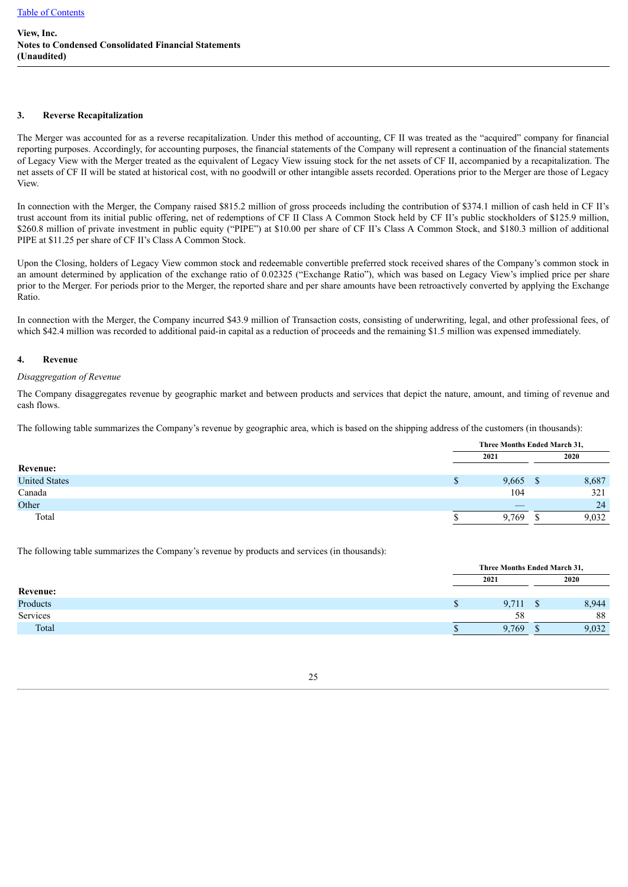#### **3. Reverse Recapitalization**

The Merger was accounted for as a reverse recapitalization. Under this method of accounting, CF II was treated as the "acquired" company for financial reporting purposes. Accordingly, for accounting purposes, the financial statements of the Company will represent a continuation of the financial statements of Legacy View with the Merger treated as the equivalent of Legacy View issuing stock for the net assets of CF II, accompanied by a recapitalization. The net assets of CF II will be stated at historical cost, with no goodwill or other intangible assets recorded. Operations prior to the Merger are those of Legacy View.

In connection with the Merger, the Company raised \$815.2 million of gross proceeds including the contribution of \$374.1 million of cash held in CF II's trust account from its initial public offering, net of redemptions of CF II Class A Common Stock held by CF II's public stockholders of \$125.9 million, \$260.8 million of private investment in public equity ("PIPE") at \$10.00 per share of CF II's Class A Common Stock, and \$180.3 million of additional PIPE at \$11.25 per share of CF II's Class A Common Stock.

Upon the Closing, holders of Legacy View common stock and redeemable convertible preferred stock received shares of the Company's common stock in an amount determined by application of the exchange ratio of 0.02325 ("Exchange Ratio"), which was based on Legacy View's implied price per share prior to the Merger. For periods prior to the Merger, the reported share and per share amounts have been retroactively converted by applying the Exchange Ratio.

In connection with the Merger, the Company incurred \$43.9 million of Transaction costs, consisting of underwriting, legal, and other professional fees, of which \$42.4 million was recorded to additional paid-in capital as a reduction of proceeds and the remaining \$1.5 million was expensed immediately.

#### <span id="page-25-0"></span>**4. Revenue**

#### *Disaggregation of Revenue*

The Company disaggregates revenue by geographic market and between products and services that depict the nature, amount, and timing of revenue and cash flows.

The following table summarizes the Company's revenue by geographic area, which is based on the shipping address of the customers (in thousands):

|                      |   | Three Months Ended March 31, |  |       |  |
|----------------------|---|------------------------------|--|-------|--|
|                      |   | 2021                         |  | 2020  |  |
| <b>Revenue:</b>      |   |                              |  |       |  |
| <b>United States</b> | P | $9,665$ \$                   |  | 8,687 |  |
| Canada               |   | 104                          |  | 321   |  |
| Other                |   |                              |  | 24    |  |
| Total                |   | 9,769                        |  | 9,032 |  |
|                      |   |                              |  |       |  |

The following table summarizes the Company's revenue by products and services (in thousands):

|                 |   | Three Months Ended March 31, |  |       |  |
|-----------------|---|------------------------------|--|-------|--|
|                 |   | 2021                         |  | 2020  |  |
| <b>Revenue:</b> |   |                              |  |       |  |
| Products        | ъ | 9,711                        |  | 8,944 |  |
| Services        |   | 58                           |  | 88    |  |
| Total           |   | 9,769                        |  | 9,032 |  |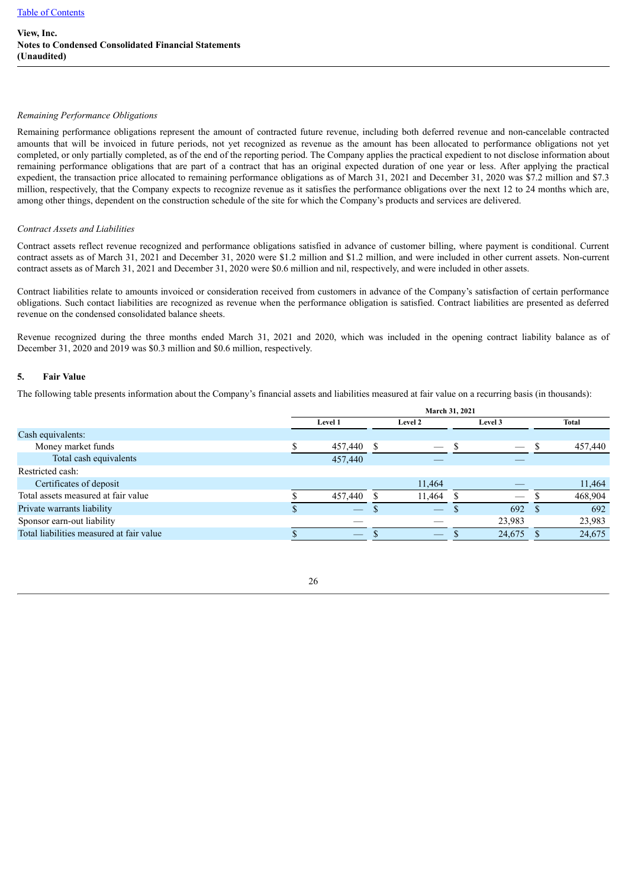#### *Remaining Performance Obligations*

Remaining performance obligations represent the amount of contracted future revenue, including both deferred revenue and non-cancelable contracted amounts that will be invoiced in future periods, not yet recognized as revenue as the amount has been allocated to performance obligations not yet completed, or only partially completed, as of the end of the reporting period. The Company applies the practical expedient to not disclose information about remaining performance obligations that are part of a contract that has an original expected duration of one year or less. After applying the practical expedient, the transaction price allocated to remaining performance obligations as of March 31, 2021 and December 31, 2020 was \$7.2 million and \$7.3 million, respectively, that the Company expects to recognize revenue as it satisfies the performance obligations over the next 12 to 24 months which are, among other things, dependent on the construction schedule of the site for which the Company's products and services are delivered.

#### *Contract Assets and Liabilities*

Contract assets reflect revenue recognized and performance obligations satisfied in advance of customer billing, where payment is conditional. Current contract assets as of March 31, 2021 and December 31, 2020 were \$1.2 million and \$1.2 million, and were included in other current assets. Non-current contract assets as of March 31, 2021 and December 31, 2020 were \$0.6 million and nil, respectively, and were included in other assets.

Contract liabilities relate to amounts invoiced or consideration received from customers in advance of the Company's satisfaction of certain performance obligations. Such contact liabilities are recognized as revenue when the performance obligation is satisfied. Contract liabilities are presented as deferred revenue on the condensed consolidated balance sheets.

Revenue recognized during the three months ended March 31, 2021 and 2020, which was included in the opening contract liability balance as of December 31, 2020 and 2019 was \$0.3 million and \$0.6 million, respectively.

#### <span id="page-26-0"></span>**5. Fair Value**

The following table presents information about the Company's financial assets and liabilities measured at fair value on a recurring basis (in thousands):

|                                          | March 31, 2021                  |  |                                |    |         |      |         |
|------------------------------------------|---------------------------------|--|--------------------------------|----|---------|------|---------|
|                                          | Level 1                         |  | Level 2                        |    | Level 3 |      | Total   |
| Cash equivalents:                        |                                 |  |                                |    |         |      |         |
| Money market funds                       | 457,440                         |  |                                |    |         |      | 457,440 |
| Total cash equivalents                   | 457,440                         |  |                                |    |         |      |         |
| Restricted cash:                         |                                 |  |                                |    |         |      |         |
| Certificates of deposit                  |                                 |  | 11,464                         |    |         |      | 11,464  |
| Total assets measured at fair value      | 457,440                         |  | 11,464                         |    |         |      | 468,904 |
| Private warrants liability               | $\hspace{0.1mm}-\hspace{0.1mm}$ |  |                                | Ъ. | 692     | - \$ | 692     |
| Sponsor earn-out liability               |                                 |  |                                |    | 23,983  |      | 23,983  |
| Total liabilities measured at fair value | $\overline{\phantom{m}}$        |  | $\overbrace{\hspace{25mm}}^{}$ |    | 24,675  |      | 24,675  |
|                                          |                                 |  |                                |    |         |      |         |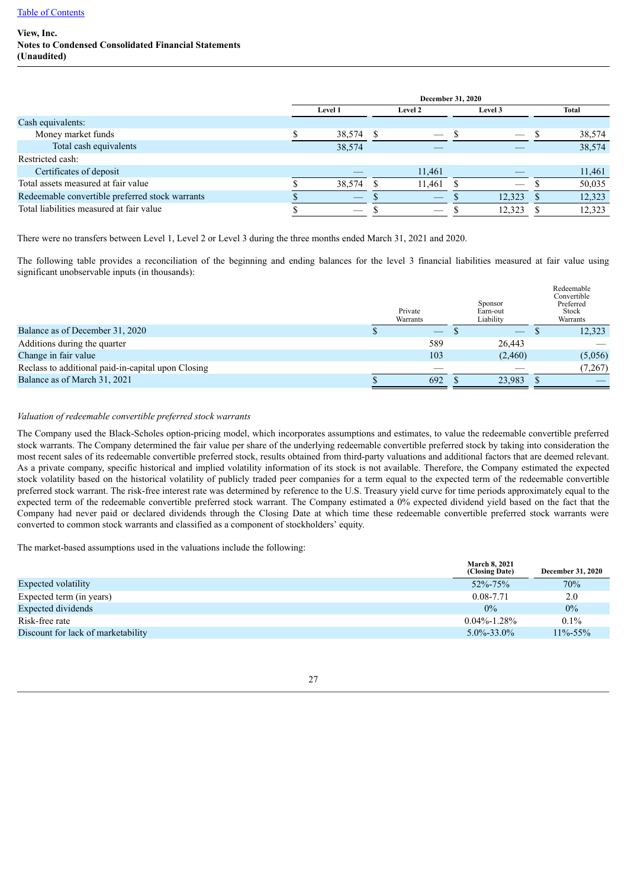|                                                 | <b>December 31, 2020</b> |                               |  |                                |  |         |  |        |
|-------------------------------------------------|--------------------------|-------------------------------|--|--------------------------------|--|---------|--|--------|
|                                                 |                          | Level 1                       |  | Level 2                        |  | Level 3 |  | Total  |
| Cash equivalents:                               |                          |                               |  |                                |  |         |  |        |
| Money market funds                              |                          | 38,574                        |  |                                |  |         |  | 38,574 |
| Total cash equivalents                          |                          | 38,574                        |  |                                |  |         |  | 38,574 |
| Restricted cash:                                |                          |                               |  |                                |  |         |  |        |
| Certificates of deposit                         |                          |                               |  | 11,461                         |  |         |  | 11,461 |
| Total assets measured at fair value             |                          | 38,574                        |  | 11,461                         |  |         |  | 50,035 |
| Redeemable convertible preferred stock warrants |                          |                               |  | $\overbrace{\hspace{25mm}}^{}$ |  | 12.323  |  | 12,323 |
| Total liabilities measured at fair value        |                          | $\overbrace{\phantom{12332}}$ |  |                                |  | 12,323  |  | 12.323 |

There were no transfers between Level 1, Level 2 or Level 3 during the three months ended March 31, 2021 and 2020.

The following table provides a reconciliation of the beginning and ending balances for the level 3 financial liabilities measured at fair value using significant unobservable inputs (in thousands):

|                                                    | Private<br>Warrants | Sponsor<br>Earn-out<br>Liabilitv | Redeemable<br>Convertible<br>Preferred<br>Stock<br>Warrants |
|----------------------------------------------------|---------------------|----------------------------------|-------------------------------------------------------------|
| Balance as of December 31, 2020                    | $\hspace{0.05cm}$   | $\hspace{0.05cm}$                | 12,323                                                      |
| Additions during the quarter                       | 589                 | 26.443                           |                                                             |
| Change in fair value                               | 103                 | (2,460)                          | (5,056)                                                     |
| Reclass to additional paid-in-capital upon Closing |                     |                                  | (7,267)                                                     |
| Balance as of March 31, 2021                       | 692                 | 23,983                           |                                                             |

# *Valuation of redeemable convertible preferred stock warrants*

The Company used the Black-Scholes option-pricing model, which incorporates assumptions and estimates, to value the redeemable convertible preferred stock warrants. The Company determined the fair value per share of the underlying redeemable convertible preferred stock by taking into consideration the most recent sales of its redeemable convertible preferred stock, results obtained from third-party valuations and additional factors that are deemed relevant. As a private company, specific historical and implied volatility information of its stock is not available. Therefore, the Company estimated the expected stock volatility based on the historical volatility of publicly traded peer companies for a term equal to the expected term of the redeemable convertible preferred stock warrant. The risk-free interest rate was determined by reference to the U.S. Treasury yield curve for time periods approximately equal to the expected term of the redeemable convertible preferred stock warrant. The Company estimated a 0% expected dividend yield based on the fact that the Company had never paid or declared dividends through the Closing Date at which time these redeemable convertible preferred stock warrants were converted to common stock warrants and classified as a component of stockholders' equity.

The market-based assumptions used in the valuations include the following:

|                                    | <b>March 8, 2021</b><br>(Closing Date) | <b>December 31, 2020</b> |
|------------------------------------|----------------------------------------|--------------------------|
| <b>Expected volatility</b>         | $52\% - 75\%$                          | 70%                      |
| Expected term (in years)           | 0.08-7.71                              | 2.0                      |
| Expected dividends                 | $0\%$                                  | $0\%$                    |
| Risk-free rate                     | $0.04\% - 1.28\%$                      | $0.1\%$                  |
| Discount for lack of marketability | $5.0\% - 33.0\%$                       | $11\% - 55\%$            |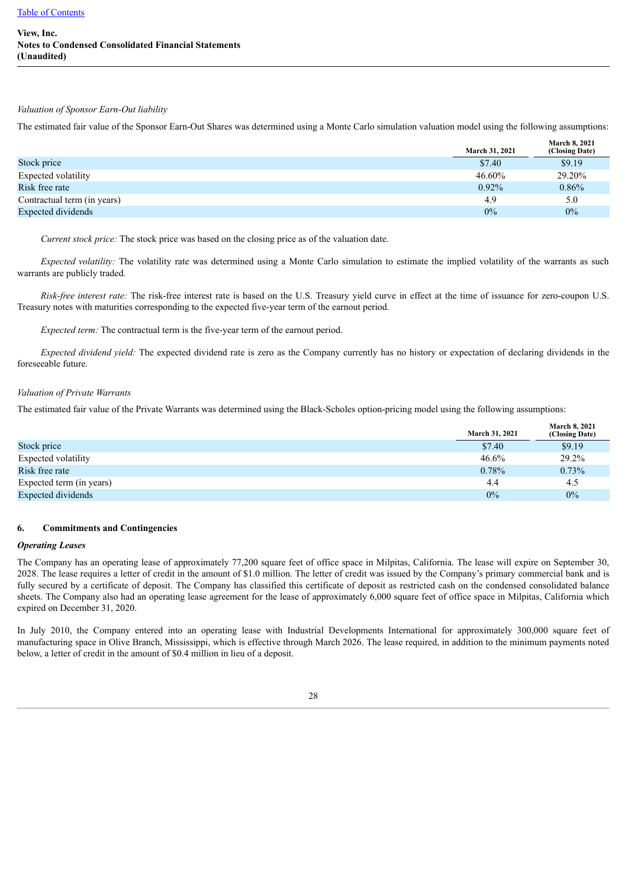# *Valuation of Sponsor Earn-Out liability*

The estimated fair value of the Sponsor Earn-Out Shares was determined using a Monte Carlo simulation valuation model using the following assumptions:

|                             | <b>March 31, 2021</b> | <b>March 8, 2021</b><br>(Closing Date) |
|-----------------------------|-----------------------|----------------------------------------|
| Stock price                 | \$7.40                | \$9.19                                 |
| Expected volatility         | 46.60%                | 29.20%                                 |
| Risk free rate              | $0.92\%$              | 0.86%                                  |
| Contractual term (in years) | 4.9                   | 5.0                                    |
| <b>Expected dividends</b>   | $0\%$                 | $0\%$                                  |

*Current stock price:* The stock price was based on the closing price as of the valuation date.

*Expected volatility:* The volatility rate was determined using a Monte Carlo simulation to estimate the implied volatility of the warrants as such warrants are publicly traded.

*Risk-free interest rate:* The risk-free interest rate is based on the U.S. Treasury yield curve in effect at the time of issuance for zero-coupon U.S. Treasury notes with maturities corresponding to the expected five-year term of the earnout period.

*Expected term:* The contractual term is the five-year term of the earnout period.

*Expected dividend yield:* The expected dividend rate is zero as the Company currently has no history or expectation of declaring dividends in the foreseeable future.

#### *Valuation of Private Warrants*

The estimated fair value of the Private Warrants was determined using the Black-Scholes option-pricing model using the following assumptions:

|                           | <b>March 31, 2021</b> | <b>March 8, 2021</b><br>(Closing Date) |
|---------------------------|-----------------------|----------------------------------------|
| Stock price               | \$7.40                | \$9.19                                 |
| Expected volatility       | 46.6%                 | 29.2%                                  |
| Risk free rate            | 0.78%                 | 0.73%                                  |
| Expected term (in years)  | 4.4                   | 4.5                                    |
| <b>Expected dividends</b> | 0%                    | 0%                                     |

# <span id="page-28-0"></span>**6. Commitments and Contingencies**

#### *Operating Leases*

The Company has an operating lease of approximately 77,200 square feet of office space in Milpitas, California. The lease will expire on September 30, 2028. The lease requires a letter of credit in the amount of \$1.0 million. The letter of credit was issued by the Company's primary commercial bank and is fully secured by a certificate of deposit. The Company has classified this certificate of deposit as restricted cash on the condensed consolidated balance sheets. The Company also had an operating lease agreement for the lease of approximately 6,000 square feet of office space in Milpitas, California which expired on December 31, 2020.

In July 2010, the Company entered into an operating lease with Industrial Developments International for approximately 300,000 square feet of manufacturing space in Olive Branch, Mississippi, which is effective through March 2026. The lease required, in addition to the minimum payments noted below, a letter of credit in the amount of \$0.4 million in lieu of a deposit.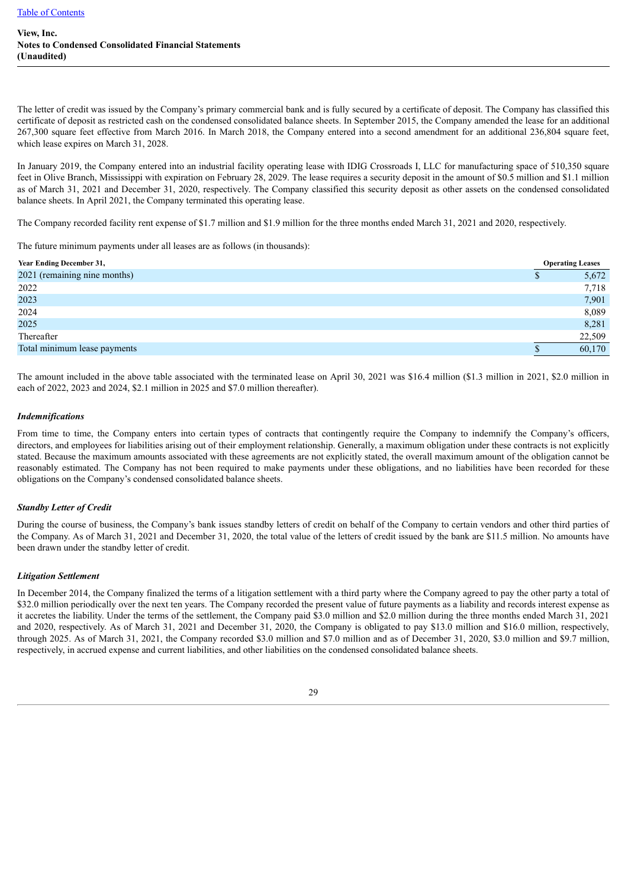The letter of credit was issued by the Company's primary commercial bank and is fully secured by a certificate of deposit. The Company has classified this certificate of deposit as restricted cash on the condensed consolidated balance sheets. In September 2015, the Company amended the lease for an additional 267,300 square feet effective from March 2016. In March 2018, the Company entered into a second amendment for an additional 236,804 square feet, which lease expires on March 31, 2028.

In January 2019, the Company entered into an industrial facility operating lease with IDIG Crossroads I, LLC for manufacturing space of 510,350 square feet in Olive Branch, Mississippi with expiration on February 28, 2029. The lease requires a security deposit in the amount of \$0.5 million and \$1.1 million as of March 31, 2021 and December 31, 2020, respectively. The Company classified this security deposit as other assets on the condensed consolidated balance sheets. In April 2021, the Company terminated this operating lease.

The Company recorded facility rent expense of \$1.7 million and \$1.9 million for the three months ended March 31, 2021 and 2020, respectively.

The future minimum payments under all leases are as follows (in thousands):

| <b>Year Ending December 31,</b> |  | <b>Operating Leases</b> |
|---------------------------------|--|-------------------------|
| 2021 (remaining nine months)    |  | 5,672                   |
| 2022                            |  | 7,718                   |
| 2023                            |  | 7,901                   |
| 2024                            |  | 8,089                   |
| 2025                            |  | 8,281                   |
| Thereafter                      |  | 22,509                  |
| Total minimum lease payments    |  | 60,170                  |

The amount included in the above table associated with the terminated lease on April 30, 2021 was \$16.4 million (\$1.3 million in 2021, \$2.0 million in each of 2022, 2023 and 2024, \$2.1 million in 2025 and \$7.0 million thereafter).

# *Indemnifications*

From time to time, the Company enters into certain types of contracts that contingently require the Company to indemnify the Company's officers, directors, and employees for liabilities arising out of their employment relationship. Generally, a maximum obligation under these contracts is not explicitly stated. Because the maximum amounts associated with these agreements are not explicitly stated, the overall maximum amount of the obligation cannot be reasonably estimated. The Company has not been required to make payments under these obligations, and no liabilities have been recorded for these obligations on the Company's condensed consolidated balance sheets.

# *Standby Letter of Credit*

During the course of business, the Company's bank issues standby letters of credit on behalf of the Company to certain vendors and other third parties of the Company. As of March 31, 2021 and December 31, 2020, the total value of the letters of credit issued by the bank are \$11.5 million. No amounts have been drawn under the standby letter of credit.

# *Litigation Settlement*

In December 2014, the Company finalized the terms of a litigation settlement with a third party where the Company agreed to pay the other party a total of \$32.0 million periodically over the next ten years. The Company recorded the present value of future payments as a liability and records interest expense as it accretes the liability. Under the terms of the settlement, the Company paid \$3.0 million and \$2.0 million during the three months ended March 31, 2021 and 2020, respectively. As of March 31, 2021 and December 31, 2020, the Company is obligated to pay \$13.0 million and \$16.0 million, respectively, through 2025. As of March 31, 2021, the Company recorded \$3.0 million and \$7.0 million and as of December 31, 2020, \$3.0 million and \$9.7 million, respectively, in accrued expense and current liabilities, and other liabilities on the condensed consolidated balance sheets.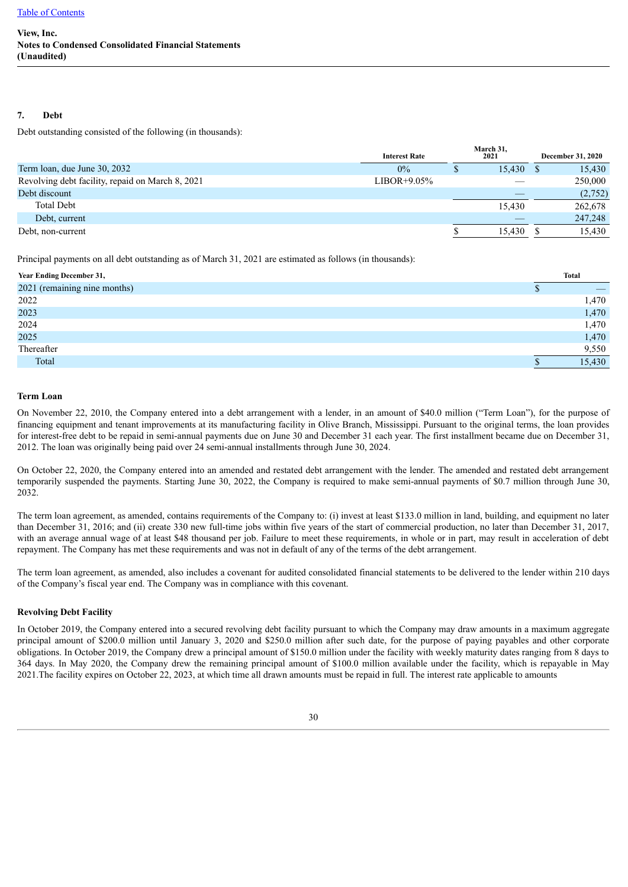#### **7. Debt**

Debt outstanding consisted of the following (in thousands):

|                                                  | <b>Interest Rate</b> | March 31,<br>2021 | <b>December 31, 2020</b> |
|--------------------------------------------------|----------------------|-------------------|--------------------------|
| Term loan, due June 30, 2032                     | $0\%$                | 15,430            | 15,430                   |
| Revolving debt facility, repaid on March 8, 2021 | $LIBOR+9.05%$        |                   | 250,000                  |
| Debt discount                                    |                      |                   | (2,752)                  |
| <b>Total Debt</b>                                |                      | 15,430            | 262,678                  |
| Debt, current                                    |                      |                   | 247,248                  |
| Debt, non-current                                |                      | 15,430            | 15,430                   |
|                                                  |                      |                   |                          |

Principal payments on all debt outstanding as of March 31, 2021 are estimated as follows (in thousands):

| <b>Year Ending December 31,</b> | Total  |
|---------------------------------|--------|
| 2021 (remaining nine months)    |        |
| 2022                            | 1,470  |
| 2023                            | 1,470  |
| 2024                            | 1,470  |
| 2025                            | 1,470  |
| Thereafter                      | 9,550  |
| Total                           | 15,430 |

# **Term Loan**

On November 22, 2010, the Company entered into a debt arrangement with a lender, in an amount of \$40.0 million ("Term Loan"), for the purpose of financing equipment and tenant improvements at its manufacturing facility in Olive Branch, Mississippi. Pursuant to the original terms, the loan provides for interest-free debt to be repaid in semi-annual payments due on June 30 and December 31 each year. The first installment became due on December 31, 2012. The loan was originally being paid over 24 semi-annual installments through June 30, 2024.

On October 22, 2020, the Company entered into an amended and restated debt arrangement with the lender. The amended and restated debt arrangement temporarily suspended the payments. Starting June 30, 2022, the Company is required to make semi-annual payments of \$0.7 million through June 30, 2032.

The term loan agreement, as amended, contains requirements of the Company to: (i) invest at least \$133.0 million in land, building, and equipment no later than December 31, 2016; and (ii) create 330 new full-time jobs within five years of the start of commercial production, no later than December 31, 2017, with an average annual wage of at least \$48 thousand per job. Failure to meet these requirements, in whole or in part, may result in acceleration of debt repayment. The Company has met these requirements and was not in default of any of the terms of the debt arrangement.

The term loan agreement, as amended, also includes a covenant for audited consolidated financial statements to be delivered to the lender within 210 days of the Company's fiscal year end. The Company was in compliance with this covenant.

# **Revolving Debt Facility**

In October 2019, the Company entered into a secured revolving debt facility pursuant to which the Company may draw amounts in a maximum aggregate principal amount of \$200.0 million until January 3, 2020 and \$250.0 million after such date, for the purpose of paying payables and other corporate obligations. In October 2019, the Company drew a principal amount of \$150.0 million under the facility with weekly maturity dates ranging from 8 days to 364 days. In May 2020, the Company drew the remaining principal amount of \$100.0 million available under the facility, which is repayable in May 2021.The facility expires on October 22, 2023, at which time all drawn amounts must be repaid in full. The interest rate applicable to amounts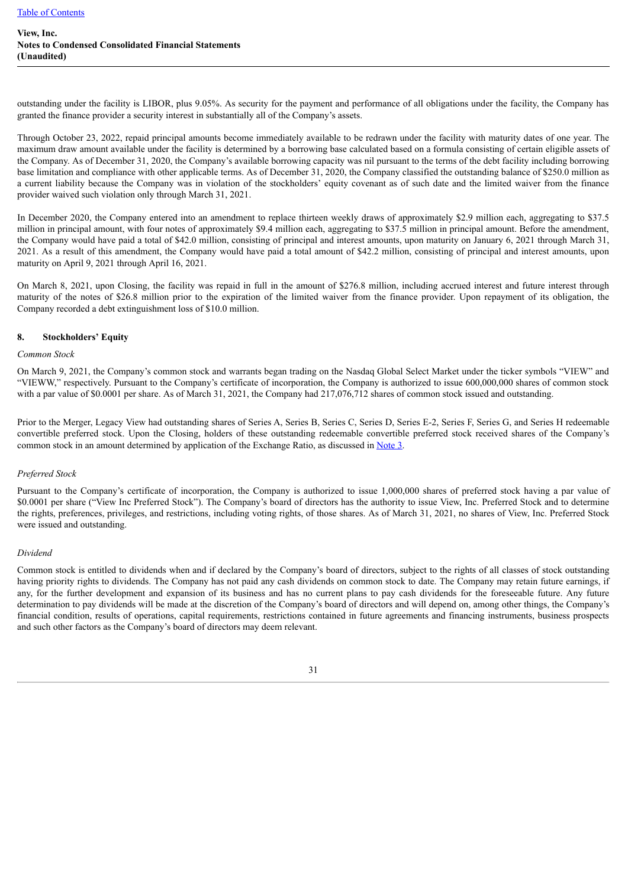outstanding under the facility is LIBOR, plus 9.05%. As security for the payment and performance of all obligations under the facility, the Company has granted the finance provider a security interest in substantially all of the Company's assets.

Through October 23, 2022, repaid principal amounts become immediately available to be redrawn under the facility with maturity dates of one year. The maximum draw amount available under the facility is determined by a borrowing base calculated based on a formula consisting of certain eligible assets of the Company. As of December 31, 2020, the Company's available borrowing capacity was nil pursuant to the terms of the debt facility including borrowing base limitation and compliance with other applicable terms. As of December 31, 2020, the Company classified the outstanding balance of \$250.0 million as a current liability because the Company was in violation of the stockholders' equity covenant as of such date and the limited waiver from the finance provider waived such violation only through March 31, 2021.

In December 2020, the Company entered into an amendment to replace thirteen weekly draws of approximately \$2.9 million each, aggregating to \$37.5 million in principal amount, with four notes of approximately \$9.4 million each, aggregating to \$37.5 million in principal amount. Before the amendment, the Company would have paid a total of \$42.0 million, consisting of principal and interest amounts, upon maturity on January 6, 2021 through March 31, 2021. As a result of this amendment, the Company would have paid a total amount of \$42.2 million, consisting of principal and interest amounts, upon maturity on April 9, 2021 through April 16, 2021.

On March 8, 2021, upon Closing, the facility was repaid in full in the amount of \$276.8 million, including accrued interest and future interest through maturity of the notes of \$26.8 million prior to the expiration of the limited waiver from the finance provider. Upon repayment of its obligation, the Company recorded a debt extinguishment loss of \$10.0 million.

# **8. Stockholders' Equity**

#### *Common Stock*

On March 9, 2021, the Company's common stock and warrants began trading on the Nasdaq Global Select Market under the ticker symbols "VIEW" and "VIEWW," respectively. Pursuant to the Company's certificate of incorporation, the Company is authorized to issue 600,000,000 shares of common stock with a par value of \$0.0001 per share. As of March 31, 2021, the Company had 217,076,712 shares of common stock issued and outstanding.

Prior to the Merger, Legacy View had outstanding shares of Series A, Series B, Series C, Series D, Series E-2, Series F, Series G, and Series H redeemable convertible preferred stock. Upon the Closing, holders of these outstanding redeemable convertible preferred stock received shares of the Company's common stock in an amount determined by application of the Exchange Ratio, as discussed in [Note](#page-24-0) 3.

# *Preferred Stock*

Pursuant to the Company's certificate of incorporation, the Company is authorized to issue 1,000,000 shares of preferred stock having a par value of \$0.0001 per share ("View Inc Preferred Stock"). The Company's board of directors has the authority to issue View, Inc. Preferred Stock and to determine the rights, preferences, privileges, and restrictions, including voting rights, of those shares. As of March 31, 2021, no shares of View, Inc. Preferred Stock were issued and outstanding.

#### *Dividend*

<span id="page-31-0"></span>Common stock is entitled to dividends when and if declared by the Company's board of directors, subject to the rights of all classes of stock outstanding having priority rights to dividends. The Company has not paid any cash dividends on common stock to date. The Company may retain future earnings, if any, for the further development and expansion of its business and has no current plans to pay cash dividends for the foreseeable future. Any future determination to pay dividends will be made at the discretion of the Company's board of directors and will depend on, among other things, the Company's financial condition, results of operations, capital requirements, restrictions contained in future agreements and financing instruments, business prospects and such other factors as the Company's board of directors may deem relevant.

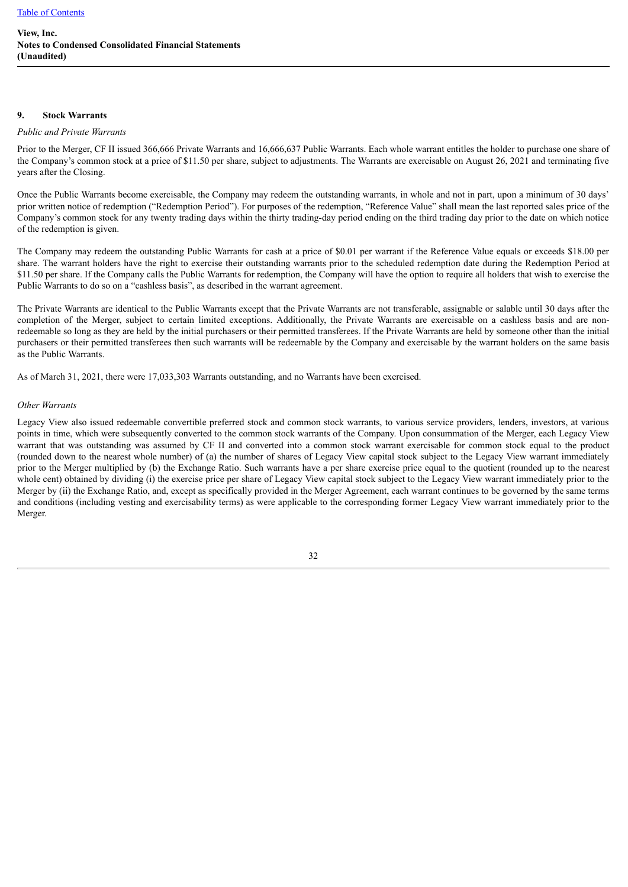## **9. Stock Warrants**

#### *Public and Private Warrants*

Prior to the Merger, CF II issued 366,666 Private Warrants and 16,666,637 Public Warrants. Each whole warrant entitles the holder to purchase one share of the Company's common stock at a price of \$11.50 per share, subject to adjustments. The Warrants are exercisable on August 26, 2021 and terminating five years after the Closing.

Once the Public Warrants become exercisable, the Company may redeem the outstanding warrants, in whole and not in part, upon a minimum of 30 days' prior written notice of redemption ("Redemption Period"). For purposes of the redemption, "Reference Value" shall mean the last reported sales price of the Company's common stock for any twenty trading days within the thirty trading-day period ending on the third trading day prior to the date on which notice of the redemption is given.

The Company may redeem the outstanding Public Warrants for cash at a price of \$0.01 per warrant if the Reference Value equals or exceeds \$18.00 per share. The warrant holders have the right to exercise their outstanding warrants prior to the scheduled redemption date during the Redemption Period at \$11.50 per share. If the Company calls the Public Warrants for redemption, the Company will have the option to require all holders that wish to exercise the Public Warrants to do so on a "cashless basis", as described in the warrant agreement.

The Private Warrants are identical to the Public Warrants except that the Private Warrants are not transferable, assignable or salable until 30 days after the completion of the Merger, subject to certain limited exceptions. Additionally, the Private Warrants are exercisable on a cashless basis and are nonredeemable so long as they are held by the initial purchasers or their permitted transferees. If the Private Warrants are held by someone other than the initial purchasers or their permitted transferees then such warrants will be redeemable by the Company and exercisable by the warrant holders on the same basis as the Public Warrants.

As of March 31, 2021, there were 17,033,303 Warrants outstanding, and no Warrants have been exercised.

#### *Other Warrants*

Legacy View also issued redeemable convertible preferred stock and common stock warrants, to various service providers, lenders, investors, at various points in time, which were subsequently converted to the common stock warrants of the Company. Upon consummation of the Merger, each Legacy View warrant that was outstanding was assumed by CF II and converted into a common stock warrant exercisable for common stock equal to the product (rounded down to the nearest whole number) of (a) the number of shares of Legacy View capital stock subject to the Legacy View warrant immediately prior to the Merger multiplied by (b) the Exchange Ratio. Such warrants have a per share exercise price equal to the quotient (rounded up to the nearest whole cent) obtained by dividing (i) the exercise price per share of Legacy View capital stock subject to the Legacy View warrant immediately prior to the Merger by (ii) the Exchange Ratio, and, except as specifically provided in the Merger Agreement, each warrant continues to be governed by the same terms and conditions (including vesting and exercisability terms) as were applicable to the corresponding former Legacy View warrant immediately prior to the Merger.

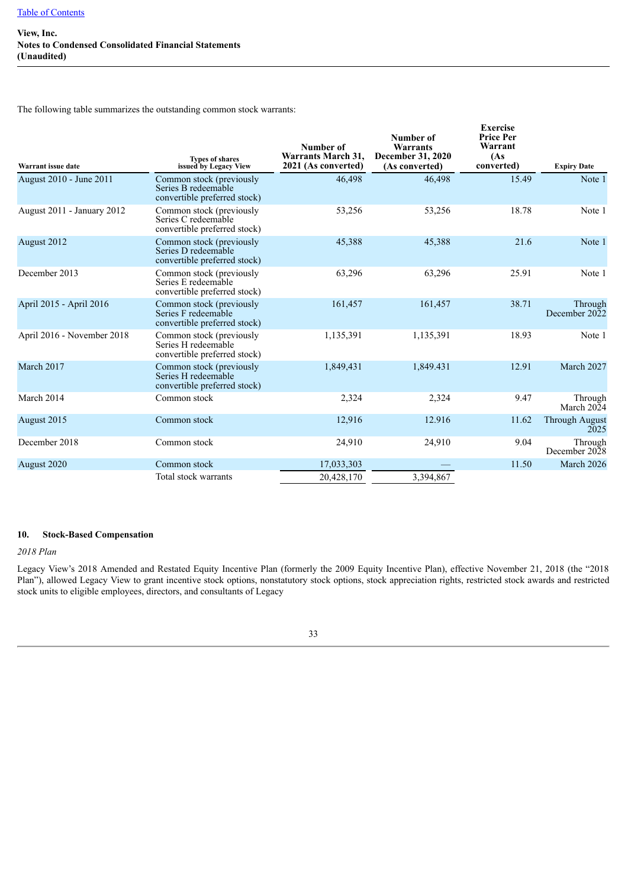The following table summarizes the outstanding common stock warrants:

| Warrant issue date         | <b>Types of shares</b><br>issued by Legacy View                                 | Number of<br><b>Warrants March 31,</b><br>2021 (As converted) | Number of<br><b>Warrants</b><br>December 31, 2020<br>(As converted) | <b>Exercise</b><br><b>Price Per</b><br>Warrant<br>(As<br>converted) | <b>Expiry Date</b>                    |
|----------------------------|---------------------------------------------------------------------------------|---------------------------------------------------------------|---------------------------------------------------------------------|---------------------------------------------------------------------|---------------------------------------|
| August 2010 - June 2011    | Common stock (previously<br>Series B redeemable<br>convertible preferred stock) | 46,498                                                        | 46,498                                                              | 15.49                                                               | Note 1                                |
| August 2011 - January 2012 | Common stock (previously<br>Series C redeemable<br>convertible preferred stock) | 53,256                                                        | 53,256                                                              | 18.78                                                               | Note 1                                |
| August 2012                | Common stock (previously<br>Series D redeemable<br>convertible preferred stock) | 45,388                                                        | 45,388                                                              | 21.6                                                                | Note 1                                |
| December 2013              | Common stock (previously<br>Series E redeemable<br>convertible preferred stock) | 63,296                                                        | 63,296                                                              | 25.91                                                               | Note 1                                |
| April 2015 - April 2016    | Common stock (previously<br>Series F redeemable<br>convertible preferred stock) | 161,457                                                       | 161,457                                                             | 38.71                                                               | Through<br>December $20\overline{2}2$ |
| April 2016 - November 2018 | Common stock (previously<br>Series H redeemable<br>convertible preferred stock) | 1,135,391                                                     | 1,135,391                                                           | 18.93                                                               | Note 1                                |
| March 2017                 | Common stock (previously<br>Series H redeemable<br>convertible preferred stock) | 1,849,431                                                     | 1,849.431                                                           | 12.91                                                               | March 2027                            |
| March 2014                 | Common stock                                                                    | 2,324                                                         | 2,324                                                               | 9.47                                                                | Through<br>March 2024                 |
| August 2015                | Common stock                                                                    | 12,916                                                        | 12.916                                                              | 11.62                                                               | <b>Through August</b><br>2025         |
| December 2018              | Common stock                                                                    | 24,910                                                        | 24,910                                                              | 9.04                                                                | Through<br>December $20\overline{2}8$ |
| August 2020                | Common stock                                                                    | 17,033,303                                                    |                                                                     | 11.50                                                               | March 2026                            |
|                            | Total stock warrants                                                            | 20,428,170                                                    | 3,394,867                                                           |                                                                     |                                       |

**Exercise**

# <span id="page-33-0"></span>**10. Stock-Based Compensation**

# *2018 Plan*

Legacy View's 2018 Amended and Restated Equity Incentive Plan (formerly the 2009 Equity Incentive Plan), effective November 21, 2018 (the "2018 Plan"), allowed Legacy View to grant incentive stock options, nonstatutory stock options, stock appreciation rights, restricted stock awards and restricted stock units to eligible employees, directors, and consultants of Legacy

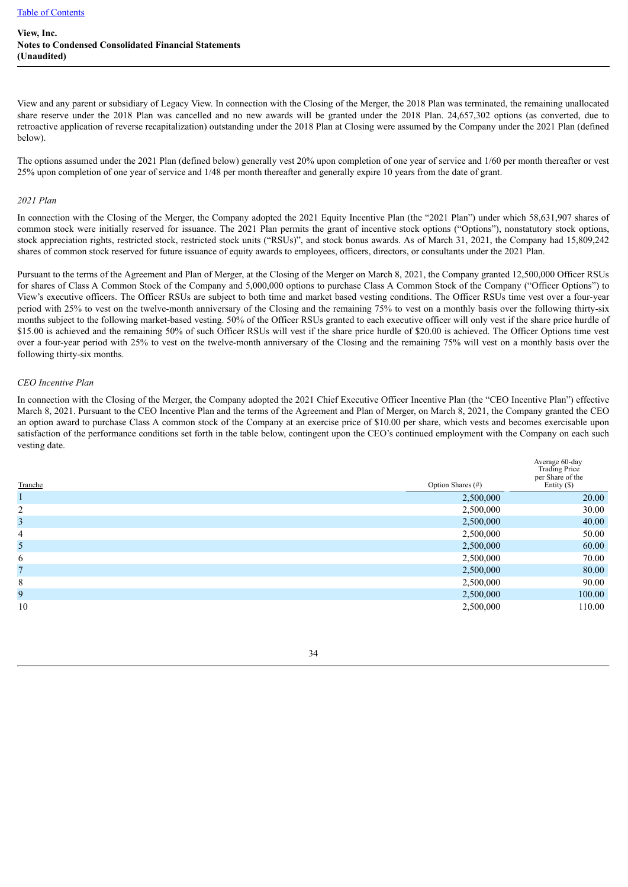View and any parent or subsidiary of Legacy View. In connection with the Closing of the Merger, the 2018 Plan was terminated, the remaining unallocated share reserve under the 2018 Plan was cancelled and no new awards will be granted under the 2018 Plan. 24,657,302 options (as converted, due to retroactive application of reverse recapitalization) outstanding under the 2018 Plan at Closing were assumed by the Company under the 2021 Plan (defined below).

The options assumed under the 2021 Plan (defined below) generally vest 20% upon completion of one year of service and 1/60 per month thereafter or vest 25% upon completion of one year of service and 1/48 per month thereafter and generally expire 10 years from the date of grant.

#### *2021 Plan*

In connection with the Closing of the Merger, the Company adopted the 2021 Equity Incentive Plan (the "2021 Plan") under which 58,631,907 shares of common stock were initially reserved for issuance. The 2021 Plan permits the grant of incentive stock options ("Options"), nonstatutory stock options, stock appreciation rights, restricted stock, restricted stock units ("RSUs)", and stock bonus awards. As of March 31, 2021, the Company had 15,809,242 shares of common stock reserved for future issuance of equity awards to employees, officers, directors, or consultants under the 2021 Plan.

Pursuant to the terms of the Agreement and Plan of Merger, at the Closing of the Merger on March 8, 2021, the Company granted 12,500,000 Officer RSUs for shares of Class A Common Stock of the Company and 5,000,000 options to purchase Class A Common Stock of the Company ("Officer Options") to View's executive officers. The Officer RSUs are subject to both time and market based vesting conditions. The Officer RSUs time vest over a four-year period with 25% to vest on the twelve-month anniversary of the Closing and the remaining 75% to vest on a monthly basis over the following thirty-six months subject to the following market-based vesting. 50% of the Officer RSUs granted to each executive officer will only vest if the share price hurdle of \$15.00 is achieved and the remaining 50% of such Officer RSUs will vest if the share price hurdle of \$20.00 is achieved. The Officer Options time vest over a four-year period with 25% to vest on the twelve-month anniversary of the Closing and the remaining 75% will vest on a monthly basis over the following thirty-six months.

# *CEO Incentive Plan*

In connection with the Closing of the Merger, the Company adopted the 2021 Chief Executive Officer Incentive Plan (the "CEO Incentive Plan") effective March 8, 2021. Pursuant to the CEO Incentive Plan and the terms of the Agreement and Plan of Merger, on March 8, 2021, the Company granted the CEO an option award to purchase Class A common stock of the Company at an exercise price of \$10.00 per share, which vests and becomes exercisable upon satisfaction of the performance conditions set forth in the table below, contingent upon the CEO's continued employment with the Company on each such vesting date.

|                |                   | Average 60-day<br>Trading Price<br>per Share of the |
|----------------|-------------------|-----------------------------------------------------|
| Tranche        | Option Shares (#) | Entity $($ )                                        |
| $\perp$        | 2,500,000         | 20.00                                               |
| $\overline{2}$ | 2,500,000         | 30.00                                               |
| $\mathfrak{Z}$ | 2,500,000         | 40.00                                               |
| 4              | 2,500,000         | 50.00                                               |
| 5              | 2,500,000         | 60.00                                               |
| 6              | 2,500,000         | 70.00                                               |
| $\overline{7}$ | 2,500,000         | 80.00                                               |
| 8              | 2,500,000         | 90.00                                               |
| 9              | 2,500,000         | 100.00                                              |
| 10             | 2,500,000         | 110.00                                              |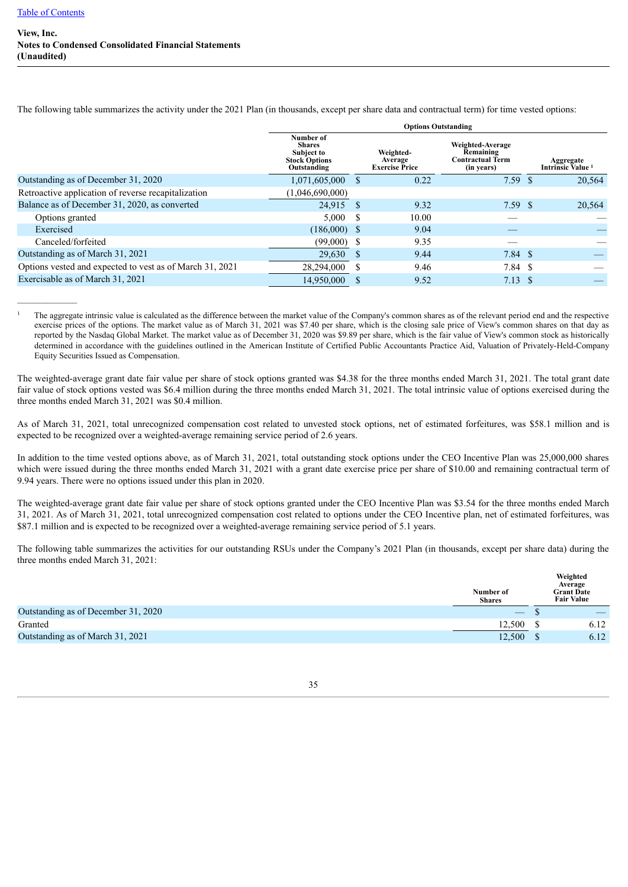The following table summarizes the activity under the 2021 Plan (in thousands, except per share data and contractual term) for time vested options:

|                                                          | <b>Options Outstanding</b>                                                             |              |                                               |                                                                               |  |                                           |
|----------------------------------------------------------|----------------------------------------------------------------------------------------|--------------|-----------------------------------------------|-------------------------------------------------------------------------------|--|-------------------------------------------|
|                                                          | Number of<br><b>Shares</b><br><b>Subject to</b><br><b>Stock Options</b><br>Outstanding |              | Weighted-<br>Average<br><b>Exercise Price</b> | <b>Weighted-Average</b><br>Remaining<br><b>Contractual Term</b><br>(in years) |  | Aggregate<br>Intrinsic Value <sup>1</sup> |
| Outstanding as of December 31, 2020                      | 1,071,605,000                                                                          |              | 0.22                                          | $7.59$ \$                                                                     |  | 20,564                                    |
| Retroactive application of reverse recapitalization      | (1,046,690,000)                                                                        |              |                                               |                                                                               |  |                                           |
| Balance as of December 31, 2020, as converted            | 24,915                                                                                 | S            | 9.32                                          | 7.59 S                                                                        |  | 20,564                                    |
| Options granted                                          | 5,000                                                                                  |              | 10.00                                         |                                                                               |  |                                           |
| Exercised                                                | (186,000)                                                                              | <sup>S</sup> | 9.04                                          |                                                                               |  |                                           |
| Canceled/forfeited                                       | (99,000)                                                                               | S            | 9.35                                          |                                                                               |  |                                           |
| Outstanding as of March 31, 2021                         | 29,630                                                                                 | S            | 9.44                                          | 7.84 \$                                                                       |  |                                           |
| Options vested and expected to vest as of March 31, 2021 | 28,294,000                                                                             |              | 9.46                                          | 7.84 \$                                                                       |  |                                           |
| Exercisable as of March 31, 2021                         | 14,950,000                                                                             |              | 9.52                                          | $7.13 \text{ }$ \$                                                            |  |                                           |

The aggregate intrinsic value is calculated as the difference between the market value of the Company's common shares as of the relevant period end and the respective exercise prices of the options. The market value as of March 31, 2021 was \$7.40 per share, which is the closing sale price of View's common shares on that day as reported by the Nasdaq Global Market. The market value as of December 31, 2020 was \$9.89 per share, which is the fair value of View's common stock as historically determined in accordance with the guidelines outlined in the American Institute of Certified Public Accountants Practice Aid, Valuation of Privately-Held-Company Equity Securities Issued as Compensation. 1

The weighted-average grant date fair value per share of stock options granted was \$4.38 for the three months ended March 31, 2021. The total grant date fair value of stock options vested was \$6.4 million during the three months ended March 31, 2021. The total intrinsic value of options exercised during the three months ended March 31, 2021 was \$0.4 million.

As of March 31, 2021, total unrecognized compensation cost related to unvested stock options, net of estimated forfeitures, was \$58.1 million and is expected to be recognized over a weighted-average remaining service period of 2.6 years.

In addition to the time vested options above, as of March 31, 2021, total outstanding stock options under the CEO Incentive Plan was 25,000,000 shares which were issued during the three months ended March 31, 2021 with a grant date exercise price per share of \$10.00 and remaining contractual term of 9.94 years. There were no options issued under this plan in 2020.

The weighted-average grant date fair value per share of stock options granted under the CEO Incentive Plan was \$3.54 for the three months ended March 31, 2021. As of March 31, 2021, total unrecognized compensation cost related to options under the CEO Incentive plan, net of estimated forfeitures, was \$87.1 million and is expected to be recognized over a weighted-average remaining service period of 5.1 years.

The following table summarizes the activities for our outstanding RSUs under the Company's 2021 Plan (in thousands, except per share data) during the three months ended March 31, 2021:

|                                     | Number of<br><b>Shares</b> | Weighted<br>Average<br><b>Grant Date</b><br><b>Fair Value</b> |
|-------------------------------------|----------------------------|---------------------------------------------------------------|
| Outstanding as of December 31, 2020 |                            |                                                               |
| Granted                             | 12.500                     | 6.12                                                          |
| Outstanding as of March 31, 2021    | 12,500                     | 6.12                                                          |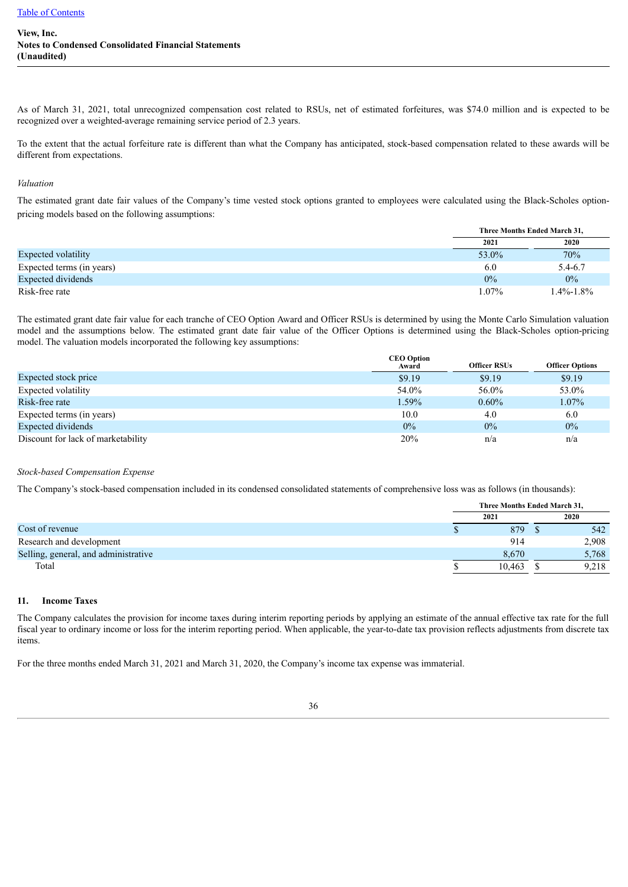As of March 31, 2021, total unrecognized compensation cost related to RSUs, net of estimated forfeitures, was \$74.0 million and is expected to be recognized over a weighted-average remaining service period of 2.3 years.

To the extent that the actual forfeiture rate is different than what the Company has anticipated, stock-based compensation related to these awards will be different from expectations.

#### *Valuation*

The estimated grant date fair values of the Company's time vested stock options granted to employees were calculated using the Black-Scholes optionpricing models based on the following assumptions:

|                           |          | Three Months Ended March 31, |
|---------------------------|----------|------------------------------|
|                           | 2021     | 2020                         |
| Expected volatility       | 53.0%    | 70%                          |
| Expected terms (in years) | 6.0      | 5.4-6.7                      |
| Expected dividends        | 0%       | $0\%$                        |
| Risk-free rate            | $1.07\%$ | $1.4\% - 1.8\%$              |

The estimated grant date fair value for each tranche of CEO Option Award and Officer RSUs is determined by using the Monte Carlo Simulation valuation model and the assumptions below. The estimated grant date fair value of the Officer Options is determined using the Black-Scholes option-pricing model. The valuation models incorporated the following key assumptions:

|                                    | <b>CEO</b> Option<br>Award | <b>Officer RSUs</b> | <b>Officer Options</b> |
|------------------------------------|----------------------------|---------------------|------------------------|
| Expected stock price               | \$9.19                     | \$9.19              | \$9.19                 |
| Expected volatility                | 54.0%                      | 56.0%               | 53.0%                  |
| Risk-free rate                     | 1.59%                      | $0.60\%$            | 1.07%                  |
| Expected terms (in years)          | 10.0                       | 4.0                 | 6.0                    |
| Expected dividends                 | $0\%$                      | $0\%$               | $0\%$                  |
| Discount for lack of marketability | 20%                        | n/a                 | n/a                    |

#### *Stock-based Compensation Expense*

The Company's stock-based compensation included in its condensed consolidated statements of comprehensive loss was as follows (in thousands):

|                                      | Three Months Ended March 31, |  |       |  |
|--------------------------------------|------------------------------|--|-------|--|
|                                      | 2021                         |  | 2020  |  |
| Cost of revenue                      | 879                          |  | 542   |  |
| Research and development             | 914                          |  | 2,908 |  |
| Selling, general, and administrative | 8.670                        |  | 5,768 |  |
| Total                                | 10.463                       |  | 9,218 |  |

#### **11. Income Taxes**

The Company calculates the provision for income taxes during interim reporting periods by applying an estimate of the annual effective tax rate for the full fiscal year to ordinary income or loss for the interim reporting period. When applicable, the year-to-date tax provision reflects adjustments from discrete tax items.

For the three months ended March 31, 2021 and March 31, 2020, the Company's income tax expense was immaterial.

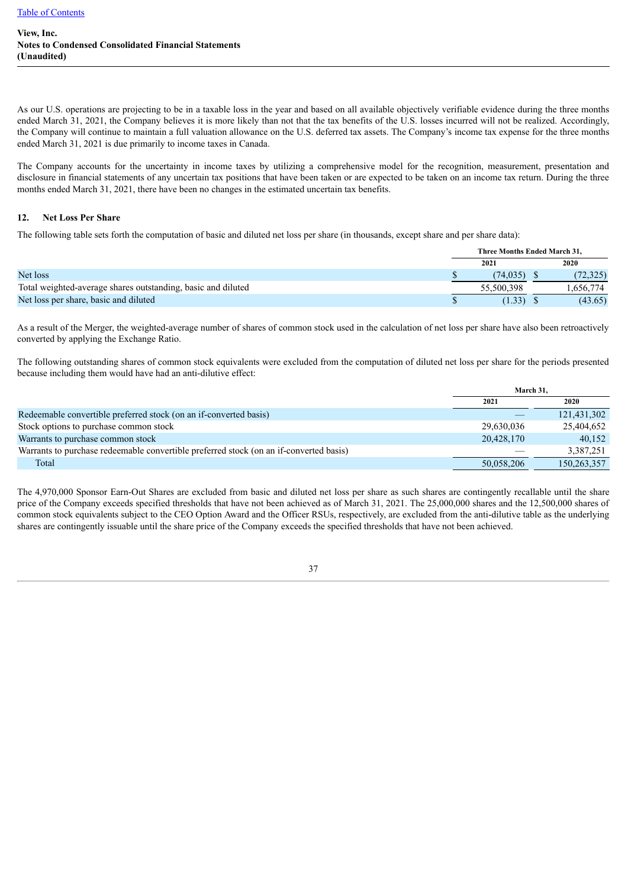As our U.S. operations are projecting to be in a taxable loss in the year and based on all available objectively verifiable evidence during the three months ended March 31, 2021, the Company believes it is more likely than not that the tax benefits of the U.S. losses incurred will not be realized. Accordingly, the Company will continue to maintain a full valuation allowance on the U.S. deferred tax assets. The Company's income tax expense for the three months ended March 31, 2021 is due primarily to income taxes in Canada.

The Company accounts for the uncertainty in income taxes by utilizing a comprehensive model for the recognition, measurement, presentation and disclosure in financial statements of any uncertain tax positions that have been taken or are expected to be taken on an income tax return. During the three months ended March 31, 2021, there have been no changes in the estimated uncertain tax benefits.

# **12. Net Loss Per Share**

The following table sets forth the computation of basic and diluted net loss per share (in thousands, except share and per share data):

|                                                              | Three Months Ended March 31. |            |  |           |
|--------------------------------------------------------------|------------------------------|------------|--|-----------|
|                                                              |                              | 2021       |  | 2020      |
| Net loss                                                     |                              | (74.035)   |  | (72, 325) |
| Total weighted-average shares outstanding, basic and diluted |                              | 55,500,398 |  | .656,774  |
| Net loss per share, basic and diluted                        |                              | (1.33)     |  | (43.65)   |

As a result of the Merger, the weighted-average number of shares of common stock used in the calculation of net loss per share have also been retroactively converted by applying the Exchange Ratio.

The following outstanding shares of common stock equivalents were excluded from the computation of diluted net loss per share for the periods presented because including them would have had an anti-dilutive effect:

|                                                                                        | March 31.  |               |
|----------------------------------------------------------------------------------------|------------|---------------|
|                                                                                        | 2021       | 2020          |
| Redeemable convertible preferred stock (on an if-converted basis)                      |            | 121,431,302   |
| Stock options to purchase common stock                                                 | 29,630,036 | 25,404,652    |
| Warrants to purchase common stock                                                      | 20,428,170 | 40.152        |
| Warrants to purchase redeemable convertible preferred stock (on an if-converted basis) |            | 3,387,251     |
| Total                                                                                  | 50,058,206 | 150, 263, 357 |

<span id="page-37-0"></span>The 4,970,000 Sponsor Earn-Out Shares are excluded from basic and diluted net loss per share as such shares are contingently recallable until the share price of the Company exceeds specified thresholds that have not been achieved as of March 31, 2021. The 25,000,000 shares and the 12,500,000 shares of common stock equivalents subject to the CEO Option Award and the Officer RSUs, respectively, are excluded from the anti-dilutive table as the underlying shares are contingently issuable until the share price of the Company exceeds the specified thresholds that have not been achieved.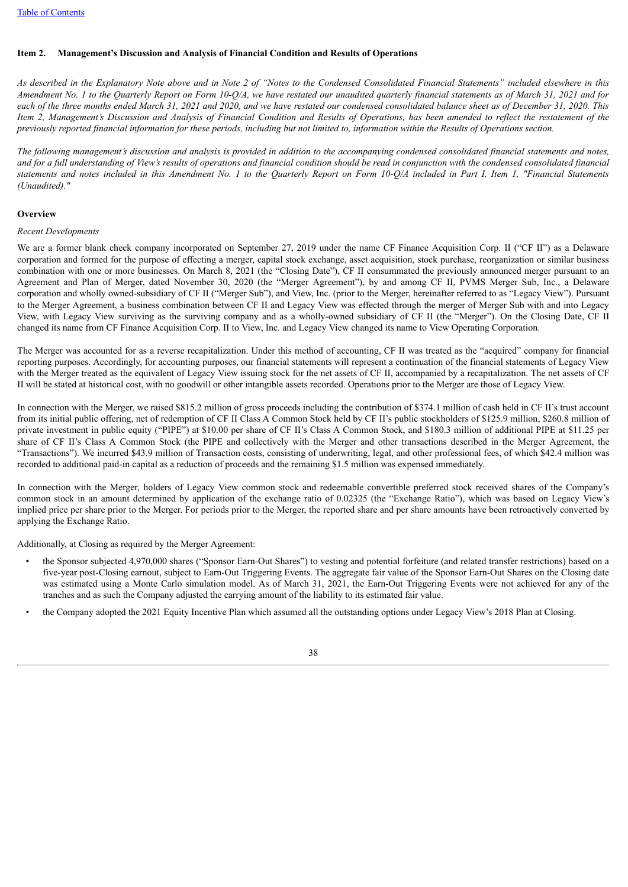## **Item 2. Management's Discussion and Analysis of Financial Condition and Results of Operations**

As described in the Explanatory Note above and in Note 2 of "Notes to the Condensed Consolidated Financial Statements" included elsewhere in this Amendment No. 1 to the Quarterly Report on Form 10-Q/A, we have restated our unaudited quarterly financial statements as of March 31, 2021 and for each of the three months ended March 31, 2021 and 2020, and we have restated our condensed consolidated balance sheet as of December 31, 2020. This Item 2, Management's Discussion and Analysis of Financial Condition and Results of Operations, has been amended to reflect the restatement of the previously reported financial information for these periods, including but not limited to, information within the Results of Operations section.

The following management's discussion and analysis is provided in addition to the accompanying condensed consolidated financial statements and notes, and for a full understanding of View's results of operations and financial condition should be read in conjunction with the condensed consolidated financial statements and notes included in this Amendment No. 1 to the Quarterly Report on Form 10-O/A included in Part I, Item 1, "Financial Statements *(Unaudited)."*

#### **Overview**

#### *Recent Developments*

We are a former blank check company incorporated on September 27, 2019 under the name CF Finance Acquisition Corp. II ("CF II") as a Delaware corporation and formed for the purpose of effecting a merger, capital stock exchange, asset acquisition, stock purchase, reorganization or similar business combination with one or more businesses. On March 8, 2021 (the "Closing Date"), CF II consummated the previously announced merger pursuant to an Agreement and Plan of Merger, dated November 30, 2020 (the "Merger Agreement"), by and among CF II, PVMS Merger Sub, Inc., a Delaware corporation and wholly owned-subsidiary of CF II ("Merger Sub"), and View, Inc. (prior to the Merger, hereinafter referred to as "Legacy View"). Pursuant to the Merger Agreement, a business combination between CF II and Legacy View was effected through the merger of Merger Sub with and into Legacy View, with Legacy View surviving as the surviving company and as a wholly-owned subsidiary of CF II (the "Merger"). On the Closing Date, CF II changed its name from CF Finance Acquisition Corp. II to View, Inc. and Legacy View changed its name to View Operating Corporation.

The Merger was accounted for as a reverse recapitalization. Under this method of accounting, CF II was treated as the "acquired" company for financial reporting purposes. Accordingly, for accounting purposes, our financial statements will represent a continuation of the financial statements of Legacy View with the Merger treated as the equivalent of Legacy View issuing stock for the net assets of CF II, accompanied by a recapitalization. The net assets of CF II will be stated at historical cost, with no goodwill or other intangible assets recorded. Operations prior to the Merger are those of Legacy View.

In connection with the Merger, we raised \$815.2 million of gross proceeds including the contribution of \$374.1 million of cash held in CF II's trust account from its initial public offering, net of redemption of CF II Class A Common Stock held by CF II's public stockholders of \$125.9 million, \$260.8 million of private investment in public equity ("PIPE") at \$10.00 per share of CF II's Class A Common Stock, and \$180.3 million of additional PIPE at \$11.25 per share of CF II's Class A Common Stock (the PIPE and collectively with the Merger and other transactions described in the Merger Agreement, the "Transactions"). We incurred \$43.9 million of Transaction costs, consisting of underwriting, legal, and other professional fees, of which \$42.4 million was recorded to additional paid-in capital as a reduction of proceeds and the remaining \$1.5 million was expensed immediately.

In connection with the Merger, holders of Legacy View common stock and redeemable convertible preferred stock received shares of the Company's common stock in an amount determined by application of the exchange ratio of 0.02325 (the "Exchange Ratio"), which was based on Legacy View's implied price per share prior to the Merger. For periods prior to the Merger, the reported share and per share amounts have been retroactively converted by applying the Exchange Ratio.

Additionally, at Closing as required by the Merger Agreement:

- the Sponsor subjected 4,970,000 shares ("Sponsor Earn-Out Shares") to vesting and potential forfeiture (and related transfer restrictions) based on a five-year post-Closing earnout, subject to Earn-Out Triggering Events. The aggregate fair value of the Sponsor Earn-Out Shares on the Closing date was estimated using a Monte Carlo simulation model. As of March 31, 2021, the Earn-Out Triggering Events were not achieved for any of the tranches and as such the Company adjusted the carrying amount of the liability to its estimated fair value.
- the Company adopted the 2021 Equity Incentive Plan which assumed all the outstanding options under Legacy View's 2018 Plan at Closing.

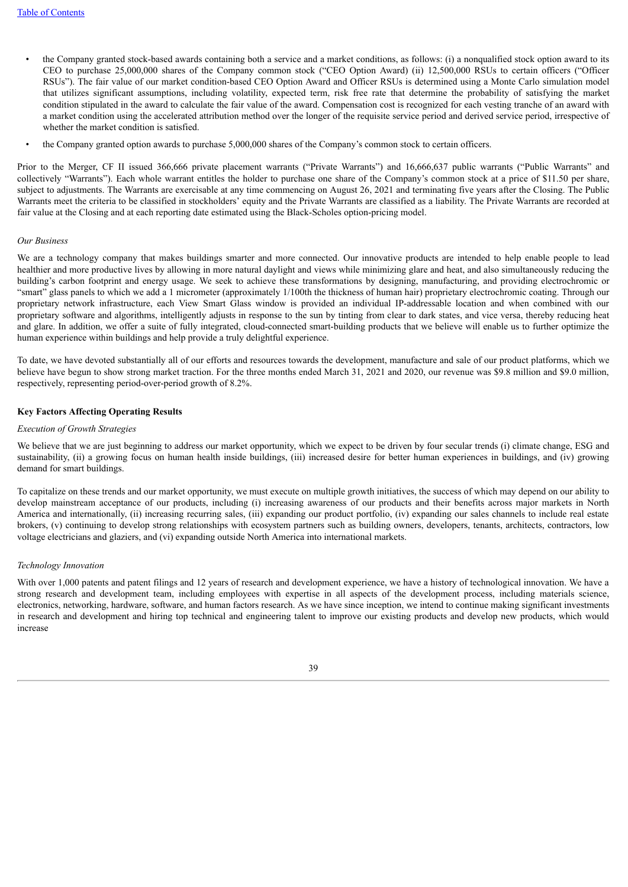- the Company granted stock-based awards containing both a service and a market conditions, as follows: (i) a nonqualified stock option award to its CEO to purchase 25,000,000 shares of the Company common stock ("CEO Option Award) (ii) 12,500,000 RSUs to certain officers ("Officer RSUs"). The fair value of our market condition-based CEO Option Award and Officer RSUs is determined using a Monte Carlo simulation model that utilizes significant assumptions, including volatility, expected term, risk free rate that determine the probability of satisfying the market condition stipulated in the award to calculate the fair value of the award. Compensation cost is recognized for each vesting tranche of an award with a market condition using the accelerated attribution method over the longer of the requisite service period and derived service period, irrespective of whether the market condition is satisfied.
- the Company granted option awards to purchase 5,000,000 shares of the Company's common stock to certain officers.

Prior to the Merger, CF II issued 366,666 private placement warrants ("Private Warrants") and 16,666,637 public warrants ("Public Warrants" and collectively "Warrants"). Each whole warrant entitles the holder to purchase one share of the Company's common stock at a price of \$11.50 per share, subject to adjustments. The Warrants are exercisable at any time commencing on August 26, 2021 and terminating five years after the Closing. The Public Warrants meet the criteria to be classified in stockholders' equity and the Private Warrants are classified as a liability. The Private Warrants are recorded at fair value at the Closing and at each reporting date estimated using the Black-Scholes option-pricing model.

#### *Our Business*

We are a technology company that makes buildings smarter and more connected. Our innovative products are intended to help enable people to lead healthier and more productive lives by allowing in more natural daylight and views while minimizing glare and heat, and also simultaneously reducing the building's carbon footprint and energy usage. We seek to achieve these transformations by designing, manufacturing, and providing electrochromic or "smart" glass panels to which we add a 1 micrometer (approximately 1/100th the thickness of human hair) proprietary electrochromic coating. Through our proprietary network infrastructure, each View Smart Glass window is provided an individual IP-addressable location and when combined with our proprietary software and algorithms, intelligently adjusts in response to the sun by tinting from clear to dark states, and vice versa, thereby reducing heat and glare. In addition, we offer a suite of fully integrated, cloud-connected smart-building products that we believe will enable us to further optimize the human experience within buildings and help provide a truly delightful experience.

To date, we have devoted substantially all of our efforts and resources towards the development, manufacture and sale of our product platforms, which we believe have begun to show strong market traction. For the three months ended March 31, 2021 and 2020, our revenue was \$9.8 million and \$9.0 million, respectively, representing period-over-period growth of 8.2%.

## **Key Factors Affecting Operating Results**

#### *Execution of Growth Strategies*

We believe that we are just beginning to address our market opportunity, which we expect to be driven by four secular trends (i) climate change. ESG and sustainability, (ii) a growing focus on human health inside buildings, (iii) increased desire for better human experiences in buildings, and (iv) growing demand for smart buildings.

To capitalize on these trends and our market opportunity, we must execute on multiple growth initiatives, the success of which may depend on our ability to develop mainstream acceptance of our products, including (i) increasing awareness of our products and their benefits across major markets in North America and internationally, (ii) increasing recurring sales, (iii) expanding our product portfolio, (iv) expanding our sales channels to include real estate brokers, (v) continuing to develop strong relationships with ecosystem partners such as building owners, developers, tenants, architects, contractors, low voltage electricians and glaziers, and (vi) expanding outside North America into international markets.

#### *Technology Innovation*

With over 1,000 patents and patent filings and 12 years of research and development experience, we have a history of technological innovation. We have a strong research and development team, including employees with expertise in all aspects of the development process, including materials science, electronics, networking, hardware, software, and human factors research. As we have since inception, we intend to continue making significant investments in research and development and hiring top technical and engineering talent to improve our existing products and develop new products, which would increase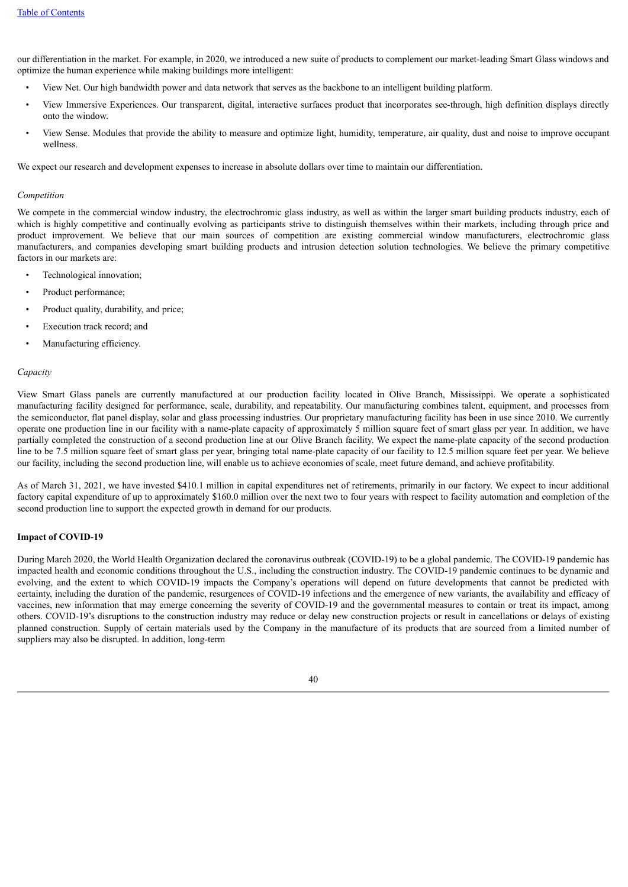our differentiation in the market. For example, in 2020, we introduced a new suite of products to complement our market-leading Smart Glass windows and optimize the human experience while making buildings more intelligent:

- View Net. Our high bandwidth power and data network that serves as the backbone to an intelligent building platform.
- View Immersive Experiences. Our transparent, digital, interactive surfaces product that incorporates see-through, high definition displays directly onto the window.
- View Sense. Modules that provide the ability to measure and optimize light, humidity, temperature, air quality, dust and noise to improve occupant wellness.

We expect our research and development expenses to increase in absolute dollars over time to maintain our differentiation.

#### *Competition*

We compete in the commercial window industry, the electrochromic glass industry, as well as within the larger smart building products industry, each of which is highly competitive and continually evolving as participants strive to distinguish themselves within their markets, including through price and product improvement. We believe that our main sources of competition are existing commercial window manufacturers, electrochromic glass manufacturers, and companies developing smart building products and intrusion detection solution technologies. We believe the primary competitive factors in our markets are:

- Technological innovation:
- Product performance;
- Product quality, durability, and price;
- Execution track record; and
- Manufacturing efficiency.

#### *Capacity*

View Smart Glass panels are currently manufactured at our production facility located in Olive Branch, Mississippi. We operate a sophisticated manufacturing facility designed for performance, scale, durability, and repeatability. Our manufacturing combines talent, equipment, and processes from the semiconductor, flat panel display, solar and glass processing industries. Our proprietary manufacturing facility has been in use since 2010. We currently operate one production line in our facility with a name-plate capacity of approximately 5 million square feet of smart glass per year. In addition, we have partially completed the construction of a second production line at our Olive Branch facility. We expect the name-plate capacity of the second production line to be 7.5 million square feet of smart glass per year, bringing total name-plate capacity of our facility to 12.5 million square feet per year. We believe our facility, including the second production line, will enable us to achieve economies of scale, meet future demand, and achieve profitability.

As of March 31, 2021, we have invested \$410.1 million in capital expenditures net of retirements, primarily in our factory. We expect to incur additional factory capital expenditure of up to approximately \$160.0 million over the next two to four years with respect to facility automation and completion of the second production line to support the expected growth in demand for our products.

#### **Impact of COVID-19**

During March 2020, the World Health Organization declared the coronavirus outbreak (COVID-19) to be a global pandemic. The COVID-19 pandemic has impacted health and economic conditions throughout the U.S., including the construction industry. The COVID-19 pandemic continues to be dynamic and evolving, and the extent to which COVID-19 impacts the Company's operations will depend on future developments that cannot be predicted with certainty, including the duration of the pandemic, resurgences of COVID-19 infections and the emergence of new variants, the availability and efficacy of vaccines, new information that may emerge concerning the severity of COVID-19 and the governmental measures to contain or treat its impact, among others. COVID-19's disruptions to the construction industry may reduce or delay new construction projects or result in cancellations or delays of existing planned construction. Supply of certain materials used by the Company in the manufacture of its products that are sourced from a limited number of suppliers may also be disrupted. In addition, long-term

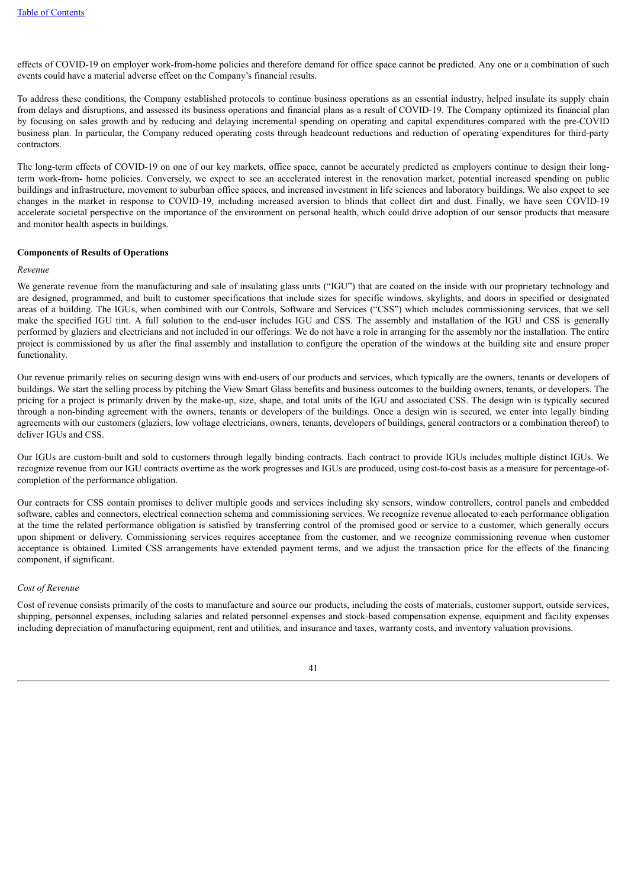effects of COVID-19 on employer work-from-home policies and therefore demand for office space cannot be predicted. Any one or a combination of such events could have a material adverse effect on the Company's financial results.

To address these conditions, the Company established protocols to continue business operations as an essential industry, helped insulate its supply chain from delays and disruptions, and assessed its business operations and financial plans as a result of COVID-19. The Company optimized its financial plan by focusing on sales growth and by reducing and delaying incremental spending on operating and capital expenditures compared with the pre-COVID business plan. In particular, the Company reduced operating costs through headcount reductions and reduction of operating expenditures for third-party contractors.

The long-term effects of COVID-19 on one of our key markets, office space, cannot be accurately predicted as employers continue to design their longterm work-from- home policies. Conversely, we expect to see an accelerated interest in the renovation market, potential increased spending on public buildings and infrastructure, movement to suburban office spaces, and increased investment in life sciences and laboratory buildings. We also expect to see changes in the market in response to COVID-19, including increased aversion to blinds that collect dirt and dust. Finally, we have seen COVID-19 accelerate societal perspective on the importance of the environment on personal health, which could drive adoption of our sensor products that measure and monitor health aspects in buildings.

#### **Components of Results of Operations**

#### *Revenue*

We generate revenue from the manufacturing and sale of insulating glass units ("IGU") that are coated on the inside with our proprietary technology and are designed, programmed, and built to customer specifications that include sizes for specific windows, skylights, and doors in specified or designated areas of a building. The IGUs, when combined with our Controls, Software and Services ("CSS") which includes commissioning services, that we sell make the specified IGU tint. A full solution to the end-user includes IGU and CSS. The assembly and installation of the IGU and CSS is generally performed by glaziers and electricians and not included in our offerings. We do not have a role in arranging for the assembly nor the installation. The entire project is commissioned by us after the final assembly and installation to configure the operation of the windows at the building site and ensure proper functionality.

Our revenue primarily relies on securing design wins with end-users of our products and services, which typically are the owners, tenants or developers of buildings. We start the selling process by pitching the View Smart Glass benefits and business outcomes to the building owners, tenants, or developers. The pricing for a project is primarily driven by the make-up, size, shape, and total units of the IGU and associated CSS. The design win is typically secured through a non-binding agreement with the owners, tenants or developers of the buildings. Once a design win is secured, we enter into legally binding agreements with our customers (glaziers, low voltage electricians, owners, tenants, developers of buildings, general contractors or a combination thereof) to deliver IGUs and CSS.

Our IGUs are custom-built and sold to customers through legally binding contracts. Each contract to provide IGUs includes multiple distinct IGUs. We recognize revenue from our IGU contracts overtime as the work progresses and IGUs are produced, using cost-to-cost basis as a measure for percentage-ofcompletion of the performance obligation.

Our contracts for CSS contain promises to deliver multiple goods and services including sky sensors, window controllers, control panels and embedded software, cables and connectors, electrical connection schema and commissioning services. We recognize revenue allocated to each performance obligation at the time the related performance obligation is satisfied by transferring control of the promised good or service to a customer, which generally occurs upon shipment or delivery. Commissioning services requires acceptance from the customer, and we recognize commissioning revenue when customer acceptance is obtained. Limited CSS arrangements have extended payment terms, and we adjust the transaction price for the effects of the financing component, if significant.

#### *Cost of Revenue*

Cost of revenue consists primarily of the costs to manufacture and source our products, including the costs of materials, customer support, outside services, shipping, personnel expenses, including salaries and related personnel expenses and stock-based compensation expense, equipment and facility expenses including depreciation of manufacturing equipment, rent and utilities, and insurance and taxes, warranty costs, and inventory valuation provisions.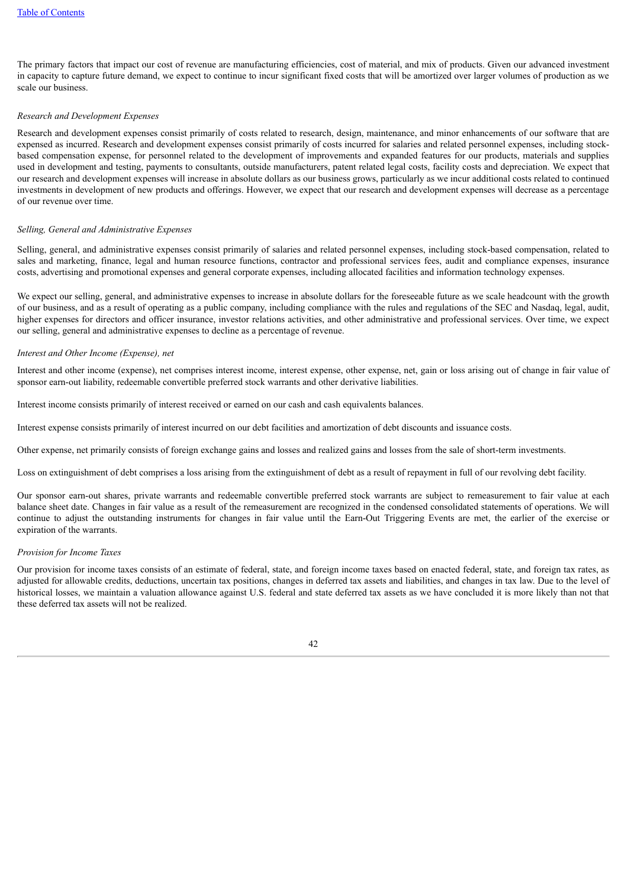The primary factors that impact our cost of revenue are manufacturing efficiencies, cost of material, and mix of products. Given our advanced investment in capacity to capture future demand, we expect to continue to incur significant fixed costs that will be amortized over larger volumes of production as we scale our business.

#### *Research and Development Expenses*

Research and development expenses consist primarily of costs related to research, design, maintenance, and minor enhancements of our software that are expensed as incurred. Research and development expenses consist primarily of costs incurred for salaries and related personnel expenses, including stockbased compensation expense, for personnel related to the development of improvements and expanded features for our products, materials and supplies used in development and testing, payments to consultants, outside manufacturers, patent related legal costs, facility costs and depreciation. We expect that our research and development expenses will increase in absolute dollars as our business grows, particularly as we incur additional costs related to continued investments in development of new products and offerings. However, we expect that our research and development expenses will decrease as a percentage of our revenue over time.

#### *Selling, General and Administrative Expenses*

Selling, general, and administrative expenses consist primarily of salaries and related personnel expenses, including stock-based compensation, related to sales and marketing, finance, legal and human resource functions, contractor and professional services fees, audit and compliance expenses, insurance costs, advertising and promotional expenses and general corporate expenses, including allocated facilities and information technology expenses.

We expect our selling, general, and administrative expenses to increase in absolute dollars for the foreseeable future as we scale headcount with the growth of our business, and as a result of operating as a public company, including compliance with the rules and regulations of the SEC and Nasdaq, legal, audit, higher expenses for directors and officer insurance, investor relations activities, and other administrative and professional services. Over time, we expect our selling, general and administrative expenses to decline as a percentage of revenue.

#### *Interest and Other Income (Expense), net*

Interest and other income (expense), net comprises interest income, interest expense, other expense, net, gain or loss arising out of change in fair value of sponsor earn-out liability, redeemable convertible preferred stock warrants and other derivative liabilities.

Interest income consists primarily of interest received or earned on our cash and cash equivalents balances.

Interest expense consists primarily of interest incurred on our debt facilities and amortization of debt discounts and issuance costs.

Other expense, net primarily consists of foreign exchange gains and losses and realized gains and losses from the sale of short-term investments.

Loss on extinguishment of debt comprises a loss arising from the extinguishment of debt as a result of repayment in full of our revolving debt facility.

Our sponsor earn-out shares, private warrants and redeemable convertible preferred stock warrants are subject to remeasurement to fair value at each balance sheet date. Changes in fair value as a result of the remeasurement are recognized in the condensed consolidated statements of operations. We will continue to adjust the outstanding instruments for changes in fair value until the Earn-Out Triggering Events are met, the earlier of the exercise or expiration of the warrants.

#### *Provision for Income Taxes*

Our provision for income taxes consists of an estimate of federal, state, and foreign income taxes based on enacted federal, state, and foreign tax rates, as adjusted for allowable credits, deductions, uncertain tax positions, changes in deferred tax assets and liabilities, and changes in tax law. Due to the level of historical losses, we maintain a valuation allowance against U.S. federal and state deferred tax assets as we have concluded it is more likely than not that these deferred tax assets will not be realized.

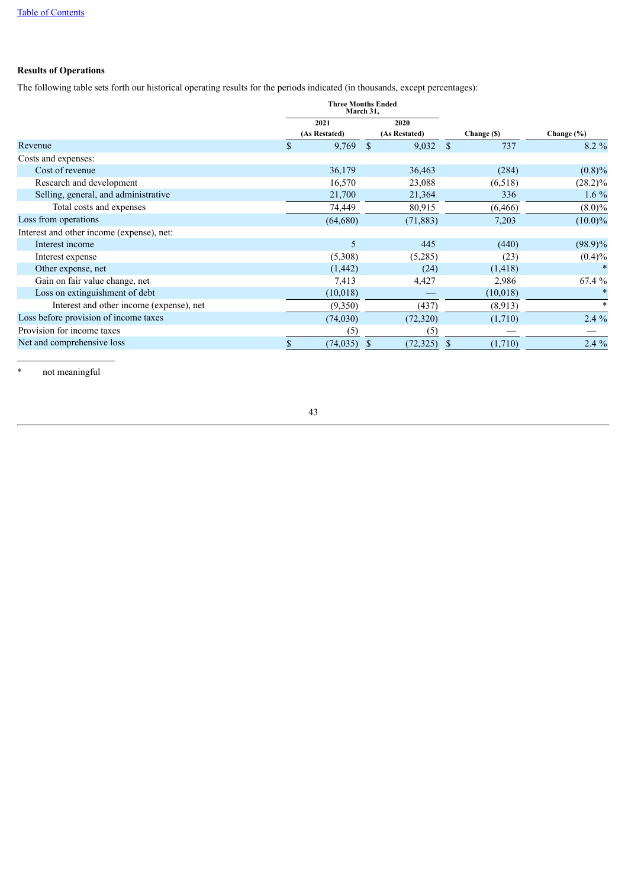# **Results of Operations**

The following table sets forth our historical operating results for the periods indicated (in thousands, except percentages):

|                                           | <b>Three Months Ended</b><br>March 31, |               |                    |               |              |             |                |
|-------------------------------------------|----------------------------------------|---------------|--------------------|---------------|--------------|-------------|----------------|
|                                           |                                        | 2021          |                    | 2020          |              |             |                |
|                                           |                                        | (As Restated) |                    | (As Restated) |              | Change (\$) | Change $(\% )$ |
| Revenue                                   | \$                                     | 9,769         | $\mathbf{\hat{s}}$ | 9,032         | $\mathbf{s}$ | 737         | $8.2\%$        |
| Costs and expenses:                       |                                        |               |                    |               |              |             |                |
| Cost of revenue                           |                                        | 36,179        |                    | 36,463        |              | (284)       | (0.8)%         |
| Research and development                  |                                        | 16,570        |                    | 23,088        |              | (6,518)     | $(28.2)\%$     |
| Selling, general, and administrative      |                                        | 21,700        |                    | 21,364        |              | 336         | $1.6\%$        |
| Total costs and expenses                  |                                        | 74,449        |                    | 80,915        |              | (6, 466)    | $(8.0)\%$      |
| Loss from operations                      |                                        | (64,680)      |                    | (71, 883)     |              | 7,203       | $(10.0)\%$     |
| Interest and other income (expense), net: |                                        |               |                    |               |              |             |                |
| Interest income                           |                                        | 5             |                    | 445           |              | (440)       | $(98.9)\%$     |
| Interest expense                          |                                        | (5,308)       |                    | (5,285)       |              | (23)        | $(0.4)\%$      |
| Other expense, net                        |                                        | (1, 442)      |                    | (24)          |              | (1, 418)    | $\ast$         |
| Gain on fair value change, net            |                                        | 7,413         |                    | 4,427         |              | 2,986       | 67.4 %         |
| Loss on extinguishment of debt            |                                        | (10,018)      |                    |               |              | (10,018)    |                |
| Interest and other income (expense), net  |                                        | (9,350)       |                    | (437)         |              | (8,913)     | $\ast$         |
| Loss before provision of income taxes     |                                        | (74,030)      |                    | (72, 320)     |              | (1,710)     | 2.4 %          |
| Provision for income taxes                |                                        | (5)           |                    | (5)           |              |             |                |
| Net and comprehensive loss                |                                        | (74, 035)     | S                  | (72, 325)     | \$           | (1,710)     | 2.4%           |

\* not meaningful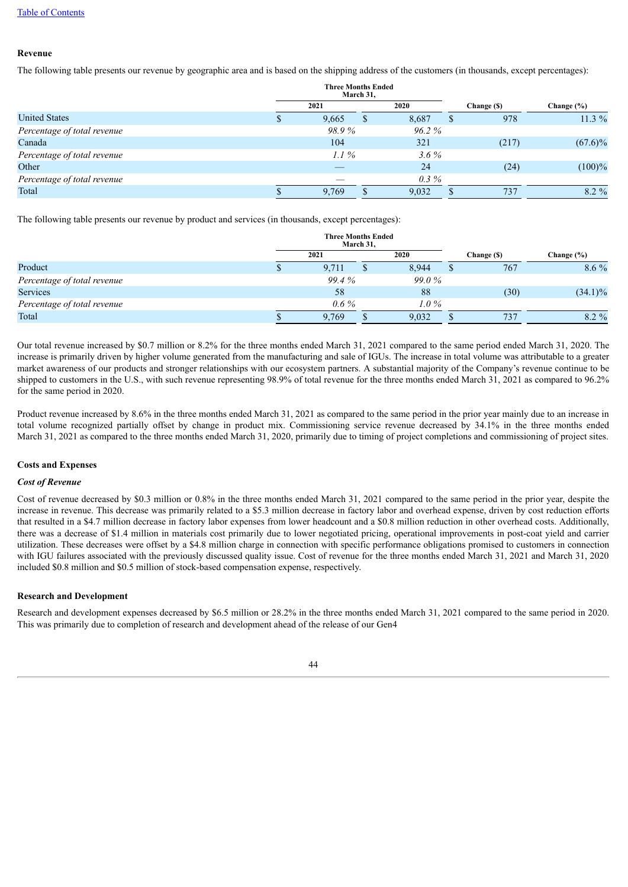# **Revenue**

The following table presents our revenue by geographic area and is based on the shipping address of the customers (in thousands, except percentages):

|                             | <b>Three Months Ended</b><br>March 31, |         |               |         |  |             |                |
|-----------------------------|----------------------------------------|---------|---------------|---------|--|-------------|----------------|
|                             |                                        | 2021    |               | 2020    |  | Change (\$) | Change $(\% )$ |
| <b>United States</b>        |                                        | 9,665   | <sup>\$</sup> | 8,687   |  | 978         | $11.3\%$       |
| Percentage of total revenue |                                        | 98.9%   |               | 96.2%   |  |             |                |
| Canada                      |                                        | 104     |               | 321     |  | (217)       | $(67.6)\%$     |
| Percentage of total revenue |                                        | $1.1\%$ |               | $3.6\%$ |  |             |                |
| Other                       |                                        |         |               | 24      |  | (24)        | (100)%         |
| Percentage of total revenue |                                        |         |               | $0.3\%$ |  |             |                |
| Total                       |                                        | 9,769   |               | 9,032   |  | 737         | $8.2\%$        |

The following table presents our revenue by product and services (in thousands, except percentages):

|                             | <b>Three Months Ended</b><br>March 31, |         |  |         |  |             |            |
|-----------------------------|----------------------------------------|---------|--|---------|--|-------------|------------|
|                             |                                        | 2021    |  | 2020    |  | Change (\$) | Change (%) |
| Product                     |                                        | 9,711   |  | 8,944   |  | 767         | $8.6\%$    |
| Percentage of total revenue |                                        | 99.4%   |  | 99.0%   |  |             |            |
| <b>Services</b>             |                                        | 58      |  | 88      |  | (30)        | $(34.1)\%$ |
| Percentage of total revenue |                                        | $0.6\%$ |  | $1.0\%$ |  |             |            |
| Total                       |                                        | 9,769   |  | 9,032   |  | 737         | $8.2\%$    |

Our total revenue increased by \$0.7 million or 8.2% for the three months ended March 31, 2021 compared to the same period ended March 31, 2020. The increase is primarily driven by higher volume generated from the manufacturing and sale of IGUs. The increase in total volume was attributable to a greater market awareness of our products and stronger relationships with our ecosystem partners. A substantial majority of the Company's revenue continue to be shipped to customers in the U.S., with such revenue representing 98.9% of total revenue for the three months ended March 31, 2021 as compared to 96.2% for the same period in 2020.

Product revenue increased by 8.6% in the three months ended March 31, 2021 as compared to the same period in the prior year mainly due to an increase in total volume recognized partially offset by change in product mix. Commissioning service revenue decreased by 34.1% in the three months ended March 31, 2021 as compared to the three months ended March 31, 2020, primarily due to timing of project completions and commissioning of project sites.

# **Costs and Expenses**

#### *Cost of Revenue*

Cost of revenue decreased by \$0.3 million or 0.8% in the three months ended March 31, 2021 compared to the same period in the prior year, despite the increase in revenue. This decrease was primarily related to a \$5.3 million decrease in factory labor and overhead expense, driven by cost reduction efforts that resulted in a \$4.7 million decrease in factory labor expenses from lower headcount and a \$0.8 million reduction in other overhead costs. Additionally, there was a decrease of \$1.4 million in materials cost primarily due to lower negotiated pricing, operational improvements in post-coat yield and carrier utilization. These decreases were offset by a \$4.8 million charge in connection with specific performance obligations promised to customers in connection with IGU failures associated with the previously discussed quality issue. Cost of revenue for the three months ended March 31, 2021 and March 31, 2020 included \$0.8 million and \$0.5 million of stock-based compensation expense, respectively.

#### **Research and Development**

Research and development expenses decreased by \$6.5 million or 28.2% in the three months ended March 31, 2021 compared to the same period in 2020. This was primarily due to completion of research and development ahead of the release of our Gen4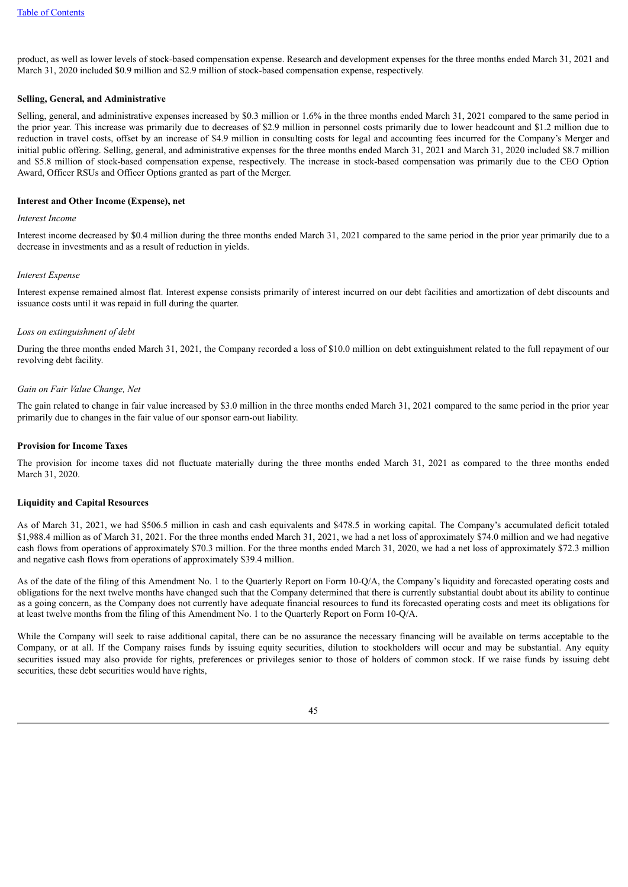product, as well as lower levels of stock-based compensation expense. Research and development expenses for the three months ended March 31, 2021 and March 31, 2020 included \$0.9 million and \$2.9 million of stock-based compensation expense, respectively.

#### **Selling, General, and Administrative**

Selling, general, and administrative expenses increased by \$0.3 million or 1.6% in the three months ended March 31, 2021 compared to the same period in the prior year. This increase was primarily due to decreases of \$2.9 million in personnel costs primarily due to lower headcount and \$1.2 million due to reduction in travel costs, offset by an increase of \$4.9 million in consulting costs for legal and accounting fees incurred for the Company's Merger and initial public offering. Selling, general, and administrative expenses for the three months ended March 31, 2021 and March 31, 2020 included \$8.7 million and \$5.8 million of stock-based compensation expense, respectively. The increase in stock-based compensation was primarily due to the CEO Option Award, Officer RSUs and Officer Options granted as part of the Merger.

#### **Interest and Other Income (Expense), net**

#### *Interest Income*

Interest income decreased by \$0.4 million during the three months ended March 31, 2021 compared to the same period in the prior year primarily due to a decrease in investments and as a result of reduction in yields.

#### *Interest Expense*

Interest expense remained almost flat. Interest expense consists primarily of interest incurred on our debt facilities and amortization of debt discounts and issuance costs until it was repaid in full during the quarter.

#### *Loss on extinguishment of debt*

During the three months ended March 31, 2021, the Company recorded a loss of \$10.0 million on debt extinguishment related to the full repayment of our revolving debt facility.

#### *Gain on Fair Value Change, Net*

The gain related to change in fair value increased by \$3.0 million in the three months ended March 31, 2021 compared to the same period in the prior year primarily due to changes in the fair value of our sponsor earn-out liability.

#### **Provision for Income Taxes**

The provision for income taxes did not fluctuate materially during the three months ended March 31, 2021 as compared to the three months ended March 31, 2020.

#### **Liquidity and Capital Resources**

As of March 31, 2021, we had \$506.5 million in cash and cash equivalents and \$478.5 in working capital. The Company's accumulated deficit totaled \$1,988.4 million as of March 31, 2021. For the three months ended March 31, 2021, we had a net loss of approximately \$74.0 million and we had negative cash flows from operations of approximately \$70.3 million. For the three months ended March 31, 2020, we had a net loss of approximately \$72.3 million and negative cash flows from operations of approximately \$39.4 million.

As of the date of the filing of this Amendment No. 1 to the Quarterly Report on Form 10-Q/A, the Company's liquidity and forecasted operating costs and obligations for the next twelve months have changed such that the Company determined that there is currently substantial doubt about its ability to continue as a going concern, as the Company does not currently have adequate financial resources to fund its forecasted operating costs and meet its obligations for at least twelve months from the filing of this Amendment No. 1 to the Quarterly Report on Form 10-Q/A.

While the Company will seek to raise additional capital, there can be no assurance the necessary financing will be available on terms acceptable to the Company, or at all. If the Company raises funds by issuing equity securities, dilution to stockholders will occur and may be substantial. Any equity securities issued may also provide for rights, preferences or privileges senior to those of holders of common stock. If we raise funds by issuing debt securities, these debt securities would have rights,

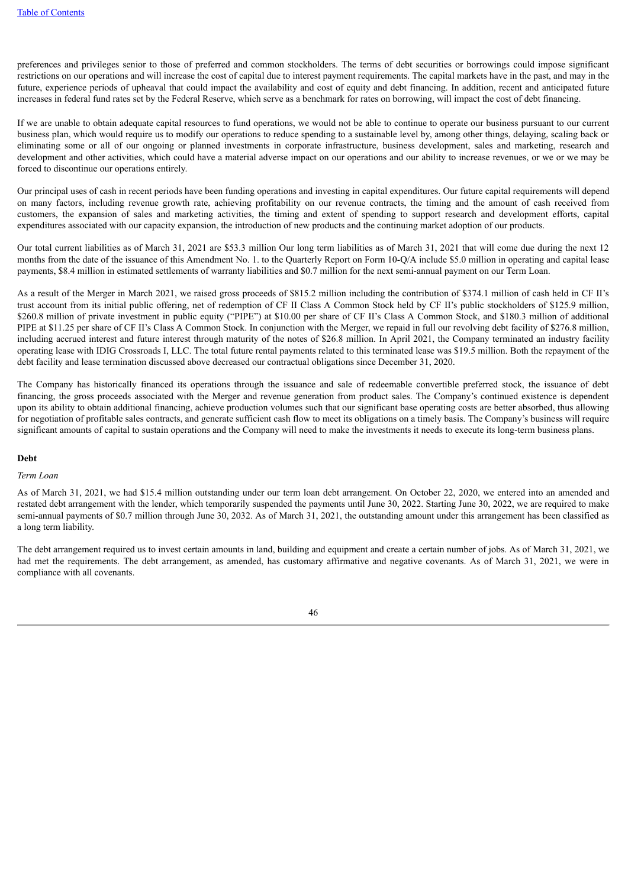preferences and privileges senior to those of preferred and common stockholders. The terms of debt securities or borrowings could impose significant restrictions on our operations and will increase the cost of capital due to interest payment requirements. The capital markets have in the past, and may in the future, experience periods of upheaval that could impact the availability and cost of equity and debt financing. In addition, recent and anticipated future increases in federal fund rates set by the Federal Reserve, which serve as a benchmark for rates on borrowing, will impact the cost of debt financing.

If we are unable to obtain adequate capital resources to fund operations, we would not be able to continue to operate our business pursuant to our current business plan, which would require us to modify our operations to reduce spending to a sustainable level by, among other things, delaying, scaling back or eliminating some or all of our ongoing or planned investments in corporate infrastructure, business development, sales and marketing, research and development and other activities, which could have a material adverse impact on our operations and our ability to increase revenues, or we or we may be forced to discontinue our operations entirely.

Our principal uses of cash in recent periods have been funding operations and investing in capital expenditures. Our future capital requirements will depend on many factors, including revenue growth rate, achieving profitability on our revenue contracts, the timing and the amount of cash received from customers, the expansion of sales and marketing activities, the timing and extent of spending to support research and development efforts, capital expenditures associated with our capacity expansion, the introduction of new products and the continuing market adoption of our products.

Our total current liabilities as of March 31, 2021 are \$53.3 million Our long term liabilities as of March 31, 2021 that will come due during the next 12 months from the date of the issuance of this Amendment No. 1. to the Quarterly Report on Form 10-Q/A include \$5.0 million in operating and capital lease payments, \$8.4 million in estimated settlements of warranty liabilities and \$0.7 million for the next semi-annual payment on our Term Loan.

As a result of the Merger in March 2021, we raised gross proceeds of \$815.2 million including the contribution of \$374.1 million of cash held in CF II's trust account from its initial public offering, net of redemption of CF II Class A Common Stock held by CF II's public stockholders of \$125.9 million, \$260.8 million of private investment in public equity ("PIPE") at \$10.00 per share of CF II's Class A Common Stock, and \$180.3 million of additional PIPE at \$11.25 per share of CF II's Class A Common Stock. In conjunction with the Merger, we repaid in full our revolving debt facility of \$276.8 million, including accrued interest and future interest through maturity of the notes of \$26.8 million. In April 2021, the Company terminated an industry facility operating lease with IDIG Crossroads I, LLC. The total future rental payments related to this terminated lease was \$19.5 million. Both the repayment of the debt facility and lease termination discussed above decreased our contractual obligations since December 31, 2020.

The Company has historically financed its operations through the issuance and sale of redeemable convertible preferred stock, the issuance of debt financing, the gross proceeds associated with the Merger and revenue generation from product sales. The Company's continued existence is dependent upon its ability to obtain additional financing, achieve production volumes such that our significant base operating costs are better absorbed, thus allowing for negotiation of profitable sales contracts, and generate sufficient cash flow to meet its obligations on a timely basis. The Company's business will require significant amounts of capital to sustain operations and the Company will need to make the investments it needs to execute its long-term business plans.

#### **Debt**

#### *Term Loan*

As of March 31, 2021, we had \$15.4 million outstanding under our term loan debt arrangement. On October 22, 2020, we entered into an amended and restated debt arrangement with the lender, which temporarily suspended the payments until June 30, 2022. Starting June 30, 2022, we are required to make semi-annual payments of \$0.7 million through June 30, 2032. As of March 31, 2021, the outstanding amount under this arrangement has been classified as a long term liability.

The debt arrangement required us to invest certain amounts in land, building and equipment and create a certain number of jobs. As of March 31, 2021, we had met the requirements. The debt arrangement, as amended, has customary affirmative and negative covenants. As of March 31, 2021, we were in compliance with all covenants.

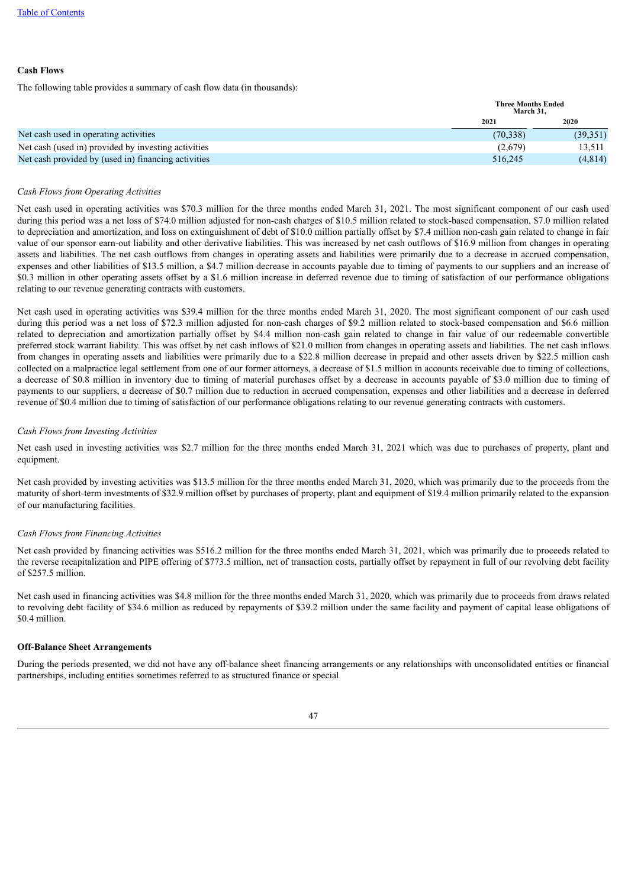#### **Cash Flows**

The following table provides a summary of cash flow data (in thousands):

|                                                     |           | <b>Three Months Ended</b><br>March 31. |  |  |
|-----------------------------------------------------|-----------|----------------------------------------|--|--|
|                                                     | 2021      | 2020                                   |  |  |
| Net cash used in operating activities               | (70, 338) | (39, 351)                              |  |  |
| Net cash (used in) provided by investing activities | (2,679)   | 13.511                                 |  |  |
| Net cash provided by (used in) financing activities | 516.245   | (4,814)                                |  |  |

#### *Cash Flows from Operating Activities*

Net cash used in operating activities was \$70.3 million for the three months ended March 31, 2021. The most significant component of our cash used during this period was a net loss of \$74.0 million adjusted for non-cash charges of \$10.5 million related to stock-based compensation, \$7.0 million related to depreciation and amortization, and loss on extinguishment of debt of \$10.0 million partially offset by \$7.4 million non-cash gain related to change in fair value of our sponsor earn-out liability and other derivative liabilities. This was increased by net cash outflows of \$16.9 million from changes in operating assets and liabilities. The net cash outflows from changes in operating assets and liabilities were primarily due to a decrease in accrued compensation, expenses and other liabilities of \$13.5 million, a \$4.7 million decrease in accounts payable due to timing of payments to our suppliers and an increase of \$0.3 million in other operating assets offset by a \$1.6 million increase in deferred revenue due to timing of satisfaction of our performance obligations relating to our revenue generating contracts with customers.

Net cash used in operating activities was \$39.4 million for the three months ended March 31, 2020. The most significant component of our cash used during this period was a net loss of \$72.3 million adjusted for non-cash charges of \$9.2 million related to stock-based compensation and \$6.6 million related to depreciation and amortization partially offset by \$4.4 million non-cash gain related to change in fair value of our redeemable convertible preferred stock warrant liability. This was offset by net cash inflows of \$21.0 million from changes in operating assets and liabilities. The net cash inflows from changes in operating assets and liabilities were primarily due to a \$22.8 million decrease in prepaid and other assets driven by \$22.5 million cash collected on a malpractice legal settlement from one of our former attorneys, a decrease of \$1.5 million in accounts receivable due to timing of collections, a decrease of \$0.8 million in inventory due to timing of material purchases offset by a decrease in accounts payable of \$3.0 million due to timing of payments to our suppliers, a decrease of \$0.7 million due to reduction in accrued compensation, expenses and other liabilities and a decrease in deferred revenue of \$0.4 million due to timing of satisfaction of our performance obligations relating to our revenue generating contracts with customers.

#### *Cash Flows from Investing Activities*

Net cash used in investing activities was \$2.7 million for the three months ended March 31, 2021 which was due to purchases of property, plant and equipment.

Net cash provided by investing activities was \$13.5 million for the three months ended March 31, 2020, which was primarily due to the proceeds from the maturity of short-term investments of \$32.9 million offset by purchases of property, plant and equipment of \$19.4 million primarily related to the expansion of our manufacturing facilities.

#### *Cash Flows from Financing Activities*

Net cash provided by financing activities was \$516.2 million for the three months ended March 31, 2021, which was primarily due to proceeds related to the reverse recapitalization and PIPE offering of \$773.5 million, net of transaction costs, partially offset by repayment in full of our revolving debt facility of \$257.5 million.

Net cash used in financing activities was \$4.8 million for the three months ended March 31, 2020, which was primarily due to proceeds from draws related to revolving debt facility of \$34.6 million as reduced by repayments of \$39.2 million under the same facility and payment of capital lease obligations of \$0.4 million.

#### **Off-Balance Sheet Arrangements**

During the periods presented, we did not have any off-balance sheet financing arrangements or any relationships with unconsolidated entities or financial partnerships, including entities sometimes referred to as structured finance or special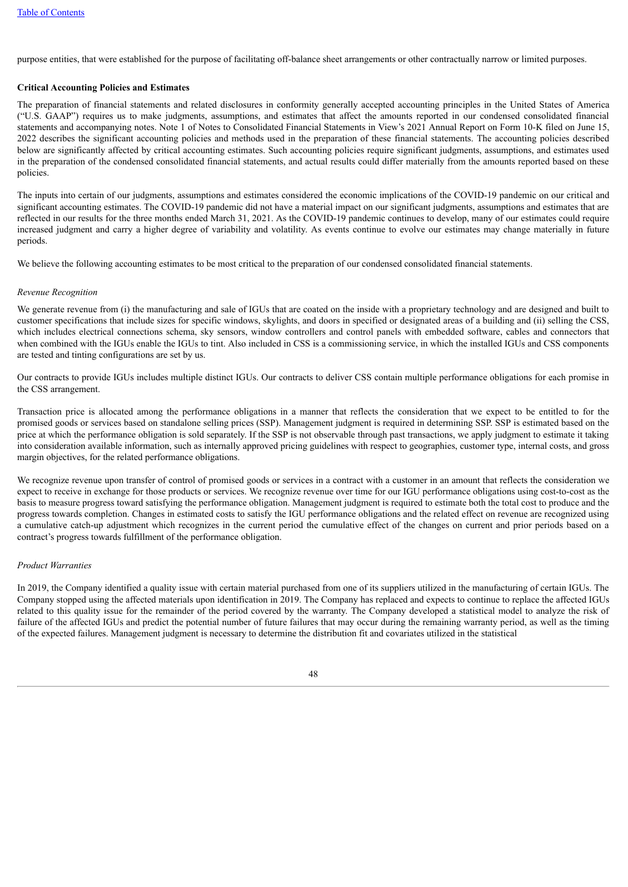purpose entities, that were established for the purpose of facilitating off-balance sheet arrangements or other contractually narrow or limited purposes.

# **Critical Accounting Policies and Estimates**

The preparation of financial statements and related disclosures in conformity generally accepted accounting principles in the United States of America ("U.S. GAAP") requires us to make judgments, assumptions, and estimates that affect the amounts reported in our condensed consolidated financial statements and accompanying notes. Note 1 of Notes to Consolidated Financial Statements in View's 2021 Annual Report on Form 10-K filed on June 15, 2022 describes the significant accounting policies and methods used in the preparation of these financial statements. The accounting policies described below are significantly affected by critical accounting estimates. Such accounting policies require significant judgments, assumptions, and estimates used in the preparation of the condensed consolidated financial statements, and actual results could differ materially from the amounts reported based on these policies.

The inputs into certain of our judgments, assumptions and estimates considered the economic implications of the COVID-19 pandemic on our critical and significant accounting estimates. The COVID-19 pandemic did not have a material impact on our significant judgments, assumptions and estimates that are reflected in our results for the three months ended March 31, 2021. As the COVID-19 pandemic continues to develop, many of our estimates could require increased judgment and carry a higher degree of variability and volatility. As events continue to evolve our estimates may change materially in future periods.

We believe the following accounting estimates to be most critical to the preparation of our condensed consolidated financial statements.

#### *Revenue Recognition*

We generate revenue from (i) the manufacturing and sale of IGUs that are coated on the inside with a proprietary technology and are designed and built to customer specifications that include sizes for specific windows, skylights, and doors in specified or designated areas of a building and (ii) selling the CSS, which includes electrical connections schema, sky sensors, window controllers and control panels with embedded software, cables and connectors that when combined with the IGUs enable the IGUs to tint. Also included in CSS is a commissioning service, in which the installed IGUs and CSS components are tested and tinting configurations are set by us.

Our contracts to provide IGUs includes multiple distinct IGUs. Our contracts to deliver CSS contain multiple performance obligations for each promise in the CSS arrangement.

Transaction price is allocated among the performance obligations in a manner that reflects the consideration that we expect to be entitled to for the promised goods or services based on standalone selling prices (SSP). Management judgment is required in determining SSP. SSP is estimated based on the price at which the performance obligation is sold separately. If the SSP is not observable through past transactions, we apply judgment to estimate it taking into consideration available information, such as internally approved pricing guidelines with respect to geographies, customer type, internal costs, and gross margin objectives, for the related performance obligations.

We recognize revenue upon transfer of control of promised goods or services in a contract with a customer in an amount that reflects the consideration we expect to receive in exchange for those products or services. We recognize revenue over time for our IGU performance obligations using cost-to-cost as the basis to measure progress toward satisfying the performance obligation. Management judgment is required to estimate both the total cost to produce and the progress towards completion. Changes in estimated costs to satisfy the IGU performance obligations and the related effect on revenue are recognized using a cumulative catch-up adjustment which recognizes in the current period the cumulative effect of the changes on current and prior periods based on a contract's progress towards fulfillment of the performance obligation.

# *Product Warranties*

In 2019, the Company identified a quality issue with certain material purchased from one of its suppliers utilized in the manufacturing of certain IGUs. The Company stopped using the affected materials upon identification in 2019. The Company has replaced and expects to continue to replace the affected IGUs related to this quality issue for the remainder of the period covered by the warranty. The Company developed a statistical model to analyze the risk of failure of the affected IGUs and predict the potential number of future failures that may occur during the remaining warranty period, as well as the timing of the expected failures. Management judgment is necessary to determine the distribution fit and covariates utilized in the statistical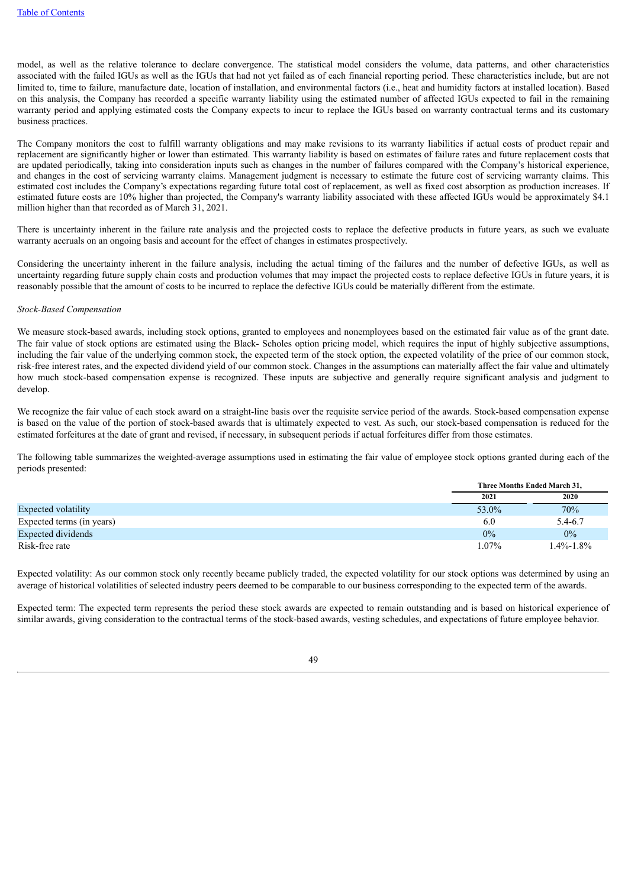model, as well as the relative tolerance to declare convergence. The statistical model considers the volume, data patterns, and other characteristics associated with the failed IGUs as well as the IGUs that had not yet failed as of each financial reporting period. These characteristics include, but are not limited to, time to failure, manufacture date, location of installation, and environmental factors (i.e., heat and humidity factors at installed location). Based on this analysis, the Company has recorded a specific warranty liability using the estimated number of affected IGUs expected to fail in the remaining warranty period and applying estimated costs the Company expects to incur to replace the IGUs based on warranty contractual terms and its customary business practices.

The Company monitors the cost to fulfill warranty obligations and may make revisions to its warranty liabilities if actual costs of product repair and replacement are significantly higher or lower than estimated. This warranty liability is based on estimates of failure rates and future replacement costs that are updated periodically, taking into consideration inputs such as changes in the number of failures compared with the Company's historical experience, and changes in the cost of servicing warranty claims. Management judgment is necessary to estimate the future cost of servicing warranty claims. This estimated cost includes the Company's expectations regarding future total cost of replacement, as well as fixed cost absorption as production increases. If estimated future costs are 10% higher than projected, the Company's warranty liability associated with these affected IGUs would be approximately \$4.1 million higher than that recorded as of March 31, 2021.

There is uncertainty inherent in the failure rate analysis and the projected costs to replace the defective products in future years, as such we evaluate warranty accruals on an ongoing basis and account for the effect of changes in estimates prospectively.

Considering the uncertainty inherent in the failure analysis, including the actual timing of the failures and the number of defective IGUs, as well as uncertainty regarding future supply chain costs and production volumes that may impact the projected costs to replace defective IGUs in future years, it is reasonably possible that the amount of costs to be incurred to replace the defective IGUs could be materially different from the estimate.

#### *Stock-Based Compensation*

We measure stock-based awards, including stock options, granted to employees and nonemployees based on the estimated fair value as of the grant date. The fair value of stock options are estimated using the Black- Scholes option pricing model, which requires the input of highly subjective assumptions, including the fair value of the underlying common stock, the expected term of the stock option, the expected volatility of the price of our common stock, risk-free interest rates, and the expected dividend yield of our common stock. Changes in the assumptions can materially affect the fair value and ultimately how much stock-based compensation expense is recognized. These inputs are subjective and generally require significant analysis and judgment to develop.

We recognize the fair value of each stock award on a straight-line basis over the requisite service period of the awards. Stock-based compensation expense is based on the value of the portion of stock-based awards that is ultimately expected to vest. As such, our stock-based compensation is reduced for the estimated forfeitures at the date of grant and revised, if necessary, in subsequent periods if actual forfeitures differ from those estimates.

The following table summarizes the weighted-average assumptions used in estimating the fair value of employee stock options granted during each of the periods presented:

|                           | Three Months Ended March 31, |                 |
|---------------------------|------------------------------|-----------------|
|                           | 2021                         | 2020            |
| Expected volatility       | 53.0%                        | 70%             |
| Expected terms (in years) | 6.0                          | 5.4-6.7         |
| Expected dividends        | $0\%$                        | 0%              |
| Risk-free rate            | $1.07\%$                     | $1.4\% - 1.8\%$ |

Expected volatility: As our common stock only recently became publicly traded, the expected volatility for our stock options was determined by using an average of historical volatilities of selected industry peers deemed to be comparable to our business corresponding to the expected term of the awards.

Expected term: The expected term represents the period these stock awards are expected to remain outstanding and is based on historical experience of similar awards, giving consideration to the contractual terms of the stock-based awards, vesting schedules, and expectations of future employee behavior.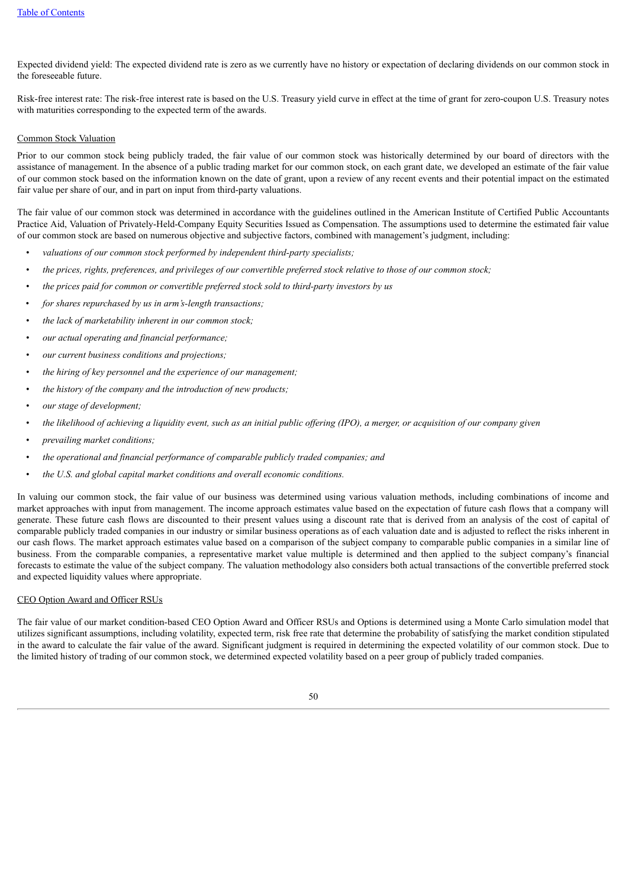Expected dividend yield: The expected dividend rate is zero as we currently have no history or expectation of declaring dividends on our common stock in the foreseeable future.

Risk-free interest rate: The risk-free interest rate is based on the U.S. Treasury yield curve in effect at the time of grant for zero-coupon U.S. Treasury notes with maturities corresponding to the expected term of the awards.

#### Common Stock Valuation

Prior to our common stock being publicly traded, the fair value of our common stock was historically determined by our board of directors with the assistance of management. In the absence of a public trading market for our common stock, on each grant date, we developed an estimate of the fair value of our common stock based on the information known on the date of grant, upon a review of any recent events and their potential impact on the estimated fair value per share of our, and in part on input from third-party valuations.

The fair value of our common stock was determined in accordance with the guidelines outlined in the American Institute of Certified Public Accountants Practice Aid, Valuation of Privately-Held-Company Equity Securities Issued as Compensation. The assumptions used to determine the estimated fair value of our common stock are based on numerous objective and subjective factors, combined with management's judgment, including:

- *• valuations of our common stock performed by independent third-party specialists;*
- the prices, rights, preferences, and privileges of our convertible preferred stock relative to those of our common stock;
- *• the prices paid for common or convertible preferred stock sold to third-party investors by us*
- *for shares repurchased by us in arm's-length transactions;*
- *• the lack of marketability inherent in our common stock;*
- *• our actual operating and financial performance;*
- *• our current business conditions and projections;*
- *• the hiring of key personnel and the experience of our management;*
- *• the history of the company and the introduction of new products;*
- *• our stage of development;*
- the likelihood of achieving a liquidity event, such as an initial public offering (IPO), a merger, or acquisition of our company given
- *• prevailing market conditions;*
- *• the operational and financial performance of comparable publicly traded companies; and*
- *• the U.S. and global capital market conditions and overall economic conditions.*

In valuing our common stock, the fair value of our business was determined using various valuation methods, including combinations of income and market approaches with input from management. The income approach estimates value based on the expectation of future cash flows that a company will generate. These future cash flows are discounted to their present values using a discount rate that is derived from an analysis of the cost of capital of comparable publicly traded companies in our industry or similar business operations as of each valuation date and is adjusted to reflect the risks inherent in our cash flows. The market approach estimates value based on a comparison of the subject company to comparable public companies in a similar line of business. From the comparable companies, a representative market value multiple is determined and then applied to the subject company's financial forecasts to estimate the value of the subject company. The valuation methodology also considers both actual transactions of the convertible preferred stock and expected liquidity values where appropriate.

#### CEO Option Award and Officer RSUs

The fair value of our market condition-based CEO Option Award and Officer RSUs and Options is determined using a Monte Carlo simulation model that utilizes significant assumptions, including volatility, expected term, risk free rate that determine the probability of satisfying the market condition stipulated in the award to calculate the fair value of the award. Significant judgment is required in determining the expected volatility of our common stock. Due to the limited history of trading of our common stock, we determined expected volatility based on a peer group of publicly traded companies.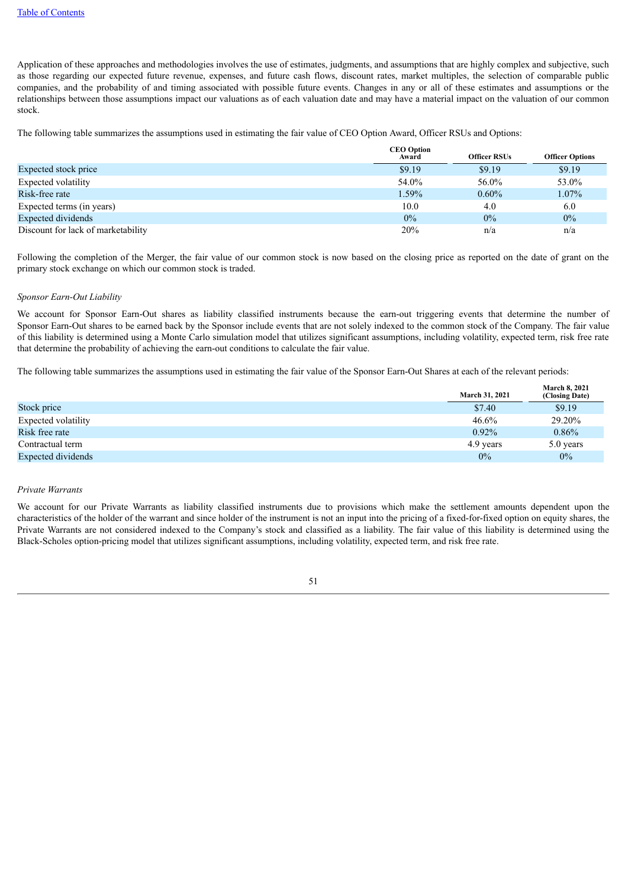Application of these approaches and methodologies involves the use of estimates, judgments, and assumptions that are highly complex and subjective, such as those regarding our expected future revenue, expenses, and future cash flows, discount rates, market multiples, the selection of comparable public companies, and the probability of and timing associated with possible future events. Changes in any or all of these estimates and assumptions or the relationships between those assumptions impact our valuations as of each valuation date and may have a material impact on the valuation of our common stock.

The following table summarizes the assumptions used in estimating the fair value of CEO Option Award, Officer RSUs and Options:

|                                    | <b>CEO Option</b><br>Award | <b>Officer RSUs</b> | <b>Officer Options</b> |
|------------------------------------|----------------------------|---------------------|------------------------|
| Expected stock price               | \$9.19                     | \$9.19              | \$9.19                 |
| Expected volatility                | 54.0%                      | 56.0%               | 53.0%                  |
| Risk-free rate                     | 1.59%                      | $0.60\%$            | 1.07%                  |
| Expected terms (in years)          | 10.0                       | 4.0                 | 6.0                    |
| <b>Expected dividends</b>          | $0\%$                      | $0\%$               | $0\%$                  |
| Discount for lack of marketability | 20%                        | n/a                 | n/a                    |

Following the completion of the Merger, the fair value of our common stock is now based on the closing price as reported on the date of grant on the primary stock exchange on which our common stock is traded.

# *Sponsor Earn-Out Liability*

We account for Sponsor Earn-Out shares as liability classified instruments because the earn-out triggering events that determine the number of Sponsor Earn-Out shares to be earned back by the Sponsor include events that are not solely indexed to the common stock of the Company. The fair value of this liability is determined using a Monte Carlo simulation model that utilizes significant assumptions, including volatility, expected term, risk free rate that determine the probability of achieving the earn-out conditions to calculate the fair value.

The following table summarizes the assumptions used in estimating the fair value of the Sponsor Earn-Out Shares at each of the relevant periods:

|                           | <b>March 31, 2021</b> | <b>March 8, 2021</b><br>(Closing Date) |
|---------------------------|-----------------------|----------------------------------------|
| Stock price               | \$7.40                | \$9.19                                 |
| Expected volatility       | 46.6%                 | 29.20%                                 |
| Risk free rate            | 0.92%                 | 0.86%                                  |
| Contractual term          | 4.9 years             | 5.0 years                              |
| <b>Expected dividends</b> | $0\%$                 | $0\%$                                  |

#### *Private Warrants*

We account for our Private Warrants as liability classified instruments due to provisions which make the settlement amounts dependent upon the characteristics of the holder of the warrant and since holder of the instrument is not an input into the pricing of a fixed-for-fixed option on equity shares, the Private Warrants are not considered indexed to the Company's stock and classified as a liability. The fair value of this liability is determined using the Black-Scholes option-pricing model that utilizes significant assumptions, including volatility, expected term, and risk free rate.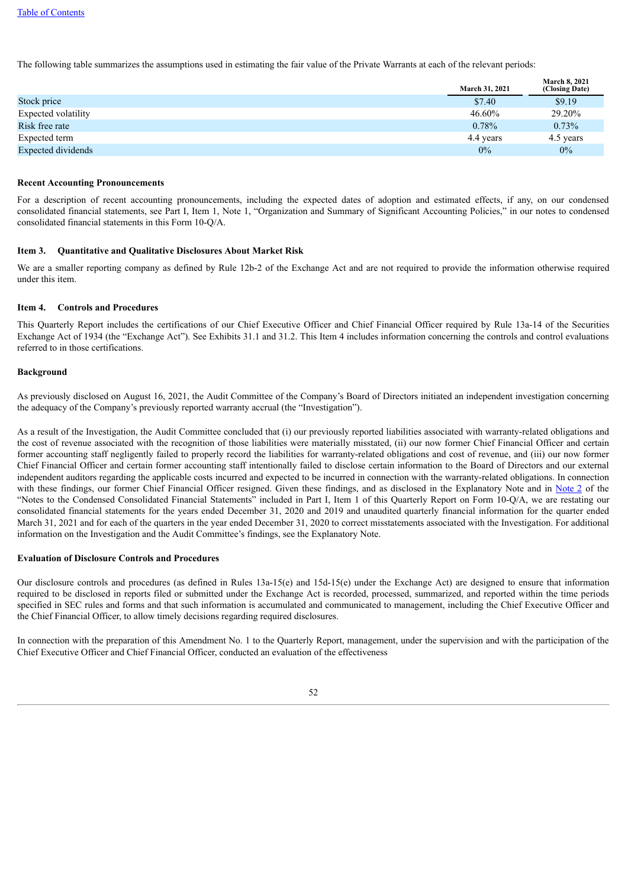The following table summarizes the assumptions used in estimating the fair value of the Private Warrants at each of the relevant periods:

|                     | March 31, 2021 | <b>March 8, 2021</b><br>(Closing Date) |
|---------------------|----------------|----------------------------------------|
| Stock price         | \$7.40         | \$9.19                                 |
| Expected volatility | 46.60%         | 29.20%                                 |
| Risk free rate      | 0.78%          | $0.73\%$                               |
| Expected term       | 4.4 years      | 4.5 years                              |
| Expected dividends  | $0\%$          | $0\%$                                  |

#### **Recent Accounting Pronouncements**

For a description of recent accounting pronouncements, including the expected dates of adoption and estimated effects, if any, on our condensed consolidated financial statements, see Part I, Item 1, Note 1, "Organization and Summary of Significant Accounting Policies," in our notes to condensed consolidated financial statements in this Form 10-Q/A.

#### <span id="page-52-0"></span>**Item 3. Quantitative and Qualitative Disclosures About Market Risk**

We are a smaller reporting company as defined by Rule 12b-2 of the Exchange Act and are not required to provide the information otherwise required under this item.

#### <span id="page-52-1"></span>**Item 4. Controls and Procedures**

This Quarterly Report includes the certifications of our Chief Executive Officer and Chief Financial Officer required by Rule 13a-14 of the Securities Exchange Act of 1934 (the "Exchange Act"). See Exhibits 31.1 and 31.2. This Item 4 includes information concerning the controls and control evaluations referred to in those certifications.

#### **Background**

As previously disclosed on August 16, 2021, the Audit Committee of the Company's Board of Directors initiated an independent investigation concerning the adequacy of the Company's previously reported warranty accrual (the "Investigation").

As a result of the Investigation, the Audit Committee concluded that (i) our previously reported liabilities associated with warranty-related obligations and the cost of revenue associated with the recognition of those liabilities were materially misstated, (ii) our now former Chief Financial Officer and certain former accounting staff negligently failed to properly record the liabilities for warranty-related obligations and cost of revenue, and (iii) our now former Chief Financial Officer and certain former accounting staff intentionally failed to disclose certain information to the Board of Directors and our external independent auditors regarding the applicable costs incurred and expected to be incurred in connection with the warranty-related obligations. In connection with these findings, our former Chief Financial Officer resigned. Given these findings, and as disclosed in the Explanatory Note and in Note 2 of the "Notes to the Condensed Consolidated Financial Statements" included in Part I, Item 1 of this Quarterly Report on Form 10-Q/A, we are restating our consolidated financial statements for the years ended December 31, 2020 and 2019 and unaudited quarterly financial information for the quarter ended March 31, 2021 and for each of the quarters in the year ended December 31, 2020 to correct misstatements associated with the Investigation. For additional information on the Investigation and the Audit Committee's findings, see the Explanatory Note.

#### **Evaluation of Disclosure Controls and Procedures**

Our disclosure controls and procedures (as defined in Rules  $13a-15(e)$  and  $15d-15(e)$  under the Exchange Act) are designed to ensure that information required to be disclosed in reports filed or submitted under the Exchange Act is recorded, processed, summarized, and reported within the time periods specified in SEC rules and forms and that such information is accumulated and communicated to management, including the Chief Executive Officer and the Chief Financial Officer, to allow timely decisions regarding required disclosures.

In connection with the preparation of this Amendment No. 1 to the Quarterly Report, management, under the supervision and with the participation of the Chief Executive Officer and Chief Financial Officer, conducted an evaluation of the effectiveness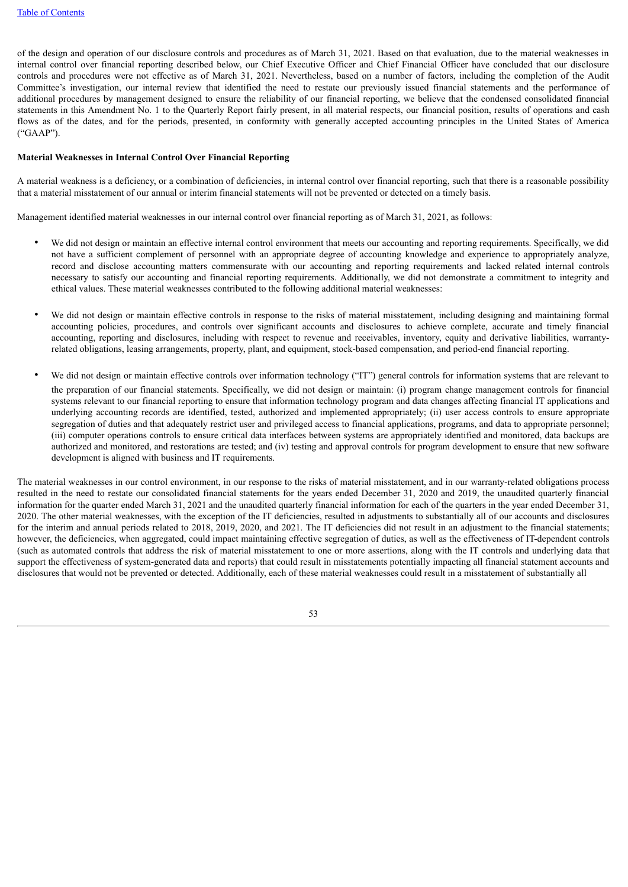of the design and operation of our disclosure controls and procedures as of March 31, 2021. Based on that evaluation, due to the material weaknesses in internal control over financial reporting described below, our Chief Executive Officer and Chief Financial Officer have concluded that our disclosure controls and procedures were not effective as of March 31, 2021. Nevertheless, based on a number of factors, including the completion of the Audit Committee's investigation, our internal review that identified the need to restate our previously issued financial statements and the performance of additional procedures by management designed to ensure the reliability of our financial reporting, we believe that the condensed consolidated financial statements in this Amendment No. 1 to the Quarterly Report fairly present, in all material respects, our financial position, results of operations and cash flows as of the dates, and for the periods, presented, in conformity with generally accepted accounting principles in the United States of America  $(^{\circ}GAAP")$ .

#### **Material Weaknesses in Internal Control Over Financial Reporting**

A material weakness is a deficiency, or a combination of deficiencies, in internal control over financial reporting, such that there is a reasonable possibility that a material misstatement of our annual or interim financial statements will not be prevented or detected on a timely basis.

Management identified material weaknesses in our internal control over financial reporting as of March 31, 2021, as follows:

- We did not design or maintain an effective internal control environment that meets our accounting and reporting requirements. Specifically, we did not have a sufficient complement of personnel with an appropriate degree of accounting knowledge and experience to appropriately analyze, record and disclose accounting matters commensurate with our accounting and reporting requirements and lacked related internal controls necessary to satisfy our accounting and financial reporting requirements. Additionally, we did not demonstrate a commitment to integrity and ethical values. These material weaknesses contributed to the following additional material weaknesses:
- We did not design or maintain effective controls in response to the risks of material misstatement, including designing and maintaining formal accounting policies, procedures, and controls over significant accounts and disclosures to achieve complete, accurate and timely financial accounting, reporting and disclosures, including with respect to revenue and receivables, inventory, equity and derivative liabilities, warrantyrelated obligations, leasing arrangements, property, plant, and equipment, stock-based compensation, and period-end financial reporting.
- We did not design or maintain effective controls over information technology ("IT") general controls for information systems that are relevant to the preparation of our financial statements. Specifically, we did not design or maintain: (i) program change management controls for financial systems relevant to our financial reporting to ensure that information technology program and data changes affecting financial IT applications and underlying accounting records are identified, tested, authorized and implemented appropriately; (ii) user access controls to ensure appropriate segregation of duties and that adequately restrict user and privileged access to financial applications, programs, and data to appropriate personnel; (iii) computer operations controls to ensure critical data interfaces between systems are appropriately identified and monitored, data backups are authorized and monitored, and restorations are tested; and (iv) testing and approval controls for program development to ensure that new software development is aligned with business and IT requirements.

The material weaknesses in our control environment, in our response to the risks of material misstatement, and in our warranty-related obligations process resulted in the need to restate our consolidated financial statements for the years ended December 31, 2020 and 2019, the unaudited quarterly financial information for the quarter ended March 31, 2021 and the unaudited quarterly financial information for each of the quarters in the year ended December 31, 2020. The other material weaknesses, with the exception of the IT deficiencies, resulted in adjustments to substantially all of our accounts and disclosures for the interim and annual periods related to 2018, 2019, 2020, and 2021. The IT deficiencies did not result in an adjustment to the financial statements; however, the deficiencies, when aggregated, could impact maintaining effective segregation of duties, as well as the effectiveness of IT-dependent controls (such as automated controls that address the risk of material misstatement to one or more assertions, along with the IT controls and underlying data that support the effectiveness of system-generated data and reports) that could result in misstatements potentially impacting all financial statement accounts and disclosures that would not be prevented or detected. Additionally, each of these material weaknesses could result in a misstatement of substantially all

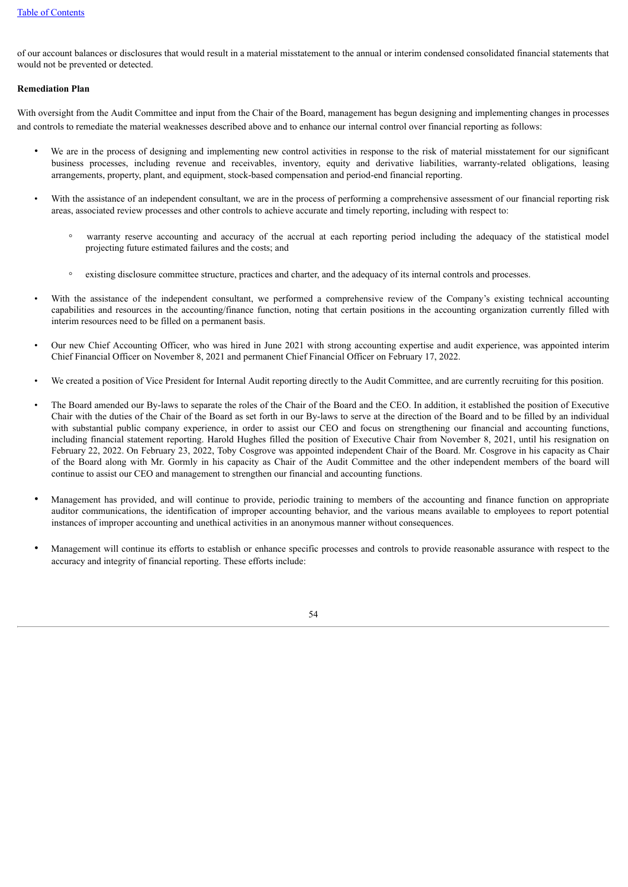of our account balances or disclosures that would result in a material misstatement to the annual or interim condensed consolidated financial statements that would not be prevented or detected.

#### **Remediation Plan**

With oversight from the Audit Committee and input from the Chair of the Board, management has begun designing and implementing changes in processes and controls to remediate the material weaknesses described above and to enhance our internal control over financial reporting as follows:

- We are in the process of designing and implementing new control activities in response to the risk of material misstatement for our significant business processes, including revenue and receivables, inventory, equity and derivative liabilities, warranty-related obligations, leasing arrangements, property, plant, and equipment, stock-based compensation and period-end financial reporting.
- With the assistance of an independent consultant, we are in the process of performing a comprehensive assessment of our financial reporting risk areas, associated review processes and other controls to achieve accurate and timely reporting, including with respect to:
	- warranty reserve accounting and accuracy of the accrual at each reporting period including the adequacy of the statistical model projecting future estimated failures and the costs; and
	- existing disclosure committee structure, practices and charter, and the adequacy of its internal controls and processes.
- With the assistance of the independent consultant, we performed a comprehensive review of the Company's existing technical accounting capabilities and resources in the accounting/finance function, noting that certain positions in the accounting organization currently filled with interim resources need to be filled on a permanent basis.
- Our new Chief Accounting Officer, who was hired in June 2021 with strong accounting expertise and audit experience, was appointed interim Chief Financial Officer on November 8, 2021 and permanent Chief Financial Officer on February 17, 2022.
- We created a position of Vice President for Internal Audit reporting directly to the Audit Committee, and are currently recruiting for this position.
- The Board amended our By-laws to separate the roles of the Chair of the Board and the CEO. In addition, it established the position of Executive Chair with the duties of the Chair of the Board as set forth in our By-laws to serve at the direction of the Board and to be filled by an individual with substantial public company experience, in order to assist our CEO and focus on strengthening our financial and accounting functions, including financial statement reporting. Harold Hughes filled the position of Executive Chair from November 8, 2021, until his resignation on February 22, 2022. On February 23, 2022, Toby Cosgrove was appointed independent Chair of the Board. Mr. Cosgrove in his capacity as Chair of the Board along with Mr. Gormly in his capacity as Chair of the Audit Committee and the other independent members of the board will continue to assist our CEO and management to strengthen our financial and accounting functions.
- Management has provided, and will continue to provide, periodic training to members of the accounting and finance function on appropriate auditor communications, the identification of improper accounting behavior, and the various means available to employees to report potential instances of improper accounting and unethical activities in an anonymous manner without consequences.
- Management will continue its efforts to establish or enhance specific processes and controls to provide reasonable assurance with respect to the accuracy and integrity of financial reporting. These efforts include: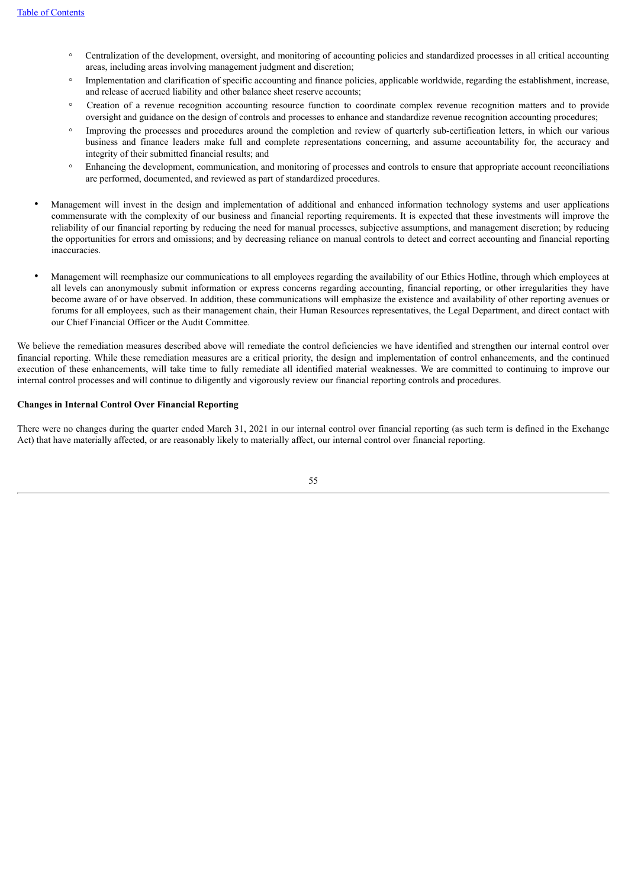- Centralization of the development, oversight, and monitoring of accounting policies and standardized processes in all critical accounting areas, including areas involving management judgment and discretion;
- Implementation and clarification of specific accounting and finance policies, applicable worldwide, regarding the establishment, increase, and release of accrued liability and other balance sheet reserve accounts;
- Creation of a revenue recognition accounting resource function to coordinate complex revenue recognition matters and to provide oversight and guidance on the design of controls and processes to enhance and standardize revenue recognition accounting procedures;
- Improving the processes and procedures around the completion and review of quarterly sub-certification letters, in which our various business and finance leaders make full and complete representations concerning, and assume accountability for, the accuracy and integrity of their submitted financial results; and
- Enhancing the development, communication, and monitoring of processes and controls to ensure that appropriate account reconciliations are performed, documented, and reviewed as part of standardized procedures.
- Management will invest in the design and implementation of additional and enhanced information technology systems and user applications commensurate with the complexity of our business and financial reporting requirements. It is expected that these investments will improve the reliability of our financial reporting by reducing the need for manual processes, subjective assumptions, and management discretion; by reducing the opportunities for errors and omissions; and by decreasing reliance on manual controls to detect and correct accounting and financial reporting inaccuracies.
- Management will reemphasize our communications to all employees regarding the availability of our Ethics Hotline, through which employees at all levels can anonymously submit information or express concerns regarding accounting, financial reporting, or other irregularities they have become aware of or have observed. In addition, these communications will emphasize the existence and availability of other reporting avenues or forums for all employees, such as their management chain, their Human Resources representatives, the Legal Department, and direct contact with our Chief Financial Officer or the Audit Committee.

We believe the remediation measures described above will remediate the control deficiencies we have identified and strengthen our internal control over financial reporting. While these remediation measures are a critical priority, the design and implementation of control enhancements, and the continued execution of these enhancements, will take time to fully remediate all identified material weaknesses. We are committed to continuing to improve our internal control processes and will continue to diligently and vigorously review our financial reporting controls and procedures.

# **Changes in Internal Control Over Financial Reporting**

<span id="page-55-0"></span>There were no changes during the quarter ended March 31, 2021 in our internal control over financial reporting (as such term is defined in the Exchange Act) that have materially affected, or are reasonably likely to materially affect, our internal control over financial reporting.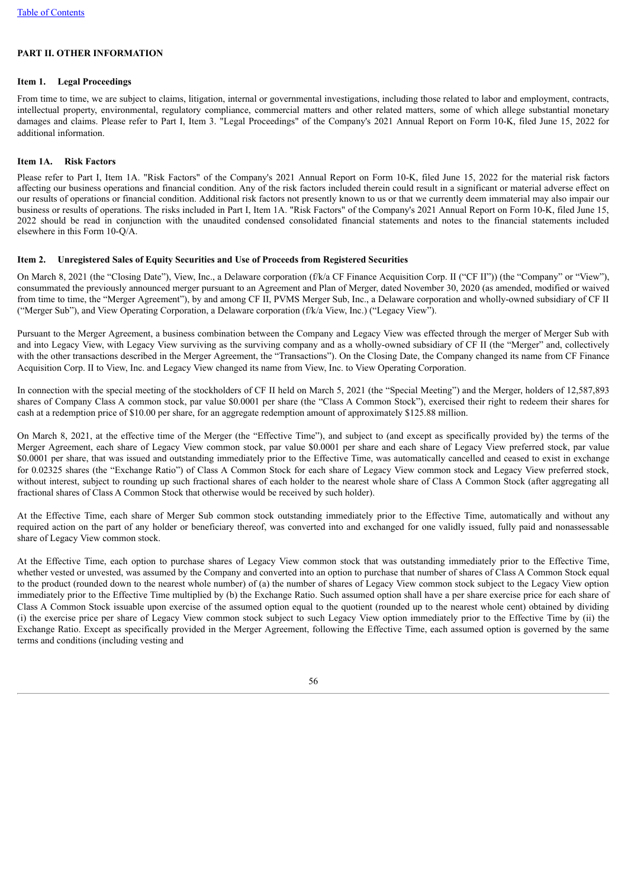# <span id="page-56-0"></span>**PART II. OTHER INFORMATION**

#### **Item 1. Legal Proceedings**

From time to time, we are subject to claims, litigation, internal or governmental investigations, including those related to labor and employment, contracts, intellectual property, environmental, regulatory compliance, commercial matters and other related matters, some of which allege substantial monetary damages and claims. Please refer to Part I, Item 3. "Legal Proceedings" of the Company's 2021 Annual Report on Form 10-K, filed June 15, 2022 for additional information.

#### <span id="page-56-1"></span>**Item 1A. Risk Factors**

Please refer to Part I, Item 1A. "Risk Factors" of the Company's 2021 Annual Report on Form 10-K, filed June 15, 2022 for the material risk factors affecting our business operations and financial condition. Any of the risk factors included therein could result in a significant or material adverse effect on our results of operations or financial condition. Additional risk factors not presently known to us or that we currently deem immaterial may also impair our business or results of operations. The risks included in Part I, Item 1A. "Risk Factors" of the Company's 2021 Annual Report on Form 10-K, filed June 15, 2022 should be read in conjunction with the unaudited condensed consolidated financial statements and notes to the financial statements included elsewhere in this Form 10-Q/A.

#### <span id="page-56-2"></span>**Item 2. Unregistered Sales of Equity Securities and Use of Proceeds from Registered Securities**

On March 8, 2021 (the "Closing Date"), View, Inc., a Delaware corporation (f/k/a CF Finance Acquisition Corp. II ("CF II")) (the "Company" or "View"), consummated the previously announced merger pursuant to an Agreement and Plan of Merger, dated November 30, 2020 (as amended, modified or waived from time to time, the "Merger Agreement"), by and among CF II, PVMS Merger Sub, Inc., a Delaware corporation and wholly-owned subsidiary of CF II ("Merger Sub"), and View Operating Corporation, a Delaware corporation (f/k/a View, Inc.) ("Legacy View").

Pursuant to the Merger Agreement, a business combination between the Company and Legacy View was effected through the merger of Merger Sub with and into Legacy View, with Legacy View surviving as the surviving company and as a wholly-owned subsidiary of CF II (the "Merger" and, collectively with the other transactions described in the Merger Agreement, the "Transactions"). On the Closing Date, the Company changed its name from CF Finance Acquisition Corp. II to View, Inc. and Legacy View changed its name from View, Inc. to View Operating Corporation.

In connection with the special meeting of the stockholders of CF II held on March 5, 2021 (the "Special Meeting") and the Merger, holders of 12,587,893 shares of Company Class A common stock, par value \$0.0001 per share (the "Class A Common Stock"), exercised their right to redeem their shares for cash at a redemption price of \$10.00 per share, for an aggregate redemption amount of approximately \$125.88 million.

On March 8, 2021, at the effective time of the Merger (the "Effective Time"), and subject to (and except as specifically provided by) the terms of the Merger Agreement, each share of Legacy View common stock, par value \$0.0001 per share and each share of Legacy View preferred stock, par value \$0.0001 per share, that was issued and outstanding immediately prior to the Effective Time, was automatically cancelled and ceased to exist in exchange for 0.02325 shares (the "Exchange Ratio") of Class A Common Stock for each share of Legacy View common stock and Legacy View preferred stock, without interest, subject to rounding up such fractional shares of each holder to the nearest whole share of Class A Common Stock (after aggregating all fractional shares of Class A Common Stock that otherwise would be received by such holder).

At the Effective Time, each share of Merger Sub common stock outstanding immediately prior to the Effective Time, automatically and without any required action on the part of any holder or beneficiary thereof, was converted into and exchanged for one validly issued, fully paid and nonassessable share of Legacy View common stock.

At the Effective Time, each option to purchase shares of Legacy View common stock that was outstanding immediately prior to the Effective Time, whether vested or unvested, was assumed by the Company and converted into an option to purchase that number of shares of Class A Common Stock equal to the product (rounded down to the nearest whole number) of (a) the number of shares of Legacy View common stock subject to the Legacy View option immediately prior to the Effective Time multiplied by (b) the Exchange Ratio. Such assumed option shall have a per share exercise price for each share of Class A Common Stock issuable upon exercise of the assumed option equal to the quotient (rounded up to the nearest whole cent) obtained by dividing (i) the exercise price per share of Legacy View common stock subject to such Legacy View option immediately prior to the Effective Time by (ii) the Exchange Ratio. Except as specifically provided in the Merger Agreement, following the Effective Time, each assumed option is governed by the same terms and conditions (including vesting and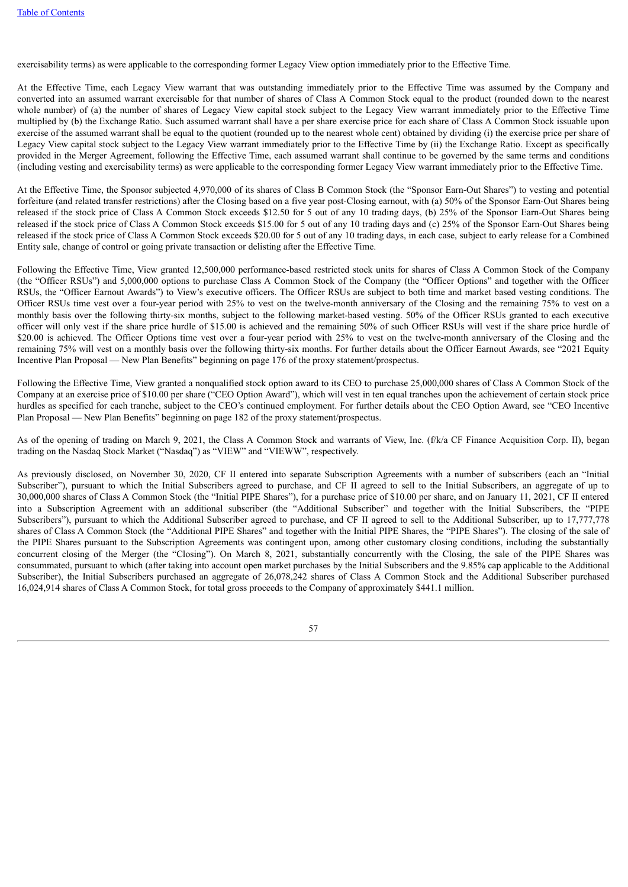exercisability terms) as were applicable to the corresponding former Legacy View option immediately prior to the Effective Time.

At the Effective Time, each Legacy View warrant that was outstanding immediately prior to the Effective Time was assumed by the Company and converted into an assumed warrant exercisable for that number of shares of Class A Common Stock equal to the product (rounded down to the nearest whole number) of (a) the number of shares of Legacy View capital stock subject to the Legacy View warrant immediately prior to the Effective Time multiplied by (b) the Exchange Ratio. Such assumed warrant shall have a per share exercise price for each share of Class A Common Stock issuable upon exercise of the assumed warrant shall be equal to the quotient (rounded up to the nearest whole cent) obtained by dividing (i) the exercise price per share of Legacy View capital stock subject to the Legacy View warrant immediately prior to the Effective Time by (ii) the Exchange Ratio. Except as specifically provided in the Merger Agreement, following the Effective Time, each assumed warrant shall continue to be governed by the same terms and conditions (including vesting and exercisability terms) as were applicable to the corresponding former Legacy View warrant immediately prior to the Effective Time.

At the Effective Time, the Sponsor subjected 4,970,000 of its shares of Class B Common Stock (the "Sponsor Earn-Out Shares") to vesting and potential forfeiture (and related transfer restrictions) after the Closing based on a five year post-Closing earnout, with (a) 50% of the Sponsor Earn-Out Shares being released if the stock price of Class A Common Stock exceeds \$12.50 for 5 out of any 10 trading days, (b) 25% of the Sponsor Earn-Out Shares being released if the stock price of Class A Common Stock exceeds \$15.00 for 5 out of any 10 trading days and (c) 25% of the Sponsor Earn-Out Shares being released if the stock price of Class A Common Stock exceeds \$20.00 for 5 out of any 10 trading days, in each case, subject to early release for a Combined Entity sale, change of control or going private transaction or delisting after the Effective Time.

Following the Effective Time, View granted 12,500,000 performance-based restricted stock units for shares of Class A Common Stock of the Company (the "Officer RSUs") and 5,000,000 options to purchase Class A Common Stock of the Company (the "Officer Options" and together with the Officer RSUs, the "Officer Earnout Awards") to View's executive officers. The Officer RSUs are subject to both time and market based vesting conditions. The Officer RSUs time vest over a four-year period with 25% to vest on the twelve-month anniversary of the Closing and the remaining 75% to vest on a monthly basis over the following thirty-six months, subject to the following market-based vesting. 50% of the Officer RSUs granted to each executive officer will only vest if the share price hurdle of \$15.00 is achieved and the remaining 50% of such Officer RSUs will vest if the share price hurdle of \$20.00 is achieved. The Officer Options time vest over a four-year period with 25% to vest on the twelve-month anniversary of the Closing and the remaining 75% will vest on a monthly basis over the following thirty-six months. For further details about the Officer Earnout Awards, see "2021 Equity Incentive Plan Proposal — New Plan Benefits" beginning on page 176 of the proxy statement/prospectus.

Following the Effective Time, View granted a nonqualified stock option award to its CEO to purchase 25,000,000 shares of Class A Common Stock of the Company at an exercise price of \$10.00 per share ("CEO Option Award"), which will vest in ten equal tranches upon the achievement of certain stock price hurdles as specified for each tranche, subject to the CEO's continued employment. For further details about the CEO Option Award, see "CEO Incentive Plan Proposal — New Plan Benefits" beginning on page 182 of the proxy statement/prospectus.

As of the opening of trading on March 9, 2021, the Class A Common Stock and warrants of View, Inc. (f/k/a CF Finance Acquisition Corp. II), began trading on the Nasdaq Stock Market ("Nasdaq") as "VIEW" and "VIEWW", respectively.

As previously disclosed, on November 30, 2020, CF II entered into separate Subscription Agreements with a number of subscribers (each an "Initial Subscriber"), pursuant to which the Initial Subscribers agreed to purchase, and CF II agreed to sell to the Initial Subscribers, an aggregate of up to 30,000,000 shares of Class A Common Stock (the "Initial PIPE Shares"), for a purchase price of \$10.00 per share, and on January 11, 2021, CF II entered into a Subscription Agreement with an additional subscriber (the "Additional Subscriber" and together with the Initial Subscribers, the "PIPE Subscribers"), pursuant to which the Additional Subscriber agreed to purchase, and CF II agreed to sell to the Additional Subscriber, up to 17,777,778 shares of Class A Common Stock (the "Additional PIPE Shares" and together with the Initial PIPE Shares, the "PIPE Shares"). The closing of the sale of the PIPE Shares pursuant to the Subscription Agreements was contingent upon, among other customary closing conditions, including the substantially concurrent closing of the Merger (the "Closing"). On March 8, 2021, substantially concurrently with the Closing, the sale of the PIPE Shares was consummated, pursuant to which (after taking into account open market purchases by the Initial Subscribers and the 9.85% cap applicable to the Additional Subscriber), the Initial Subscribers purchased an aggregate of 26,078,242 shares of Class A Common Stock and the Additional Subscriber purchased 16,024,914 shares of Class A Common Stock, for total gross proceeds to the Company of approximately \$441.1 million.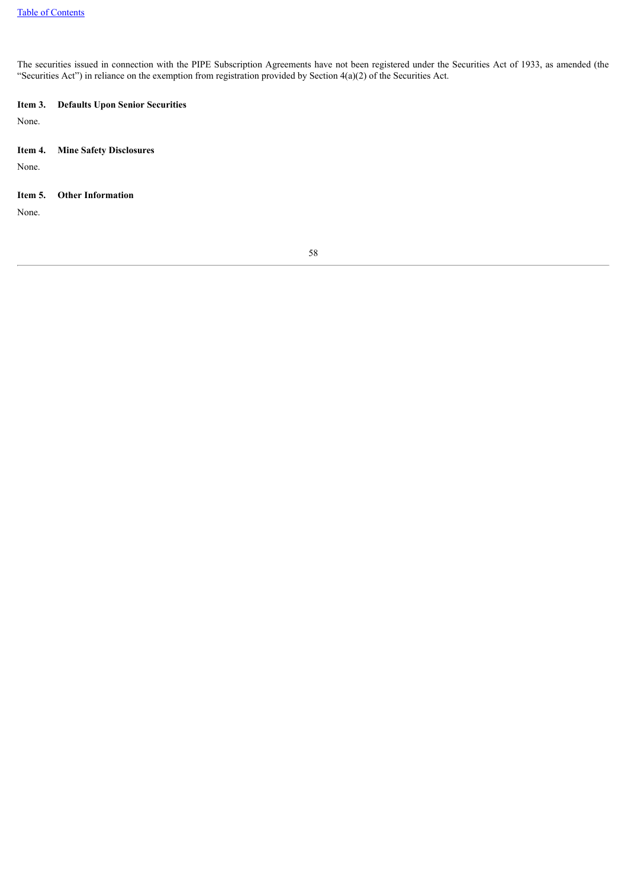The securities issued in connection with the PIPE Subscription Agreements have not been registered under the Securities Act of 1933, as amended (the "Securities Act") in reliance on the exemption from registration provided by Section  $4(a)(2)$  of the Securities Act.

# <span id="page-58-0"></span>**Item 3. Defaults Upon Senior Securities**

<span id="page-58-1"></span>None.

**Item 4. Mine Safety Disclosures**

<span id="page-58-2"></span>None.

# **Item 5. Other Information**

<span id="page-58-3"></span>None.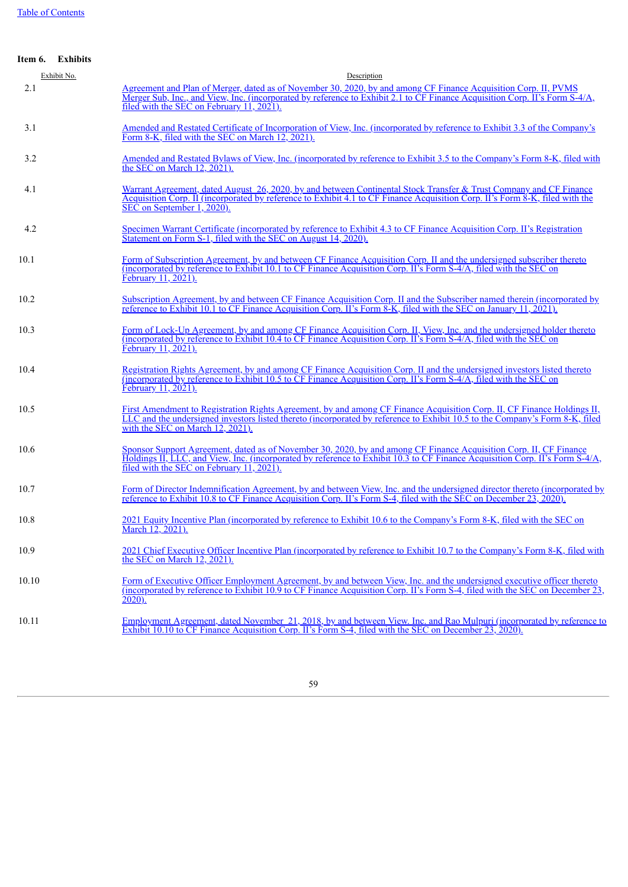|       | Item 6. Exhibits |                                                                                                                                                                                                                                                                                                        |
|-------|------------------|--------------------------------------------------------------------------------------------------------------------------------------------------------------------------------------------------------------------------------------------------------------------------------------------------------|
|       | Exhibit No.      | Description                                                                                                                                                                                                                                                                                            |
| 2.1   |                  | Agreement and Plan of Merger, dated as of November 30, 2020, by and among CF Finance Acquisition Corp. II, PVMS<br>Merger Sub, Inc., and View, Inc. (incorporated by reference to Exhibit 2.1 to CF Finance Acquisition Corp. II's Form S-4/A,<br>filed with the SEC on February 11, 2021).            |
| 3.1   |                  | <u>Amended and Restated Certificate of Incorporation of View, Inc. (incorporated by reference to Exhibit 3.3 of the Company's</u><br>Form 8-K, filed with the SEC on March 12, 2021).                                                                                                                  |
| 3.2   |                  | Amended and Restated Bylaws of View, Inc. (incorporated by reference to Exhibit 3.5 to the Company's Form 8-K, filed with<br>the SEC on March $12$ , $20\overline{2}1$ ).                                                                                                                              |
| 4.1   |                  | Warrant Agreement, dated August 26, 2020, by and between Continental Stock Transfer & Trust Company and CF Finance<br>Acquisition Corp. II (incorporated by reference to Exhibit 4.1 to CF Finance Acquisition Corp. II's Form 8-K, filed with the<br>$SE\hat{C}$ on September 1, 2020).               |
| 4.2   |                  | Specimen Warrant Certificate (incorporated by reference to Exhibit 4.3 to CF Finance Acquisition Corp. II's Registration<br>Statement on Form S-1, filed with the SEC on August 14, 2020).                                                                                                             |
| 10.1  |                  | Form of Subscription Agreement, by and between CF Finance Acquisition Corp. II and the undersigned subscriber thereto<br>(incorporated by reference to Exhibit 10.1 to CF Finance Acquisition Corp. II's Form S-4/A, filed with the SEC on<br>February 11, 2021).                                      |
| 10.2  |                  | Subscription Agreement, by and between CF Finance Acquisition Corp. II and the Subscriber named therein (incorporated by reference to Exhibit 10.1 to CF Finance Acquisition Corp. II's Form 8-K, filed with the SEC on Januar                                                                         |
| 10.3  |                  | Form of Lock-Up Agreement, by and among CF Finance Acquisition Corp. II, View, Inc. and the undersigned holder thereto<br>(incorporated by reference to Exhibit 10.4 to CF Finance Acquisition Corp. II's Form S-4/A, filed with the SEC on<br>February 11, 2021).                                     |
| 10.4  |                  | Registration Rights Agreement, by and among CF Finance Acquisition Corp. II and the undersigned investors listed thereto<br>(incorporated by reference to Exhibit 10.5 to CF Finance Acquisition Corp. II's Form S-4/A, filed with the SEC on<br>February 11, 2021).                                   |
| 10.5  |                  | First Amendment to Registration Rights Agreement, by and among CF Finance Acquisition Corp. II, CF Finance Holdings II,<br>LLC and the undersigned investors listed thereto (incorporated by reference to Exhibit 10.5 to the Company's Form 8-K, filed<br>with the SEC on March 12, 2021).            |
| 10.6  |                  | Sponsor Support Agreement, dated as of November 30, 2020, by and among CF Finance Acquisition Corp. II, CF Finance<br>Holdings II, LLC, and View, Inc. (incorporated by reference to Exhibit 10.3 to CF Finance Acquisition Corp. II's Form S-4/A,<br><u>filed with the SEC on February 11, 2021).</u> |
| 10.7  |                  | Form of Director Indemnification Agreement, by and between View, Inc. and the undersigned director thereto (incorporated by<br>reference to Exhibit 10.8 to CF Finance Acquisition Corp. II's Form S-4, filed with the SEC on December 23, 2020).                                                      |
| 10.8  |                  | 2021 Equity Incentive Plan (incorporated by reference to Exhibit 10.6 to the Company's Form 8-K, filed with the SEC on<br><u>March 12, 2021).</u>                                                                                                                                                      |
| 10.9  |                  | 2021 Chief Executive Officer Incentive Plan (incorporated by reference to Exhibit 10.7 to the Company's Form 8-K, filed with<br>the SEC on March 12, 2021).                                                                                                                                            |
| 10.10 |                  | Form of Executive Officer Employment Agreement, by and between View, Inc. and the undersigned executive officer thereto<br>(incorporated by reference to Exhibit 10.9 to CF Finance Acquisition Corp. II's Form S-4, filed with the SEC on December 23.<br>2020).                                      |
| 10.11 |                  | Employment Agreement, dated November 21, 2018, by and between View. Inc. and Rao Mulpuri (incorporated by reference to<br>Exhibit 10.10 to CF Finance Acquisition Corp. II's Form S-4, filed with the SEC on December 23, 2020).                                                                       |
|       |                  |                                                                                                                                                                                                                                                                                                        |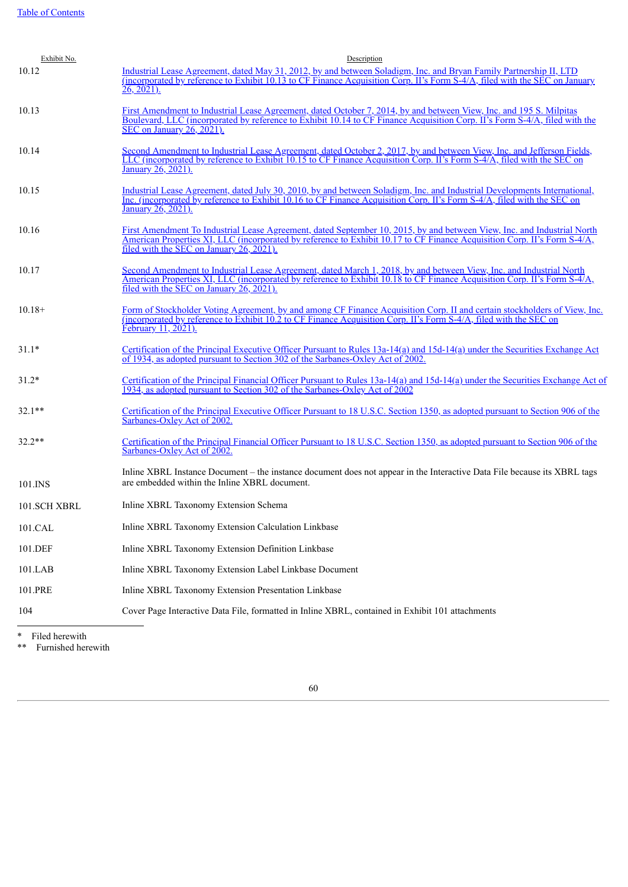| Exhibit No.  | Description                                                                                                                                                                                                                                                                                           |
|--------------|-------------------------------------------------------------------------------------------------------------------------------------------------------------------------------------------------------------------------------------------------------------------------------------------------------|
| 10.12        | Industrial Lease Agreement, dated May 31, 2012, by and between Soladigm, Inc. and Bryan Family Partnership II, LTD<br>(incorporated by reference to Exhibit 10.13 to CF Finance Acquisition Corp. II's Form S-4/A, filed with the SEC on January<br>$26, 2021$ ).                                     |
| 10.13        | First Amendment to Industrial Lease Agreement, dated October 7, 2014, by and between View, Inc. and 195 S. Milpitas<br>Boulevard, LLC (incorporated by reference to Exhibit 10.14 to CF Finance Acquisition Corp. II's Form S-4/A, filed with the<br>SEC on January 26, 2021).                        |
| 10.14        | Second Amendment to Industrial Lease Agreement, dated October 2, 2017, by and between View, Inc. and Jefferson Fields,<br>LLC (incorporated by reference to Exhibit 10.15 to CF Finance Acquisition Corp. II's Form S-4/A, filed with the SEC on<br>January 26, 2021).                                |
| 10.15        | Industrial Lease Agreement, dated July 30, 2010, by and between Soladigm, Inc. and Industrial Developments International,<br>Inc. (incorporated by reference to Exhibit 10.16 to CF Finance Acquisition Corp. II's Form S-4/A, filed with the SEC on<br>January 26, 2021).                            |
| 10.16        | First Amendment To Industrial Lease Agreement, dated September 10, 2015, by and between View, Inc. and Industrial North<br>American Properties XI, LLC (incorporated by reference to Exhibit 10.17 to CF Finance Acquisition Corp. II's Form S-4/A,<br>filed with the SEC on January $26$ , $2021$ ). |
| 10.17        | Second Amendment to Industrial Lease Agreement, dated March 1, 2018, by and between View, Inc. and Industrial North<br>American Properties XI, LLC (incorporated by reference to Exhibit 10.18 to CF Finance Acquisition Corp. II's Form S-4/A,<br>filed with the SEC on January 26, 2021).           |
| $10.18+$     | Form of Stockholder Voting Agreement, by and among CF Finance Acquisition Corp. II and certain stockholders of View, Inc.<br>(incorporated by reference to Exhibit 10.2 to CF Finance Acquisition Corp. II's Form S-4/A, filed with the SEC on<br>February 11, 2021).                                 |
| $31.1*$      | Certification of the Principal Executive Officer Pursuant to Rules 13a-14(a) and 15d-14(a) under the Securities Exchange Act<br>of 1934, as adopted pursuant to Section 302 of the Sarbanes-Oxley Act of 2002.                                                                                        |
| $31.2*$      | Certification of the Principal Financial Officer Pursuant to Rules 13a-14(a) and 15d-14(a) under the Securities Exchange Act of<br>1934, as adopted pursuant to Section 302 of the Sarbanes-Oxley Act of 2002                                                                                         |
| $32.1**$     | Certification of the Principal Executive Officer Pursuant to 18 U.S.C. Section 1350, as adopted pursuant to Section 906 of the<br>Sarbanes-Oxley Act of 2002.                                                                                                                                         |
| $32.2**$     | Certification of the Principal Financial Officer Pursuant to 18 U.S.C. Section 1350, as adopted pursuant to Section 906 of the<br>Sarbanes-Oxley Act of 2002.                                                                                                                                         |
| 101.INS      | Inline XBRL Instance Document – the instance document does not appear in the Interactive Data File because its XBRL tags<br>are embedded within the Inline XBRL document.                                                                                                                             |
| 101.SCH XBRL | Inline XBRL Taxonomy Extension Schema                                                                                                                                                                                                                                                                 |
| 101.CAL      | Inline XBRL Taxonomy Extension Calculation Linkbase                                                                                                                                                                                                                                                   |
| 101.DEF      | Inline XBRL Taxonomy Extension Definition Linkbase                                                                                                                                                                                                                                                    |
| 101.LAB      | Inline XBRL Taxonomy Extension Label Linkbase Document                                                                                                                                                                                                                                                |
| 101.PRE      | Inline XBRL Taxonomy Extension Presentation Linkbase                                                                                                                                                                                                                                                  |
| 104          | Cover Page Interactive Data File, formatted in Inline XBRL, contained in Exhibit 101 attachments                                                                                                                                                                                                      |

\* Filed herewith

\*\* Furnished herewith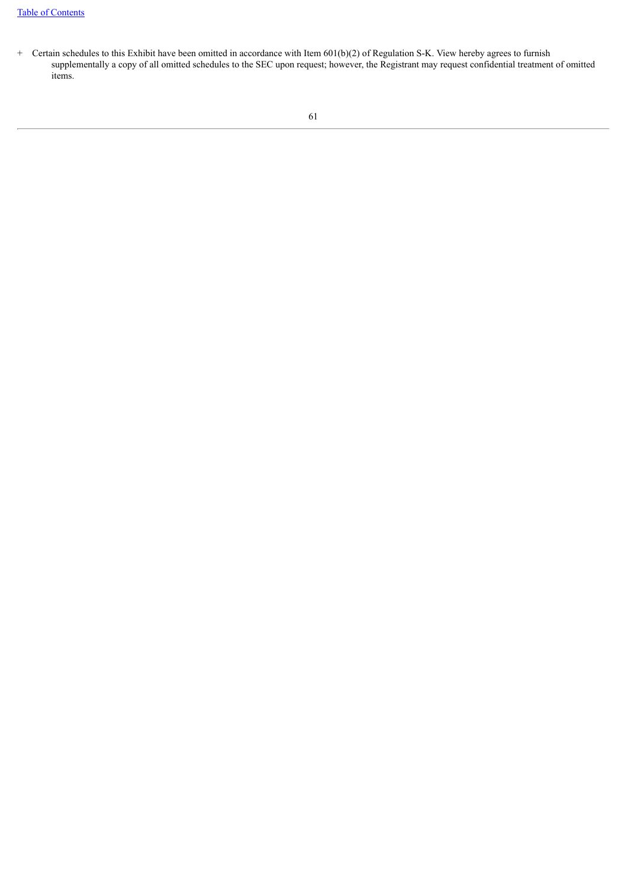<span id="page-61-0"></span>+ Certain schedules to this Exhibit have been omitted in accordance with Item 601(b)(2) of Regulation S-K. View hereby agrees to furnish supplementally a copy of all omitted schedules to the SEC upon request; however, the Registrant may request confidential treatment of omitted schedules to the SEC upon request; however, the Registrant may request confiden items.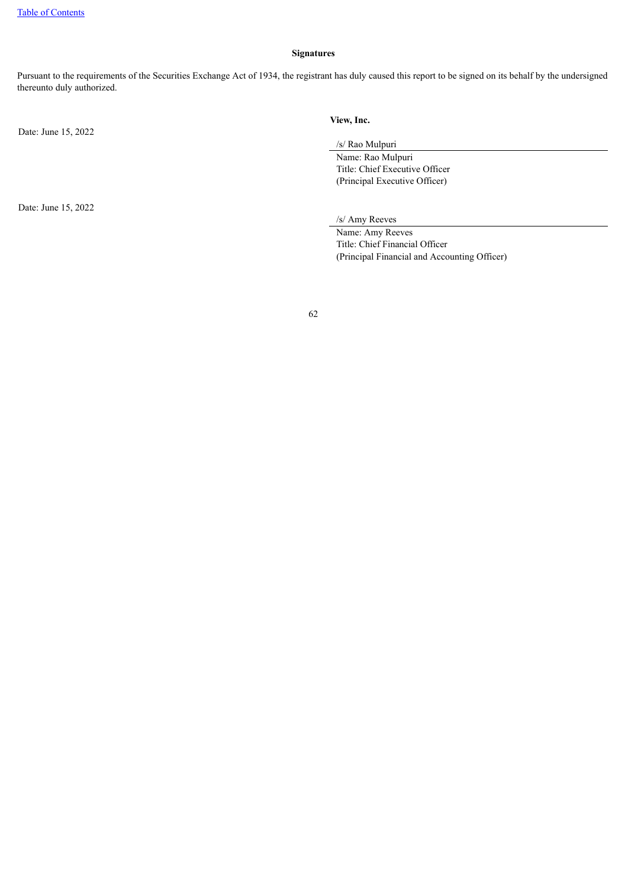# **Signatures**

Pursuant to the requirements of the Securities Exchange Act of 1934, the registrant has duly caused this report to be signed on its behalf by the undersigned thereunto duly authorized.

Date: June 15, 2022

Date: June 15, 2022

**View, Inc.**

/s/ Rao Mulpuri

Name: Rao Mulpuri Title: Chief Executive Officer (Principal Executive Officer)

/s/ Amy Reeves

Name: Amy Reeves Title: Chief Financial Officer (Principal Financial and Accounting Officer)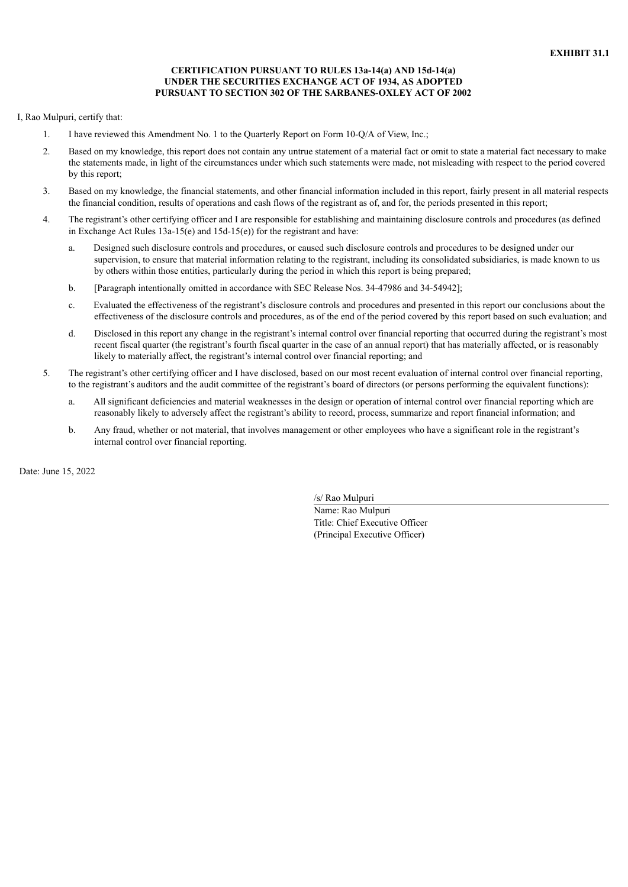# **CERTIFICATION PURSUANT TO RULES 13a-14(a) AND 15d-14(a) UNDER THE SECURITIES EXCHANGE ACT OF 1934, AS ADOPTED PURSUANT TO SECTION 302 OF THE SARBANES-OXLEY ACT OF 2002**

<span id="page-63-0"></span>I, Rao Mulpuri, certify that:

- 1. I have reviewed this Amendment No. 1 to the Quarterly Report on Form 10-Q/A of View, Inc.;
- 2. Based on my knowledge, this report does not contain any untrue statement of a material fact or omit to state a material fact necessary to make the statements made, in light of the circumstances under which such statements were made, not misleading with respect to the period covered by this report;
- 3. Based on my knowledge, the financial statements, and other financial information included in this report, fairly present in all material respects the financial condition, results of operations and cash flows of the registrant as of, and for, the periods presented in this report;
- 4. The registrant's other certifying officer and I are responsible for establishing and maintaining disclosure controls and procedures (as defined in Exchange Act Rules 13a-15(e) and 15d-15(e)) for the registrant and have:
	- a. Designed such disclosure controls and procedures, or caused such disclosure controls and procedures to be designed under our supervision, to ensure that material information relating to the registrant, including its consolidated subsidiaries, is made known to us by others within those entities, particularly during the period in which this report is being prepared;
	- b. [Paragraph intentionally omitted in accordance with SEC Release Nos. 34-47986 and 34-54942];
	- c. Evaluated the effectiveness of the registrant's disclosure controls and procedures and presented in this report our conclusions about the effectiveness of the disclosure controls and procedures, as of the end of the period covered by this report based on such evaluation; and
	- d. Disclosed in this report any change in the registrant's internal control over financial reporting that occurred during the registrant's most recent fiscal quarter (the registrant's fourth fiscal quarter in the case of an annual report) that has materially affected, or is reasonably likely to materially affect, the registrant's internal control over financial reporting; and
- 5. The registrant's other certifying officer and I have disclosed, based on our most recent evaluation of internal control over financial reporting, to the registrant's auditors and the audit committee of the registrant's board of directors (or persons performing the equivalent functions):
	- a. All significant deficiencies and material weaknesses in the design or operation of internal control over financial reporting which are reasonably likely to adversely affect the registrant's ability to record, process, summarize and report financial information; and
	- b. Any fraud, whether or not material, that involves management or other employees who have a significant role in the registrant's internal control over financial reporting.

Date: June 15, 2022

/s/ Rao Mulpuri

Name: Rao Mulpuri Title: Chief Executive Officer (Principal Executive Officer)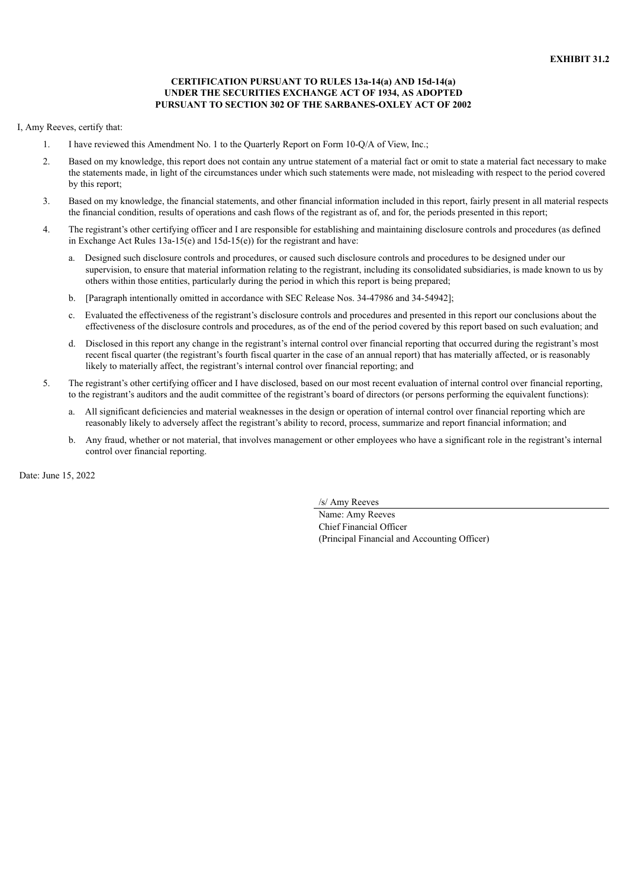# **CERTIFICATION PURSUANT TO RULES 13a-14(a) AND 15d-14(a) UNDER THE SECURITIES EXCHANGE ACT OF 1934, AS ADOPTED PURSUANT TO SECTION 302 OF THE SARBANES-OXLEY ACT OF 2002**

# <span id="page-64-0"></span>I, Amy Reeves, certify that:

- 1. I have reviewed this Amendment No. 1 to the Quarterly Report on Form 10-Q/A of View, Inc.;
- 2. Based on my knowledge, this report does not contain any untrue statement of a material fact or omit to state a material fact necessary to make the statements made, in light of the circumstances under which such statements were made, not misleading with respect to the period covered by this report;
- 3. Based on my knowledge, the financial statements, and other financial information included in this report, fairly present in all material respects the financial condition, results of operations and cash flows of the registrant as of, and for, the periods presented in this report;
- 4. The registrant's other certifying officer and I are responsible for establishing and maintaining disclosure controls and procedures (as defined in Exchange Act Rules 13a-15(e) and 15d-15(e)) for the registrant and have:
	- a. Designed such disclosure controls and procedures, or caused such disclosure controls and procedures to be designed under our supervision, to ensure that material information relating to the registrant, including its consolidated subsidiaries, is made known to us by others within those entities, particularly during the period in which this report is being prepared;
	- b. [Paragraph intentionally omitted in accordance with SEC Release Nos. 34-47986 and 34-54942];
	- c. Evaluated the effectiveness of the registrant's disclosure controls and procedures and presented in this report our conclusions about the effectiveness of the disclosure controls and procedures, as of the end of the period covered by this report based on such evaluation; and
	- d. Disclosed in this report any change in the registrant's internal control over financial reporting that occurred during the registrant's most recent fiscal quarter (the registrant's fourth fiscal quarter in the case of an annual report) that has materially affected, or is reasonably likely to materially affect, the registrant's internal control over financial reporting; and
- 5. The registrant's other certifying officer and I have disclosed, based on our most recent evaluation of internal control over financial reporting, to the registrant's auditors and the audit committee of the registrant's board of directors (or persons performing the equivalent functions):
	- a. All significant deficiencies and material weaknesses in the design or operation of internal control over financial reporting which are reasonably likely to adversely affect the registrant's ability to record, process, summarize and report financial information; and
	- b. Any fraud, whether or not material, that involves management or other employees who have a significant role in the registrant's internal control over financial reporting.

Date: June 15, 2022

/s/ Amy Reeves

Name: Amy Reeves Chief Financial Officer (Principal Financial and Accounting Officer)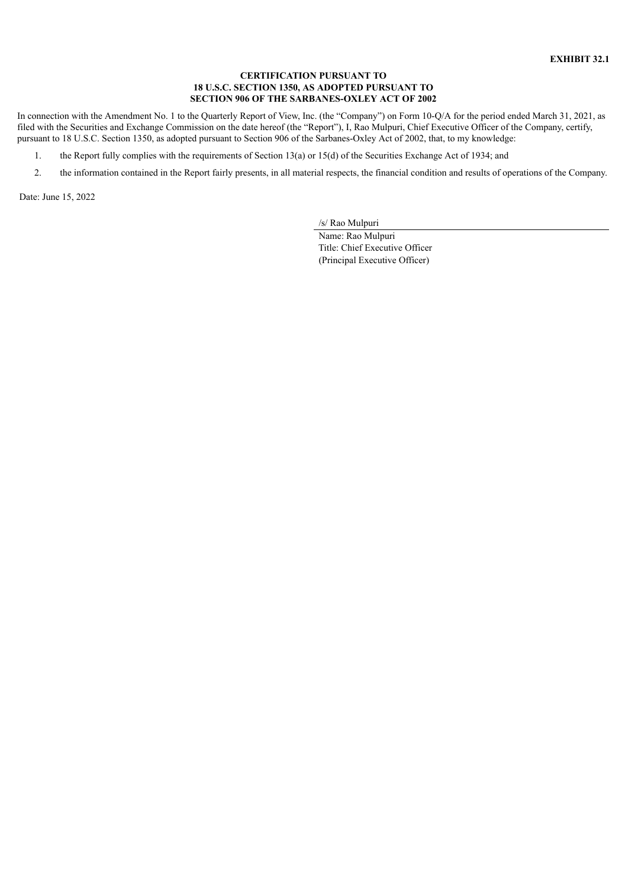# **CERTIFICATION PURSUANT TO 18 U.S.C. SECTION 1350, AS ADOPTED PURSUANT TO SECTION 906 OF THE SARBANES-OXLEY ACT OF 2002**

<span id="page-65-0"></span>In connection with the Amendment No. 1 to the Quarterly Report of View, Inc. (the "Company") on Form 10-Q/A for the period ended March 31, 2021, as filed with the Securities and Exchange Commission on the date hereof (the "Report"), I, Rao Mulpuri, Chief Executive Officer of the Company, certify, pursuant to 18 U.S.C. Section 1350, as adopted pursuant to Section 906 of the Sarbanes-Oxley Act of 2002, that, to my knowledge:

- 1. the Report fully complies with the requirements of Section 13(a) or 15(d) of the Securities Exchange Act of 1934; and
- 2. the information contained in the Report fairly presents, in all material respects, the financial condition and results of operations of the Company.

Date: June 15, 2022

/s/ Rao Mulpuri

Name: Rao Mulpuri Title: Chief Executive Officer (Principal Executive Officer)